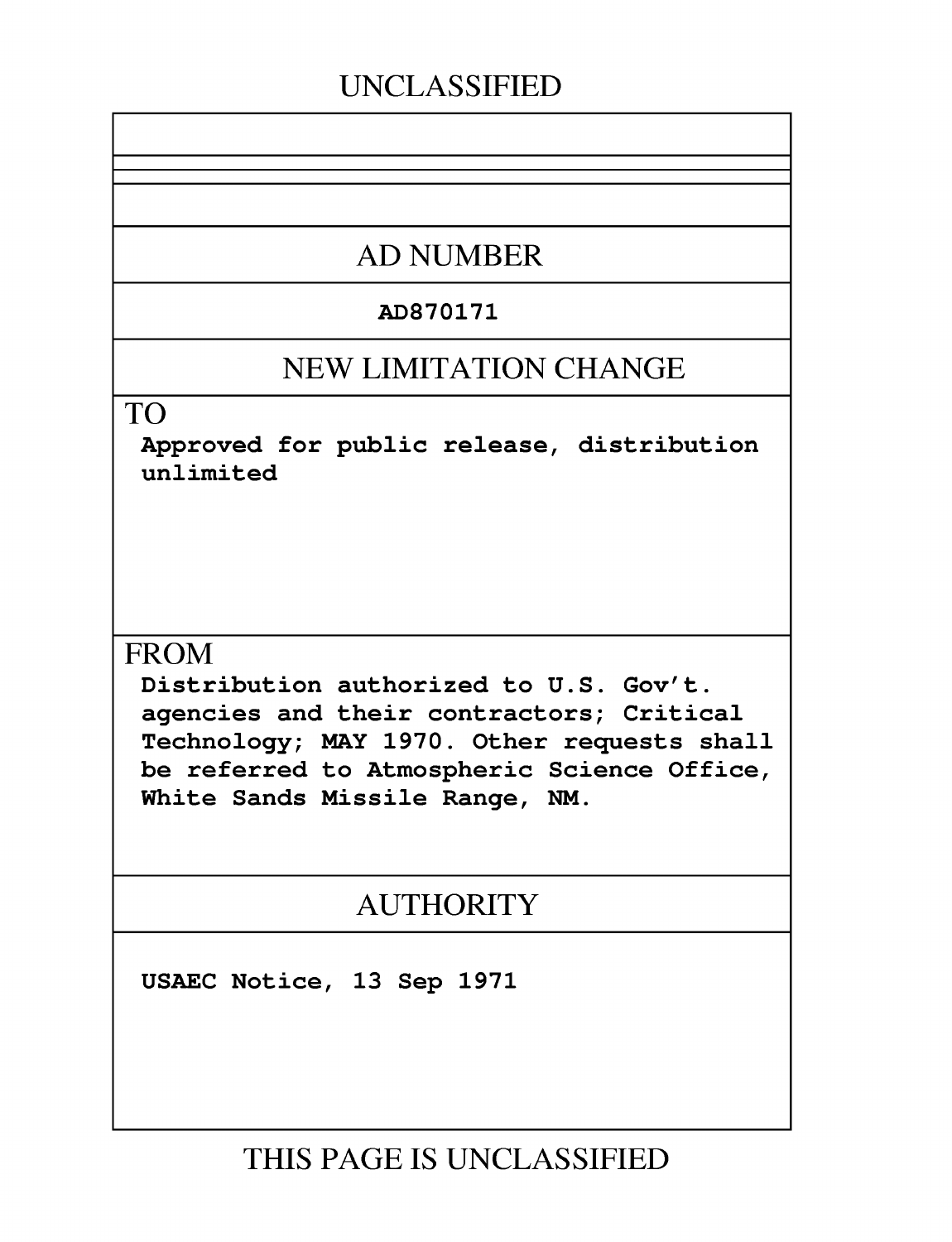## **UNCLASSIFIED**

## **AD NUMBER**

### AD870171

## **NEW LIMITATION CHANGE**

TO

Approved for public release, distribution unlimited

## **FROM**

Distribution authorized to U.S. Gov't. agencies and their contractors; Critical Technology; MAY 1970. Other requests shall be referred to Atmospheric Science Office, White Sands Missile Range, NM.

## **AUTHORITY**

USAEC Notice, 13 Sep 1971

**THIS PAGE IS UNCLASSIFIED**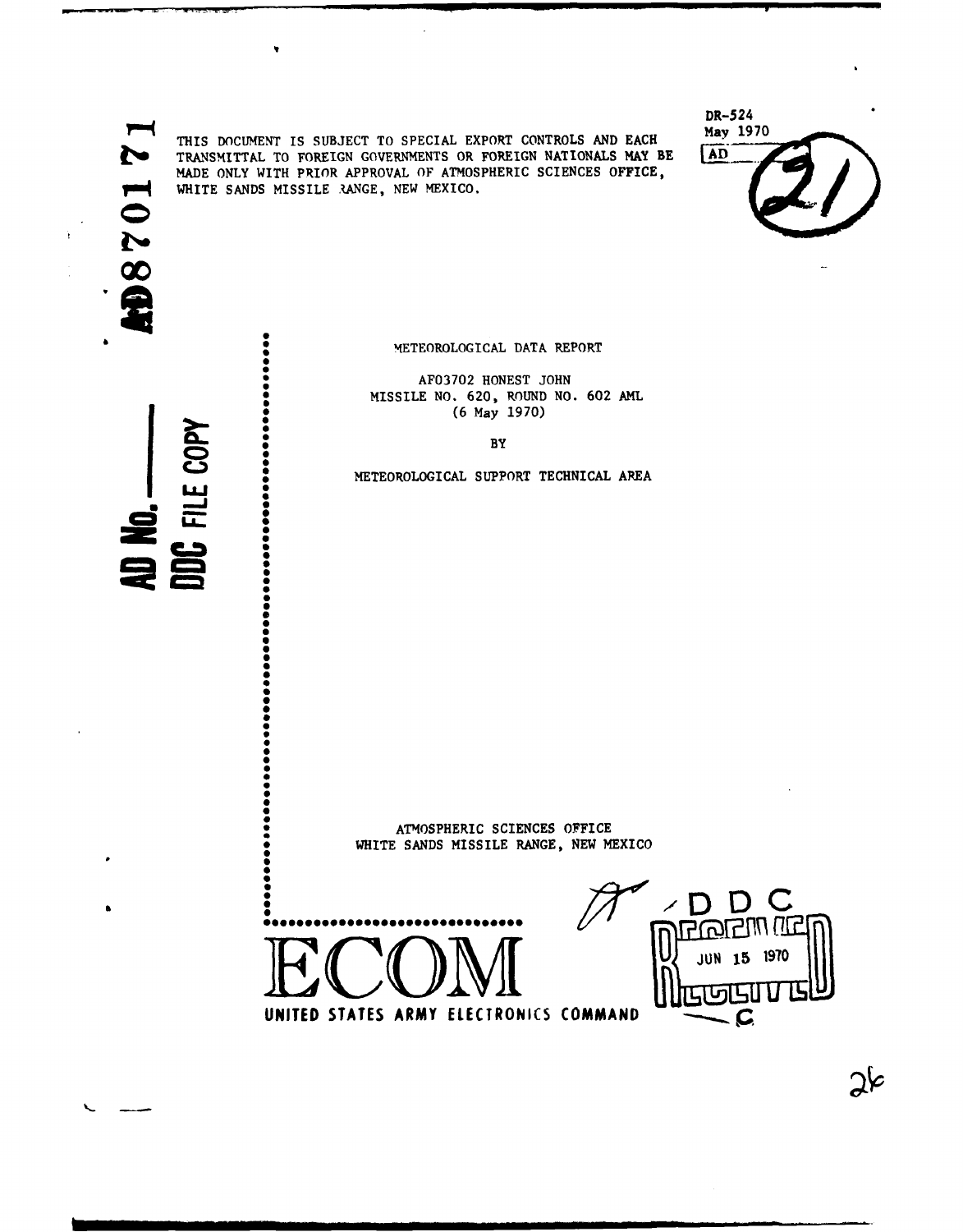WHITE SANDS MISSILE .ANGE, NEW MEXICO.  $\alpha$ SMETEOROLOGICAL DATA REPORT **0 CONTROLS OF THE CHARGE AREA**<br>
METEOROLOGICAL SUPPORT TECHNICAL AREA

THIS DOCUMENT IS SUBJECT TO SPECIAL EXPORT CONTROLS AND EACH TRANSMITTAL TO FOREIGN GOVERNMENTS OR FOREIGN NATIONALS MAY BE **AD** TRANSMITTAL TO FOREIGN GOVERNMENTS OR FOREIGN NATIONALS MAY BE MADE ONLY WITH PRIOR APPROVAL OF ATMOSPHERIC SCIENCES OFFICE,

DR-524<br>May 1970

**AF03702** HONEST JOHN MISSILE **NO. 620,** ROUND NO. 602 AML **S~(6** May **1970)**

BY

S~ATMOSPHERIC **SCIENCES** OFFICE **STANDSPHERIC SCIENCES OFFICE**<br>
SANDS MISSILE BANCE, NEW MEXICO



i in I<sub>nd</sub>ia in India in India in India in India in India in India in India in India in India in India in India<br>In 1980, a contradict contradict in India in India in India in India in India in India in India in India in In



⊋⊱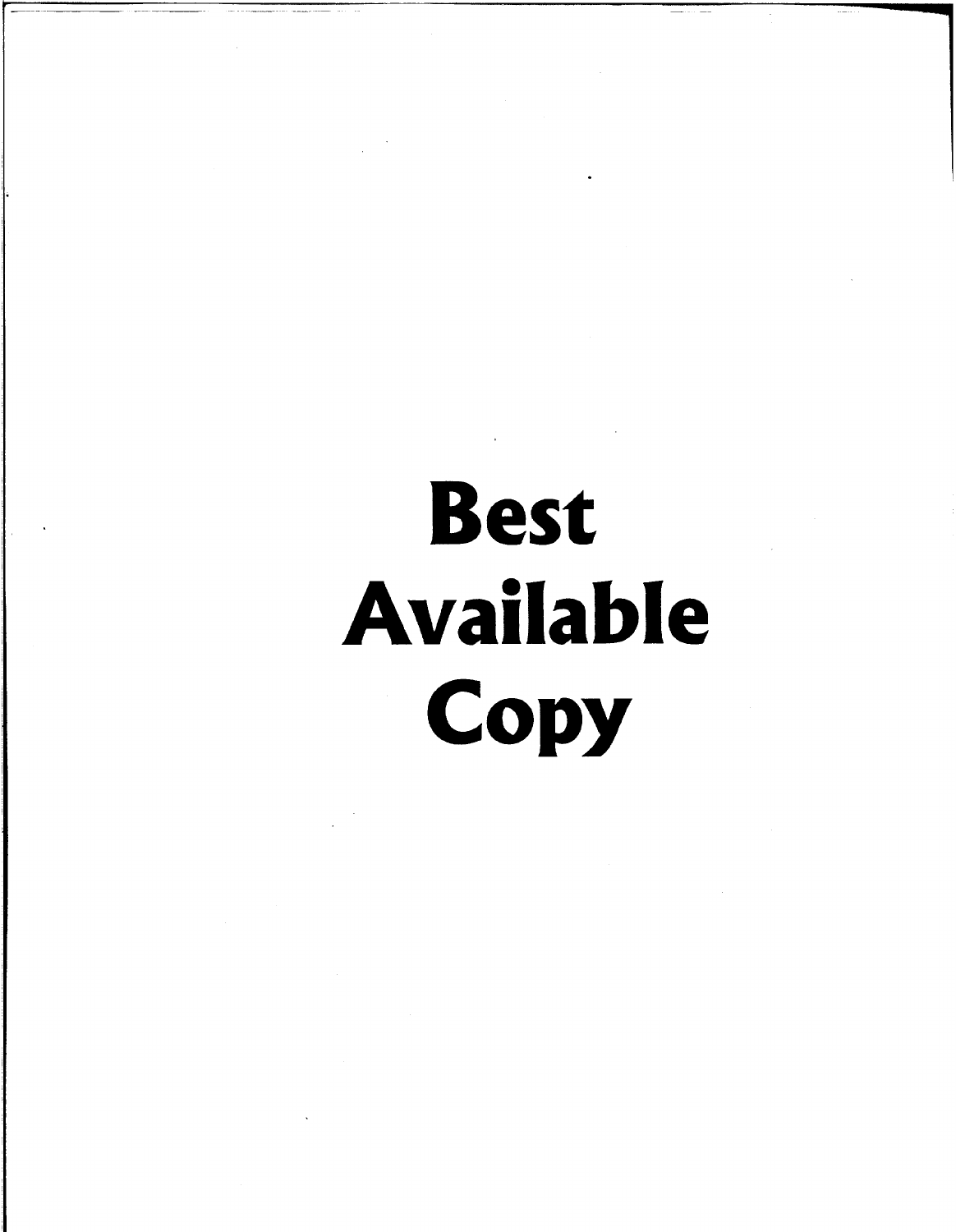# **Best Available Copy**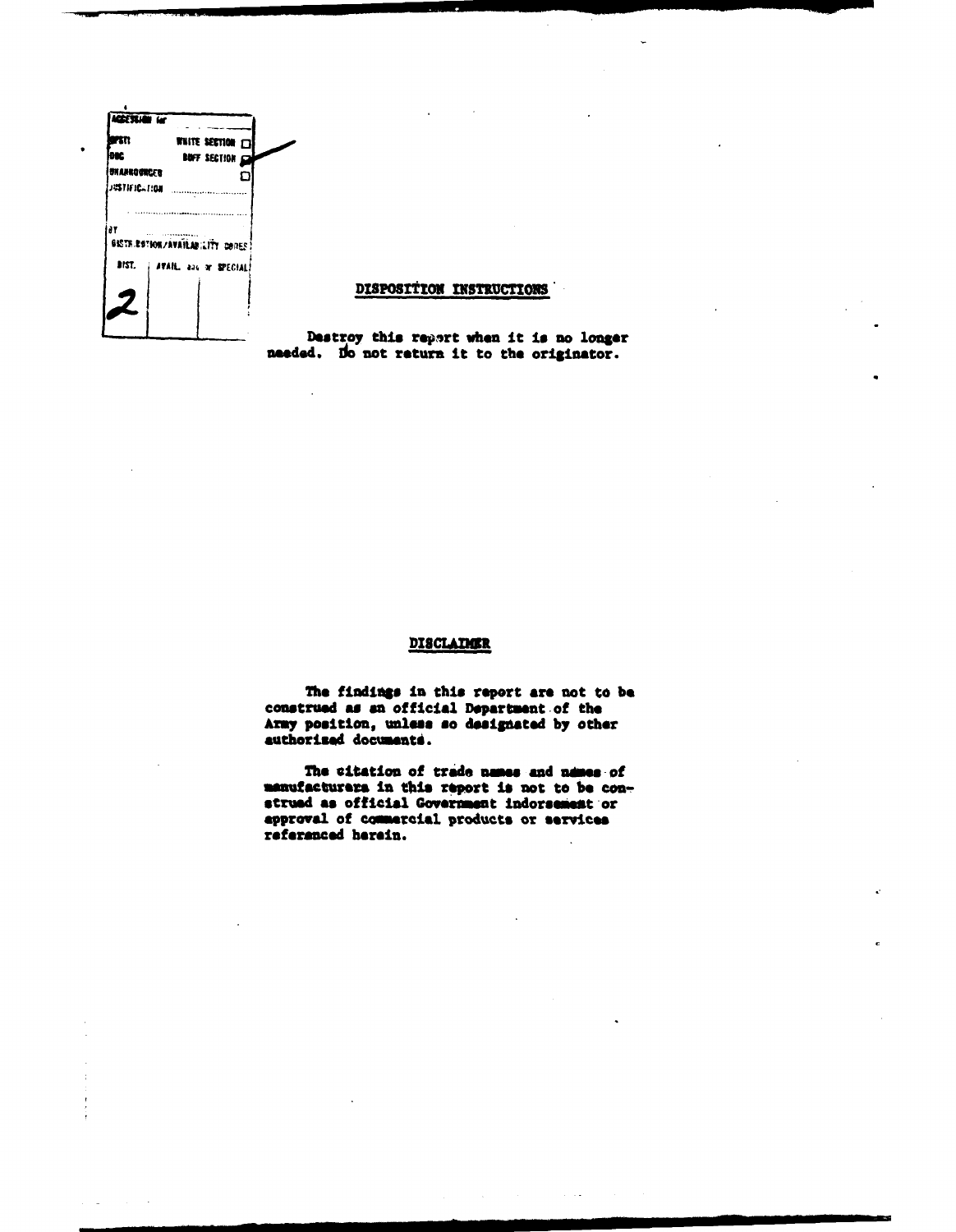

#### DISPOSITION INSTRUCTIONS

Destroy this report when it is no longer needed. Do not return it to the originator.

#### **DISCLAIMER**

The findings in this report are not to be construed as an official Department of the Army position, unless so designated by other authorized documents.

The citation of trade names and names of manufacturers in this report is not to be construed as official Government indorsement or approval of commercial products or services referenced herein.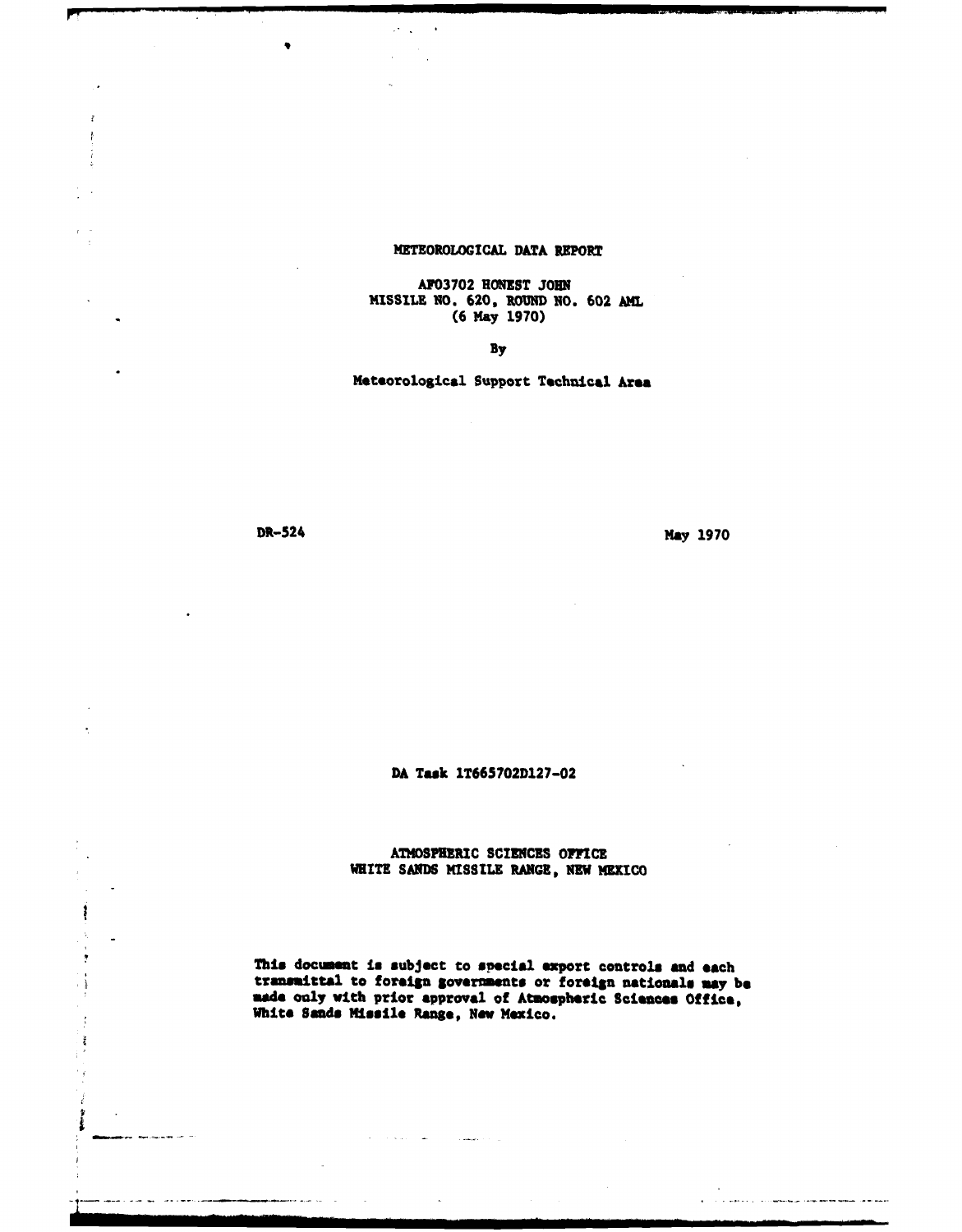#### METEOROLOGICAL DATA REPORT

AF03702 HONEST *JOHN* MISSILE 10. 620, ROUND NO. 602 **AhL** (6 May 1970)

By

Meteorological Support Technical Area

ł

 $\frac{V}{4}$ 

د س

متابعها وبالنها ماد

ŧ

 $\frac{1}{2}$ 

ł

DR-524 May 1970

مستحقان سنعم فعلقا ليسا الريوسيون الداري ولأمون والأرا

DA **Task** 1T665702D127-02

**ATMOSPHERIC SCIENCES OFFICE** WHITE SANDS MISSILE **RANGE,** NEW MEXICO

This document **in** subject to special export controls and each transmittal to foreign goveriments or foreign nationals may **be made** only with prior approval of Atmospheric **Sciences** Office, White Sands **Missile** Range, **Now** Mexico.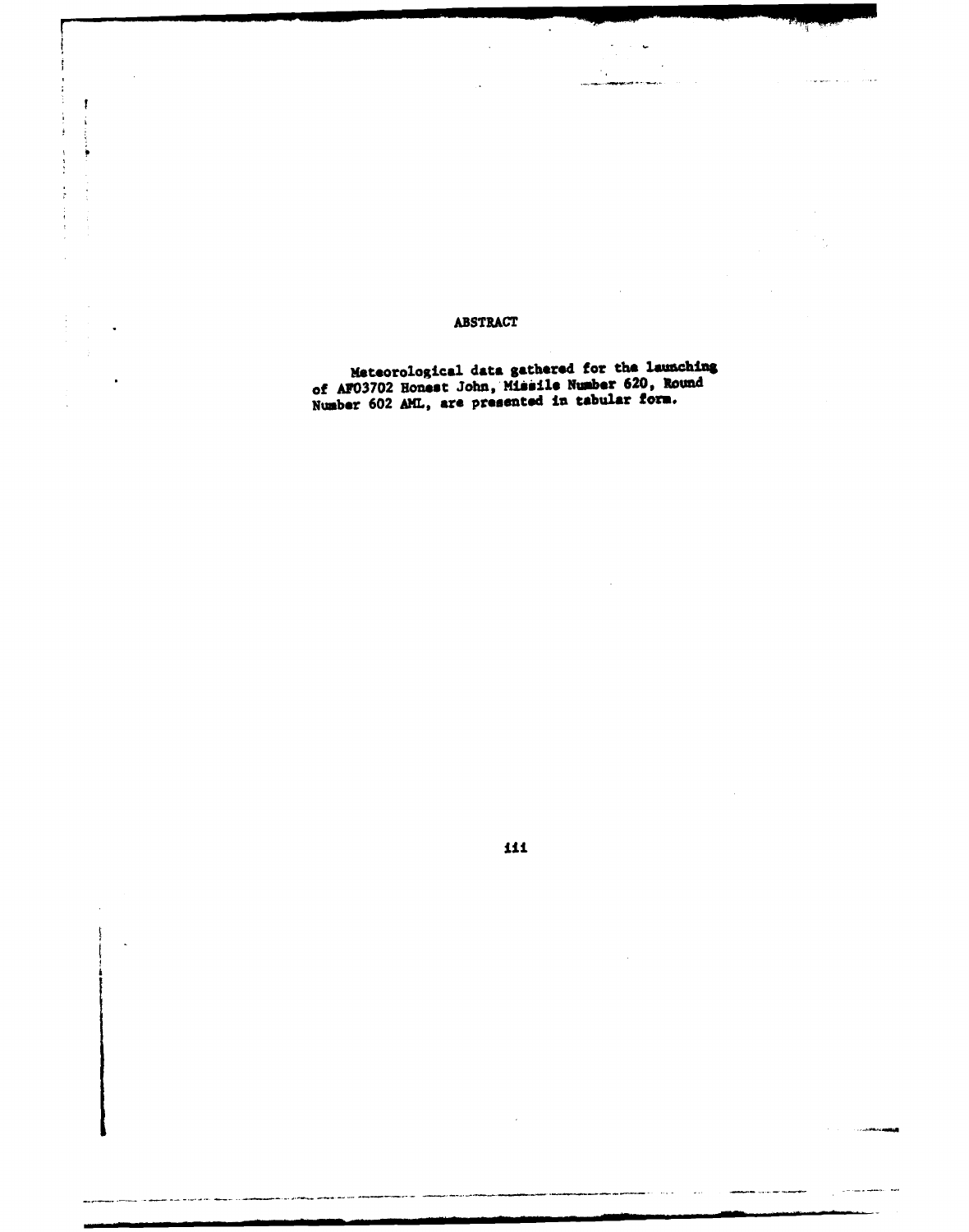#### **ABSTRACT**

 $\ddot{\phantom{a}}$ 

Ĵ

 $\begin{array}{c} 1 \\ 1 \\ 2 \\ 3 \end{array}$ 

医产量 人名英德尔 医骨间下层

 $\mathfrak k$ 

 $\ddot{\mathbf{r}}$ 

Meteorological data gathered for the launching<br>of AF03702 Honest John, Missile Number 620, Round<br>Number 602 AML, are presented in tabular form.

 $\ddot{\phantom{a}}$ 

 $\bar{z}$ 

 $\mathcal{L}_{\mathcal{A}}$ 

 $\ddot{\phantom{0}}$ 

لأنباء

an ma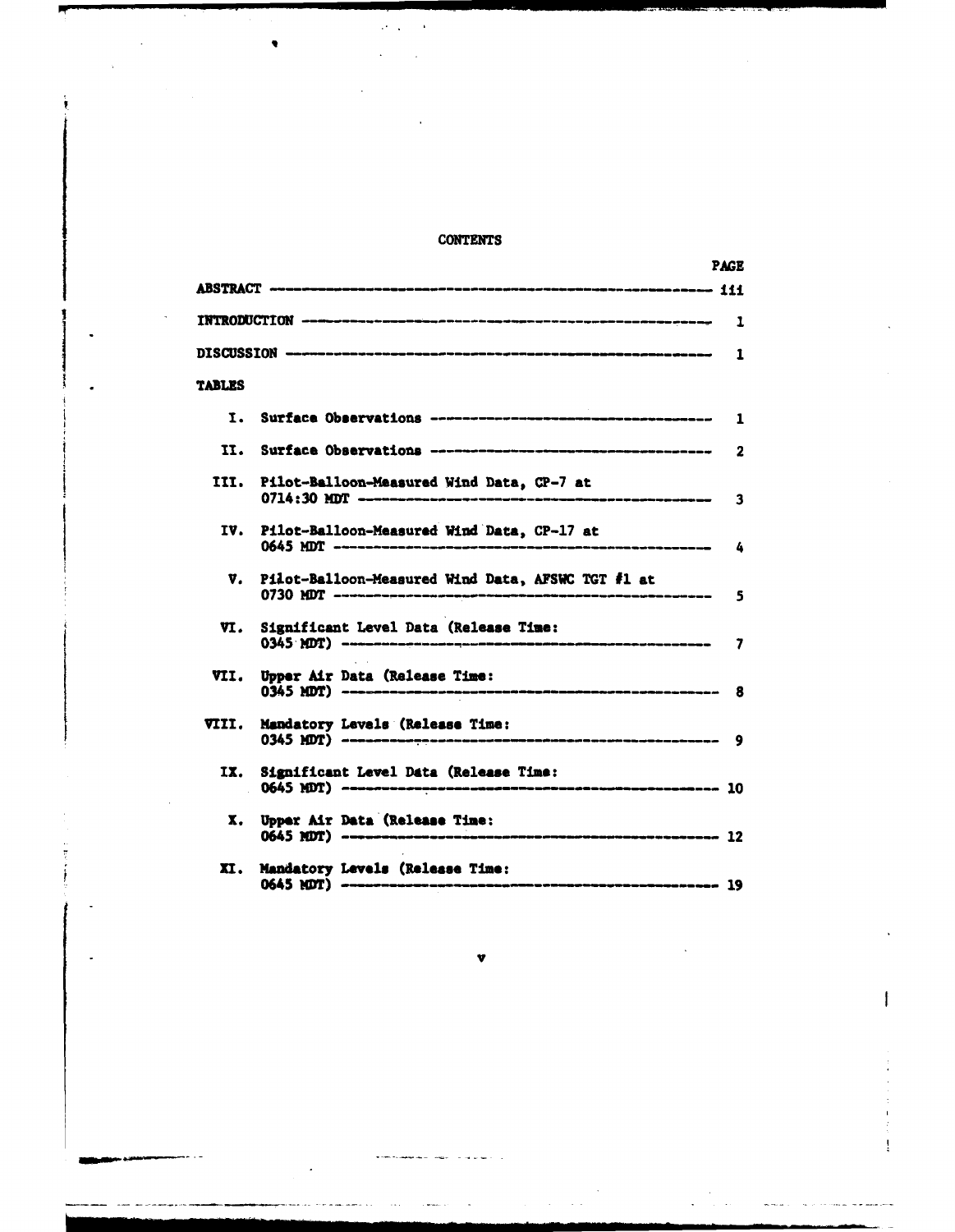#### CONTENTS

|        |                                                   | <b>PAGE</b> |
|--------|---------------------------------------------------|-------------|
|        |                                                   |             |
|        |                                                   |             |
|        |                                                   |             |
| TABLES |                                                   |             |
| Ι.     |                                                   |             |
| 11.    |                                                   | 2           |
| III.   | Pilot-Balloon-Measured Wind Data, CP-7 at         | 3           |
| IV.    | Pilot-Balloon-Measured Wind Data, CP-17 at        | 4           |
| V.     | Pilot-Balloon-Measured Wind Data, AFSWC TGT #1 at | 5           |
| VI.    | Significant Level Data (Release Time:             | 7           |
| VII.   |                                                   |             |
| VIII.  | Mandatory Levels (Release Time:                   |             |
| IX.    | Significant Level Data (Release Time:             |             |
| x.     | Upper Air Data (Release Time:                     |             |
| XI.    | Mandatory Levels (Release Time:                   |             |

**V**

ł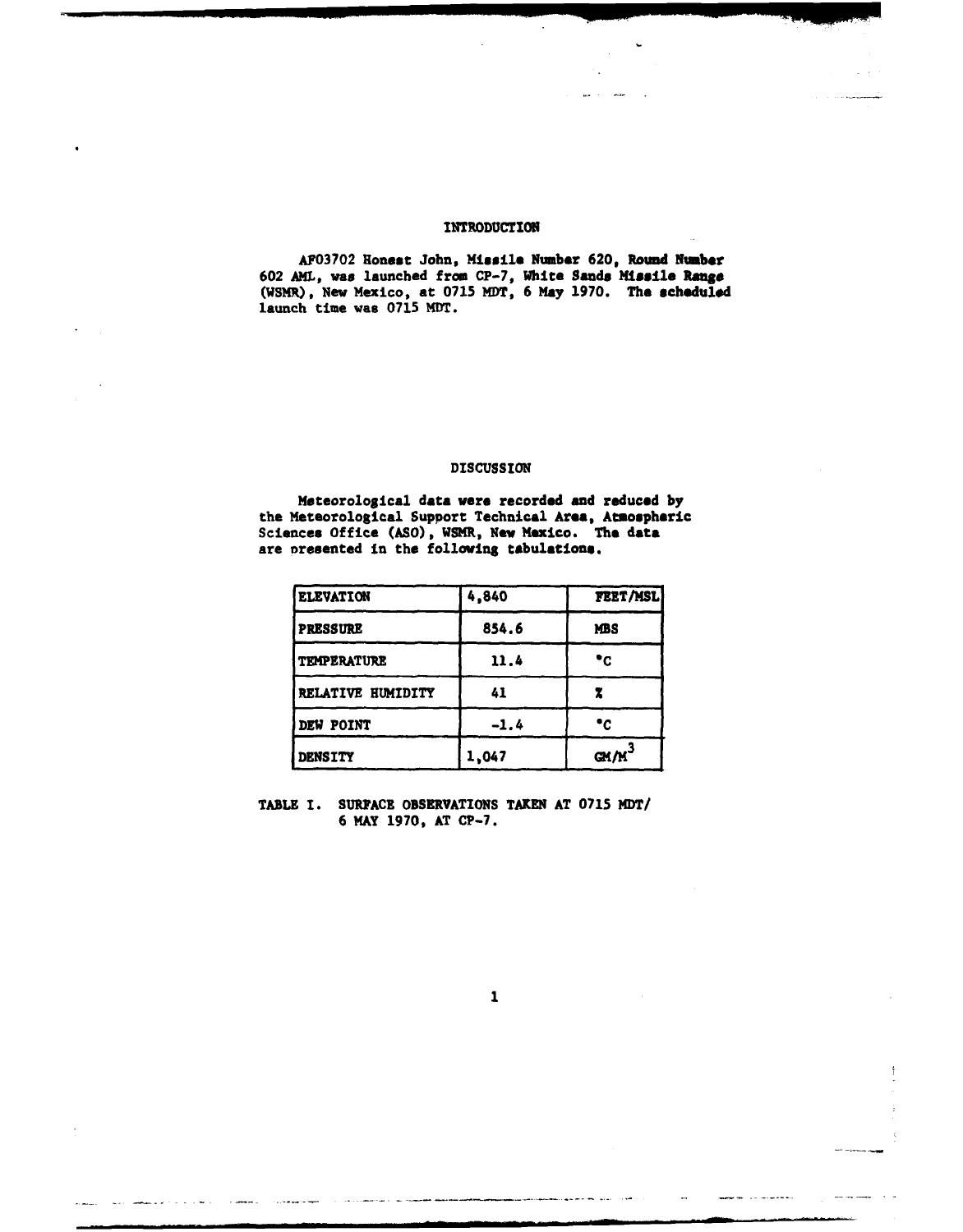#### **INTRODUCTION**

AF03702 Honest John, **Missile** Number 620, Round Number 602 AML, was launched from CP-7, White Sands **Missile Range** (WSMR), New Mexico, at 0715 MDT, 6 **May** 1970. The scheduled launch time was 0715 MDT.

#### DISCUSSION

Meteorological data were recorded and reduced by the Meteorological Support Technical Area, Amospheric Sciences Office (ASO), WSMR, New Mexico. The data are presented in the folloving tabulations.

| <b>ELEVATION</b>   | 4,840  | FEET/MSL   |
|--------------------|--------|------------|
| <b>PRESSURE</b>    | 854.6  | <b>MBS</b> |
| <b>TEMPERATURE</b> | 11.4   | ۰c         |
| RELATIVE HUMIDITY  | 41     |            |
| DEW POINT          | $-1.4$ | ۰c         |
| <b>DENSITY</b>     | 1,047  | GM/M       |

TABLE I. **SURFACE** OBSERVATIONS TAKEN AT 0715 MDT/ 6 MAY 1970, AT CP-7.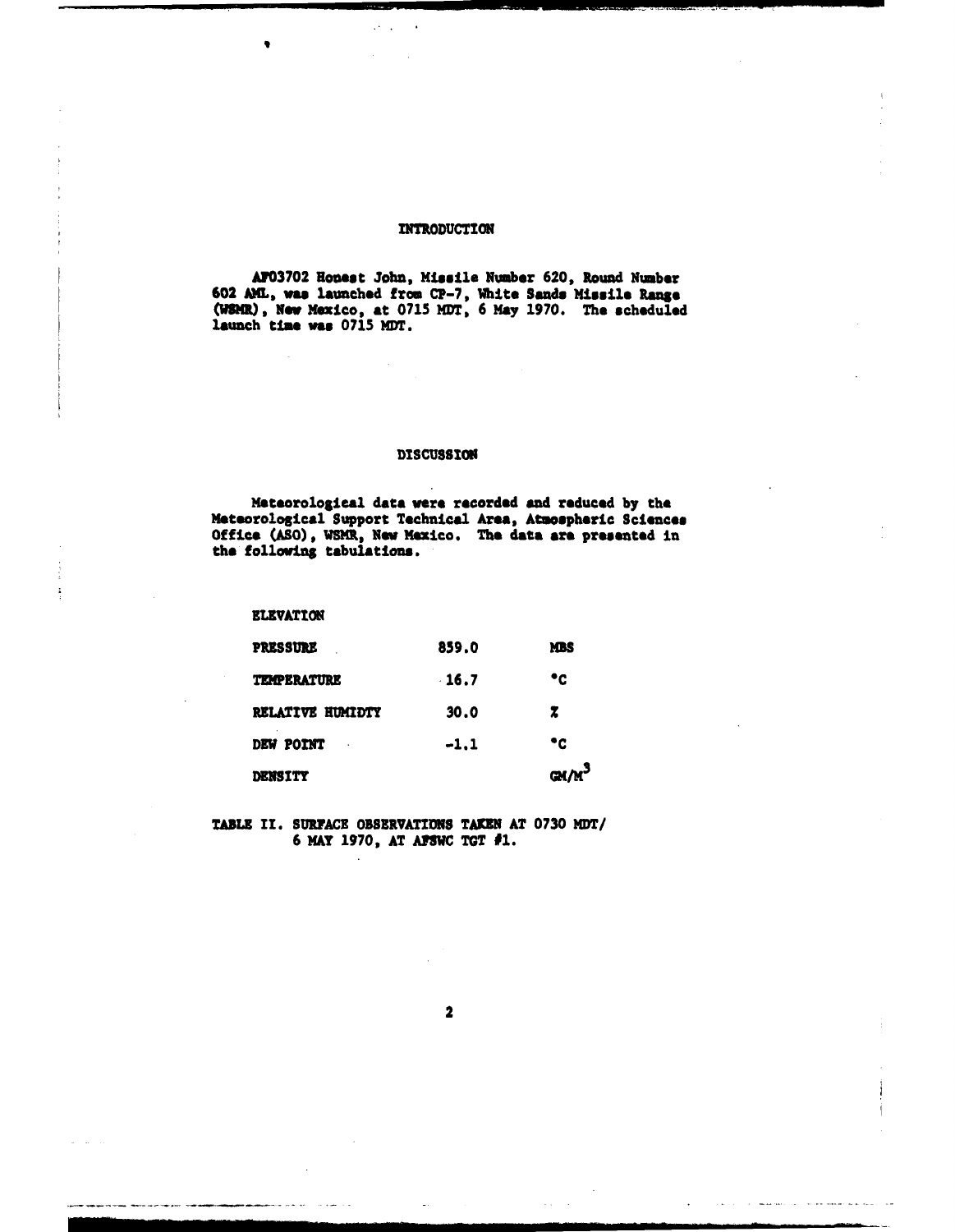#### INTRODUCTION

A703702 Honest John, Missile Number 620, Round Number 602 A1L, **was** launched from **CP-7,** White **Sands** Missile **Ranue** (WSMR), New Mexico, at 0715 MDT, 6 May 1970. The scheduled launch time **was** 0715 MDT.

#### DISCUSSION

Meteorological data were recorded and reduced by the Meteorological Support Technical Area, Atmospheric Sciences Office **(AO),** WISM, New Mexico. The data ere presented **in** the following tabulations.

ELEVATION

| <b>DENSITY</b>          |         | $GM/M^3$   |
|-------------------------|---------|------------|
| DEW POINT               | $-1.1$  | ۰c         |
| <b>RELATIVE HUMIDTY</b> | 30.0    | z          |
| <b>TEMPERATURE</b>      | $-16.7$ | ۰c         |
| <b>PRESSURE</b>         | 859.0   | <b>MBS</b> |

TABLE II. SURFACE OBSERVATIONS TAKEN AT 0730 MDT/ 6 MAY 1970, AT AFSWC TGT #1.

2

make the companies where the most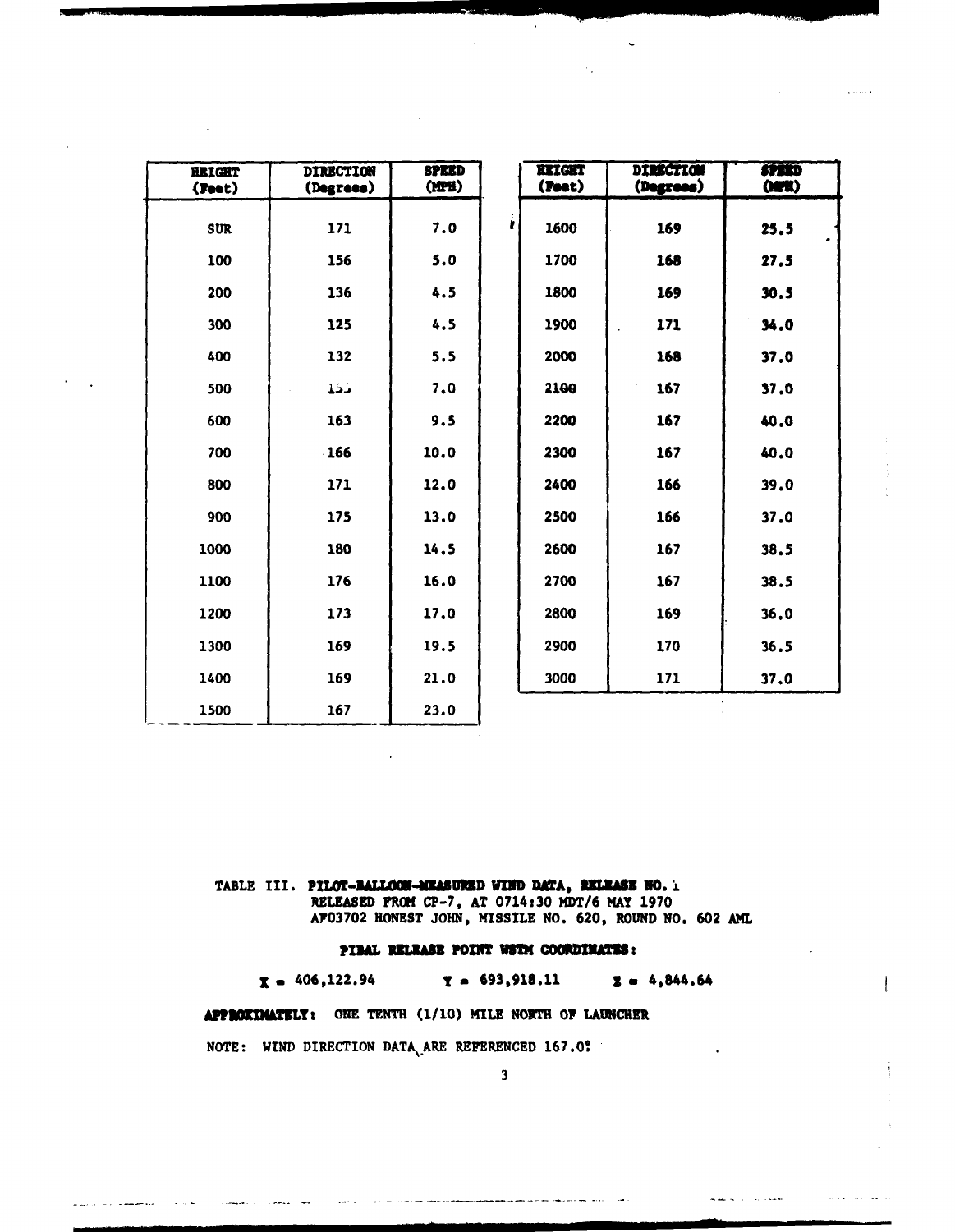| <b>HEIGHT</b><br>(Feet) | <b>DIRECTION</b><br>(Degrees) | <b>SPEED</b><br>(MPI) |   | <b>HEIGHT</b><br>(Feet) | <b>DIRECTION</b><br>(Degrees) | <b>SPEED</b><br>000 |
|-------------------------|-------------------------------|-----------------------|---|-------------------------|-------------------------------|---------------------|
| <b>SUR</b>              | 171                           | 7.0                   | r | 1600                    | 169                           | 25.5                |
| 100                     | 156                           | 5.0                   |   | 1700                    | 168                           | 27.5                |
| 200                     | 136                           | 4.5                   |   | 1800                    | 169                           | 30.5                |
| 300                     | 125                           | 4.5                   |   | 1900                    | 171                           | 34.0                |
| 400                     | 132                           | 5.5                   |   | 2000                    | 168                           | 37.0                |
| 500                     | 155                           | 7.0                   |   | 2100                    | 167                           | 37.0                |
| 600                     | 163                           | 9.5                   |   | 2200                    | 167                           | 40.0                |
| 700                     | 166                           | 10.0                  |   | 2300                    | 167                           | 40.0                |
| 800                     | 171                           | 12.0                  |   | 2400                    | 166                           | 39.0                |
| 900                     | 175                           | 13.0                  |   | 2500                    | 166                           | 37.0                |
| 1000                    | 180                           | 14.5                  |   | 2600                    | 167                           | 38.5                |
| 1100                    | 176                           | 16.0                  |   | 2700                    | 167                           | 38.5                |
| 1200                    | 173                           | 17.0                  |   | 2800                    | 169                           | 36.0                |
| 1300                    | 169                           | 19.5                  |   | 2900                    | 170                           | 36.5                |
| 1400                    | 169                           | 21.0                  |   | 3000                    | 171                           | 37.0                |
| 1500                    | 167                           | 23.0                  |   |                         |                               |                     |

TABLE III. PILOT-BALLOCH-MEASURED WIND DATA, RELEASE NO. 1

RELEASED FROM CP-7, AT 0714:30 MDT/6 MAY 1970<br>AF03702 HONEST JOHN, MISSILE NO. 620, ROUND NO. 602 AML

#### PIBAL RELEASE POINT WSTH COORDINATES:

 $x = 406, 122.94$  $Y = 693,918.11$  $2 = 4,844.64$ 

APPROXIMATELY: ONE TENTH (1/10) MILE NORTH OF LAUNCHER

NOTE: WIND DIRECTION DATA ARE REFERENCED 167.0?

an constant contractor in the contractor of the

 $\alpha_{\rm{eff}} \rightarrow \alpha_{\rm{eff}}$  and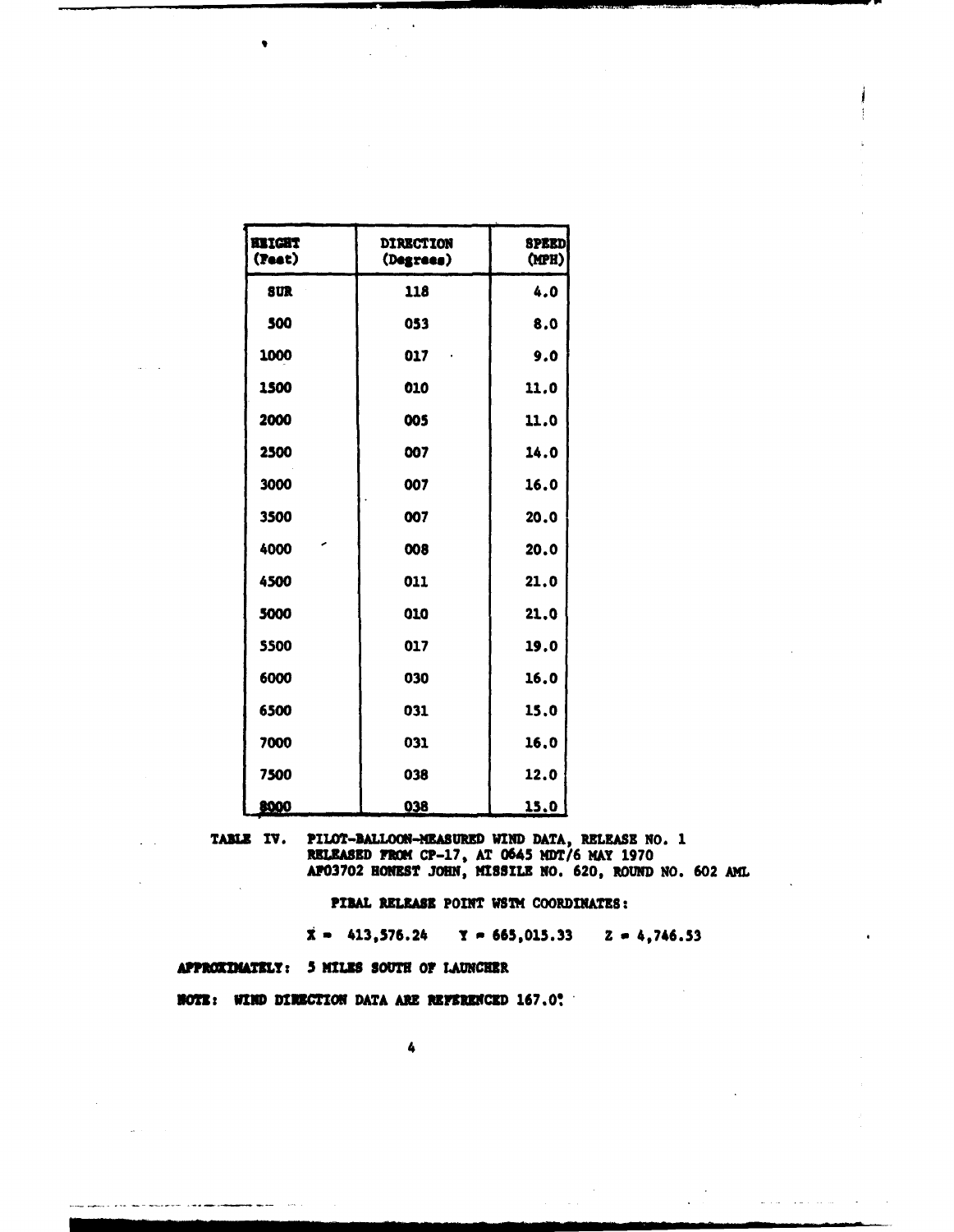| <b>KEIGHT</b><br>(Feet) | <b>DIRECTION</b><br>(Degrees) | <b>SPEED</b><br>(MPH) |
|-------------------------|-------------------------------|-----------------------|
| <b>SUR</b>              | 118                           | 4.0                   |
| 500                     | 053                           | 8.0                   |
| 1000                    | 017                           | 9.0                   |
| 1500                    | 010                           | 11.0                  |
| 2000                    | 005                           | 11.0                  |
| 2500                    | 007                           | 14.0                  |
| 3000                    | 007                           | 16.0                  |
| 3500                    | 007                           | 20.0                  |
| 4000                    | 008                           | 20.0                  |
| 4500                    | 011                           | 21.0                  |
| 5000                    | 010                           | 21.0                  |
| 5500                    | 017                           | 19.0                  |
| 6000                    | 030                           | 16.0                  |
| 6500                    | 031                           | 15,0                  |
| 7000                    | 031                           | 16.0                  |
| 7500                    | 038                           | 12.0                  |
| 8000                    | 038                           | 15.0                  |

 $\mathcal{C}^{(1)}$ 

TABLE IV. PILOT-BALLOON-MEASURED WIND DATA, RELEASE NO. 1<br>RELEASED FROM CP-17, AT 0645 MDT/6 MAY 1970<br>AP03702 HONEST JOHN, MISSILE NO. 620, ROUND NO. 602 AML

PIBAL RELEASE POINT WSTM COORDINATES:

 $\bar{x}$  = 413,576.24  $\bar{y}$  = 665,015.33  $\bar{z}$  = 4,746.53

 $\mathbf{u}$  , and  $\mathbf{u}$  ,  $\mathbf{u} = \mathbf{u}$  , and  $\mathbf{u} = \mathbf{u}$ 

APPROXIMATELY: 5 MILES SOUTH OF LAUNCHER

**NOTE:** WIND DIRECTION DATA ARE REFERENCED 167.0?

4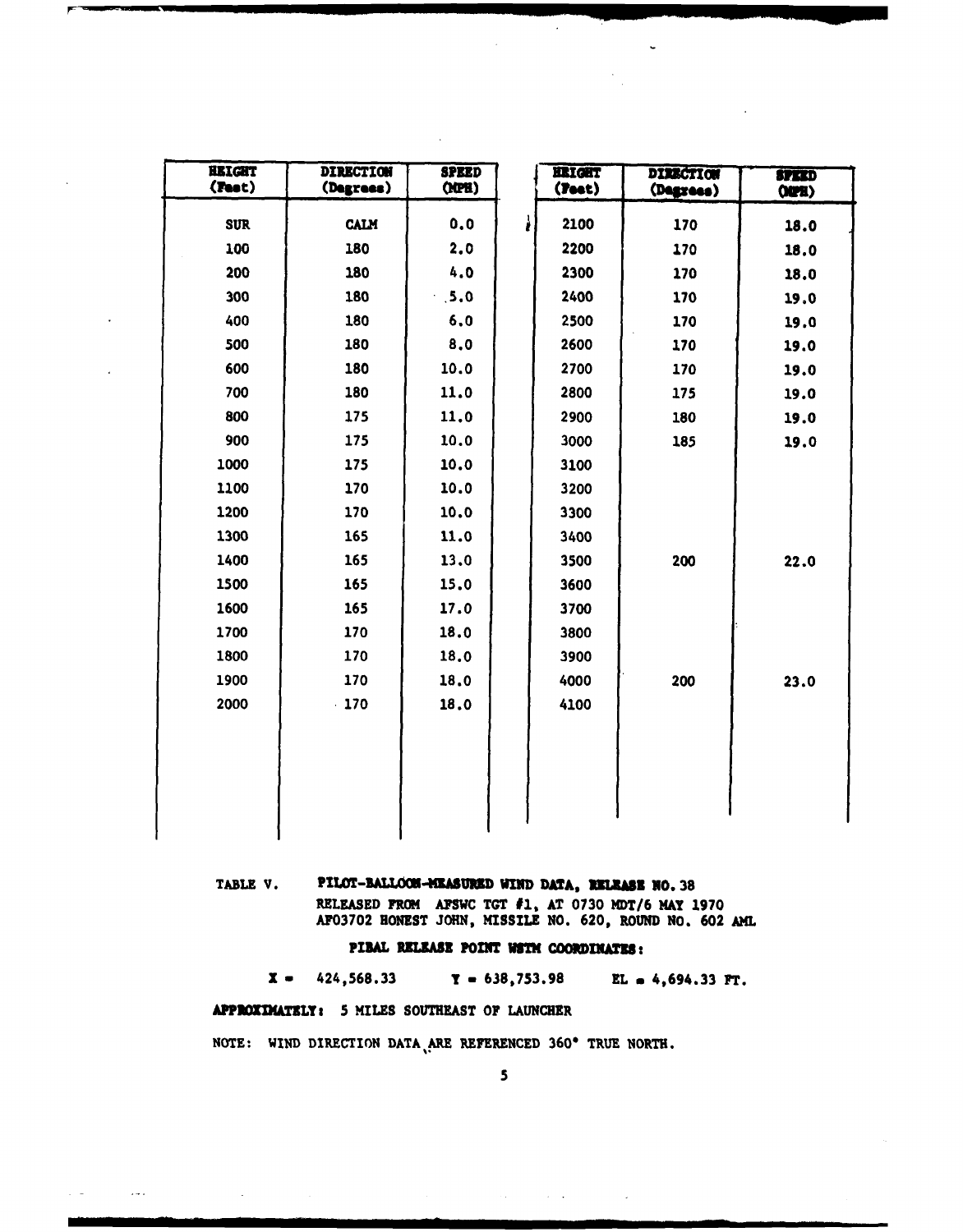| <b>HEIGHT</b><br>(Feet) | <b>DIRECTION</b><br>(Degrees) | <b>SPEED</b><br>(NPH) |   | <b>IRIGHT</b><br>(Feet) | <b>DIRECTION</b><br>(Degrees) | <b>SPEED</b><br>002 |
|-------------------------|-------------------------------|-----------------------|---|-------------------------|-------------------------------|---------------------|
| <b>SUR</b>              | <b>CALM</b>                   | 0.0                   | ì | 2100                    | 170                           | 18.0                |
| 100                     | 180                           | 2.0                   |   | 2200                    | 170                           | 18.0                |
| 200                     | 180                           | 4.0                   |   | 2300                    | 170                           | 18.0                |
| 300                     | 180                           | .5.0                  |   | 2400                    | 170                           | 19.0                |
| 400                     | 180                           | 6.0                   |   | 2500                    | 170                           | 19.0                |
| 500                     | 180                           | 8.0                   |   | 2600                    | 170                           | 19.0                |
| 600                     | 180                           | 10.0                  |   | 2700                    | 170                           | 19.0                |
| 700                     | 180                           | 11.0                  |   | 2800                    | 175                           | 19.0                |
| 800                     | 175                           | 11.0                  |   | 2900                    | 180                           | 19.0                |
| 900                     | 175                           | 10.0                  |   | 3000                    | 185                           | 19.0                |
| 1000                    | 175                           | 10.0                  |   | 3100                    |                               |                     |
| 1100                    | 170                           | 10.0                  |   | 3200                    |                               |                     |
| 1200                    | 170                           | 10.0                  |   | 3300                    |                               |                     |
| 1300                    | 165                           | 11.0                  |   | 3400                    |                               |                     |
| 1400                    | 165                           | 13.0                  |   | 3500                    | 200                           | 22.0                |
| 1500                    | 165                           | 15.0                  |   | 3600                    |                               |                     |
| 1600                    | 165                           | 17.0                  |   | 3700                    |                               |                     |
| 1700                    | 170                           | 18.0                  |   | 3800                    |                               |                     |
| 1800                    | 170                           | 18.0                  |   | 3900                    |                               |                     |
| 1900                    | 170                           | 18.0                  |   | 4000                    | 200                           | 23.0                |
| 2000                    | $-170$                        | 18.0                  |   | 4100                    |                               |                     |
|                         |                               |                       |   |                         |                               |                     |
|                         |                               |                       |   |                         |                               |                     |
|                         |                               |                       |   |                         |                               |                     |
|                         |                               |                       |   |                         |                               |                     |
|                         |                               |                       |   |                         |                               |                     |

#### PILOT-BALLOCH-MEASURED WIND DATA, RELEASE NO. 38 TABLE V.

RELEASED FROM AFSWC TGT #1, AT 0730 MDT/6 MAY 1970<br>AF03702 HONEST JOHN, MISSILE NO. 620, ROUND NO. 602 AML

#### PIBAL RELEASE POINT WSTM COORDINATES:

 $\mathbf{x}$  = 424,568.33  $Y = 638,753.98$ EL  $= 4,694.33$  FT.

APPROXIMATELY: 5 MILES SOUTHEAST OF LAUNCHER

المسار

NOTE: WIND DIRECTION DATA ARE REFERENCED 360° TRUE NORTH.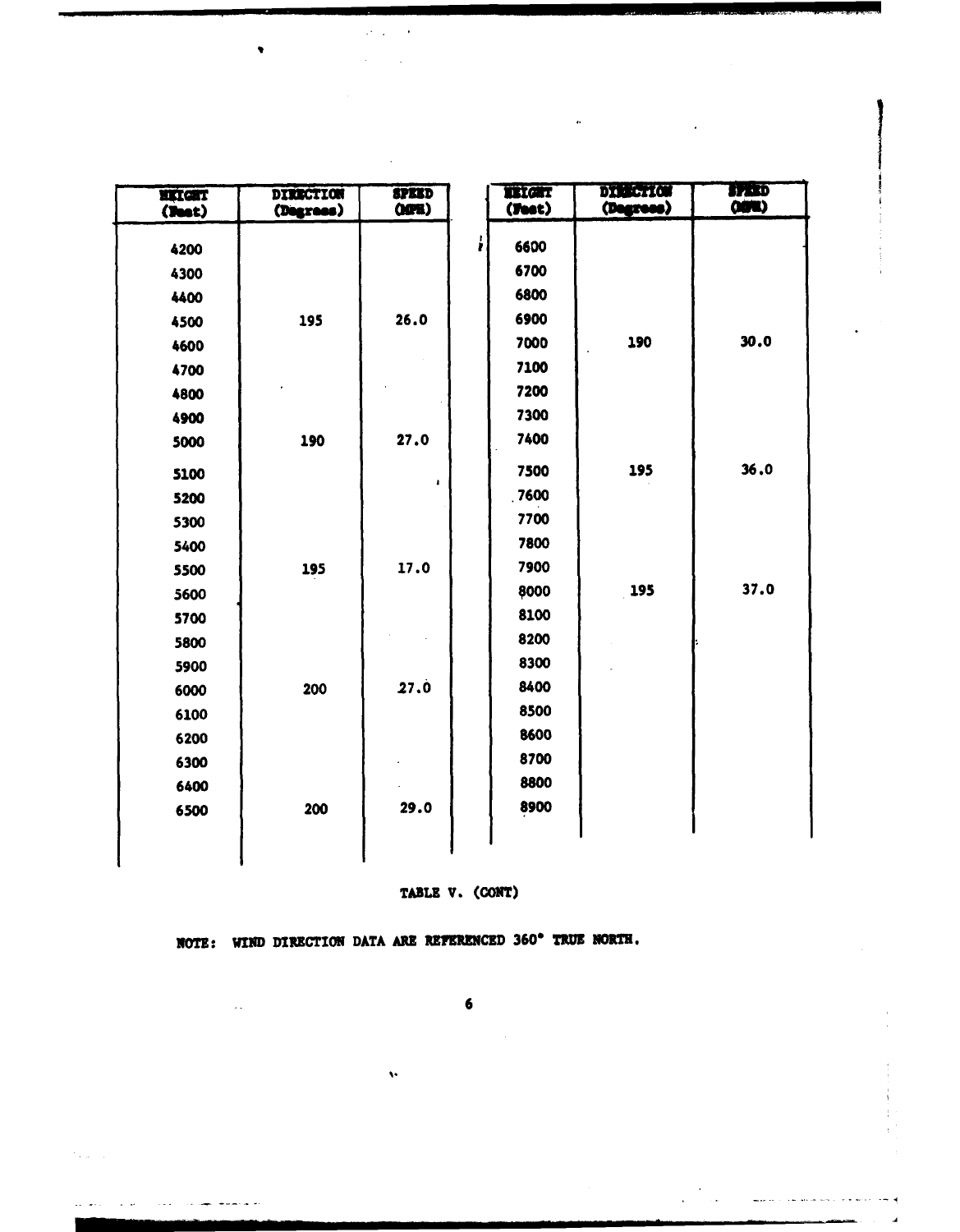| <b>HITGHT</b><br>(2ext) | <b>DIRECTION</b><br>(Degrees) | <b>SPEED</b><br>OCH |   | <b>TELCHT</b><br>(Feet) | DI SECTION<br>(Degrees) | <b>BARD</b><br>(OBRU) |
|-------------------------|-------------------------------|---------------------|---|-------------------------|-------------------------|-----------------------|
|                         |                               |                     | ł | 6600                    |                         |                       |
| 4200                    |                               |                     |   |                         |                         |                       |
| 4300                    |                               |                     |   | 6700                    |                         |                       |
| 4400                    |                               |                     |   | 6800                    |                         |                       |
| 4500                    | 195                           | 26.0                |   | 6900                    |                         |                       |
| 4600                    |                               |                     |   | 7000                    | 190                     | 30.0                  |
| 4700                    |                               |                     |   | 7100                    |                         |                       |
| 4800                    |                               |                     |   | 7200                    |                         |                       |
| 4900                    |                               |                     |   | 7300                    |                         |                       |
| 5000                    | 190                           | 27.0                |   | 7400                    |                         |                       |
| 5100                    |                               | ,                   |   | 7500                    | 195                     | 36.0                  |
| 5200                    |                               |                     |   | .7600                   |                         |                       |
| 5300                    |                               |                     |   | 7700                    |                         |                       |
| 5400                    |                               |                     |   | 7800                    |                         |                       |
| 5500                    | 195                           | 17.0                |   | 7900                    |                         |                       |
| 5600                    |                               |                     |   | 8000                    | 195                     | 37.0                  |
| 5700                    |                               |                     |   | 8100                    |                         |                       |
| 5800                    |                               |                     |   | 8200                    |                         |                       |
| 5900                    |                               |                     |   | 8300                    |                         |                       |
| 6000                    | 200                           | 27.0                |   | 8400                    |                         |                       |
| 6100                    |                               |                     |   | 8500                    |                         |                       |
| 6200                    |                               |                     |   | 8600                    |                         |                       |
| 6300                    |                               |                     |   | 8700                    |                         |                       |
| 6400                    |                               |                     |   | 8800                    |                         |                       |
| 6500                    | 200                           | 29.0                |   | 8900                    |                         |                       |
|                         |                               |                     |   |                         |                         |                       |
|                         |                               |                     |   |                         |                         |                       |

 $\hat{\mathbf{r}}$ 

 $\omega_{\rm{max}}=0$  $\Delta \sim 10^{11}$ 

#### TABLE V. (CONT)

 $\mathcal{F}$  . The same

للاستسلام لسناعات المتاري المرتب الربس وو

 $\sim$   $\sim$ 

**NOTE: WIND DIRECTION DATA ARE REFERENCED 360° TRUE NORTH.** 

 $\sim 10^7$ 

باشعام المستشفين والمقط

**6**

 $\ddot{\phantom{a}}$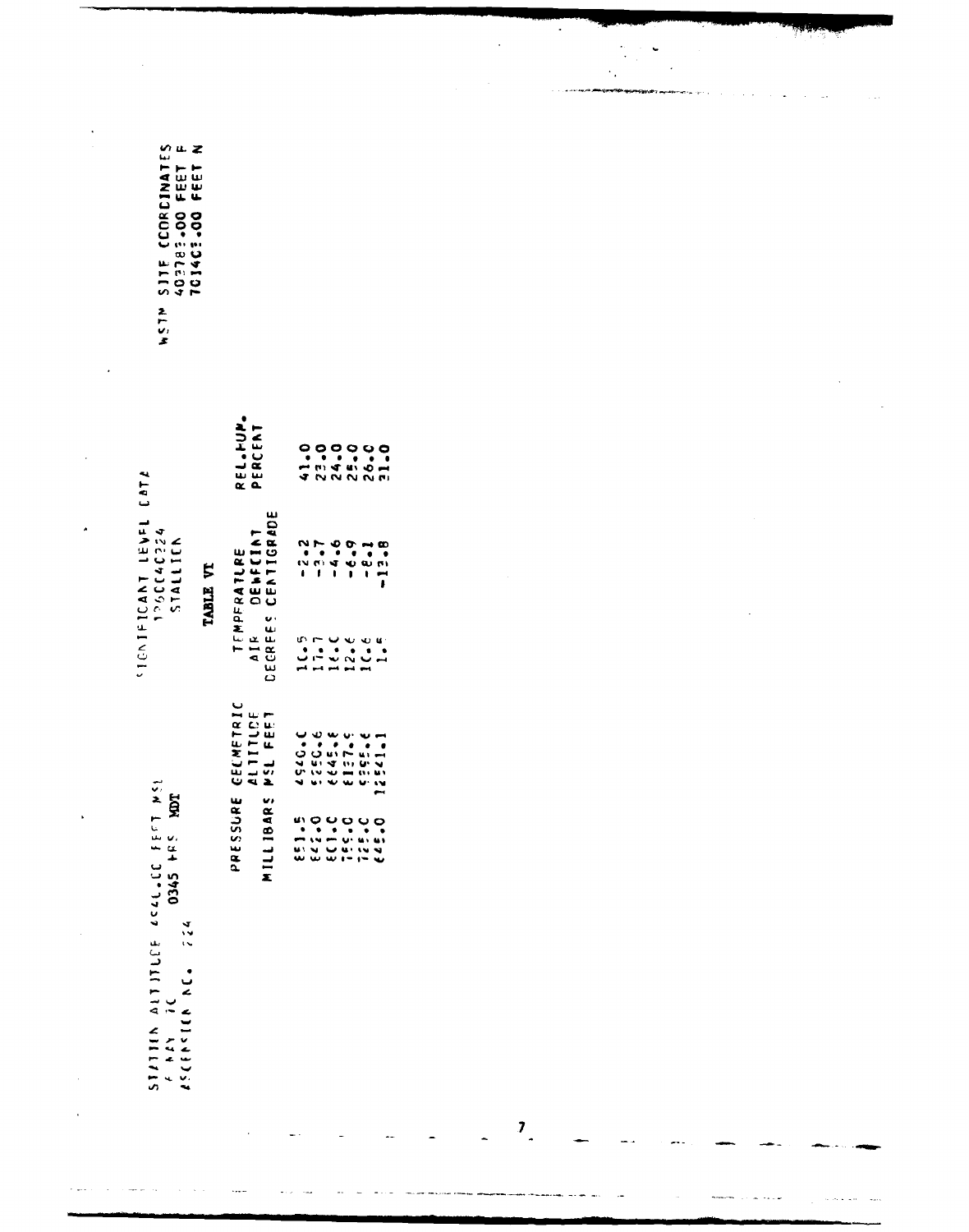|                                                                                                      |                                       |                                                                                                                           |                          |  | ٠ |  |
|------------------------------------------------------------------------------------------------------|---------------------------------------|---------------------------------------------------------------------------------------------------------------------------|--------------------------|--|---|--|
| CCORDINATES<br>83.00 FEET F<br>83.00 FEET N<br>00 - 50 > 101<br>00 - 50 + 101<br>511E<br><b>NSTN</b> |                                       |                                                                                                                           |                          |  |   |  |
| <b>CATA</b>                                                                                          | REL.HUM.<br>PERCENT                   | 2222222                                                                                                                   |                          |  |   |  |
| <b>IEAEL</b><br>120CC4C224<br>STALLICK<br>٠<br>TABLE VT                                              | DEWFCINT<br>CENTIGRADE<br>TEMPFRATLRE |                                                                                                                           | $\pmb{\cdot}$            |  |   |  |
| <b>SIGNIFICANT</b>                                                                                   | DECREES<br>A I R                      | $\begin{array}{c}\n\mathbf{u} \cdot \mathbf{r} & \mathbf{u} \\ \bullet & \bullet & \bullet\n\end{array}$<br>$\frac{1}{2}$ | $\overline{\phantom{0}}$ |  |   |  |
|                                                                                                      | CECMETRIC<br>ALTITLOE<br>MSL FEET     | $\overline{\phantom{0}}$                                                                                                  |                          |  |   |  |
| STATION ALTITLE ACAL.CE FEET MSL<br>A MAY IC<br>COAS PES MOT<br>$\frac{2}{3}$ $\frac{2}{3}$          | PRESSURE<br>MILLIBARS                 |                                                                                                                           |                          |  |   |  |
| VOILAGES                                                                                             |                                       |                                                                                                                           |                          |  |   |  |

 $\mathcal{A}^{\mathcal{A}}$  , where  $\mathcal{A}^{\mathcal{A}}$  and  $\mathcal{A}^{\mathcal{A}}$  , where  $\mathcal{A}^{\mathcal{A}}$ 

 $\bar{\omega}_{\rm{max}}$ 

 $\hat{A}$ 

 $\mathbf{Z}$ 

 $\sim 10^6$ 

where  $\hat{a}_{\rm{max}}$  is a set of  $\hat{a}$ 

 $\mathcal{A}^{\text{c}}$  and

 $\sim 100$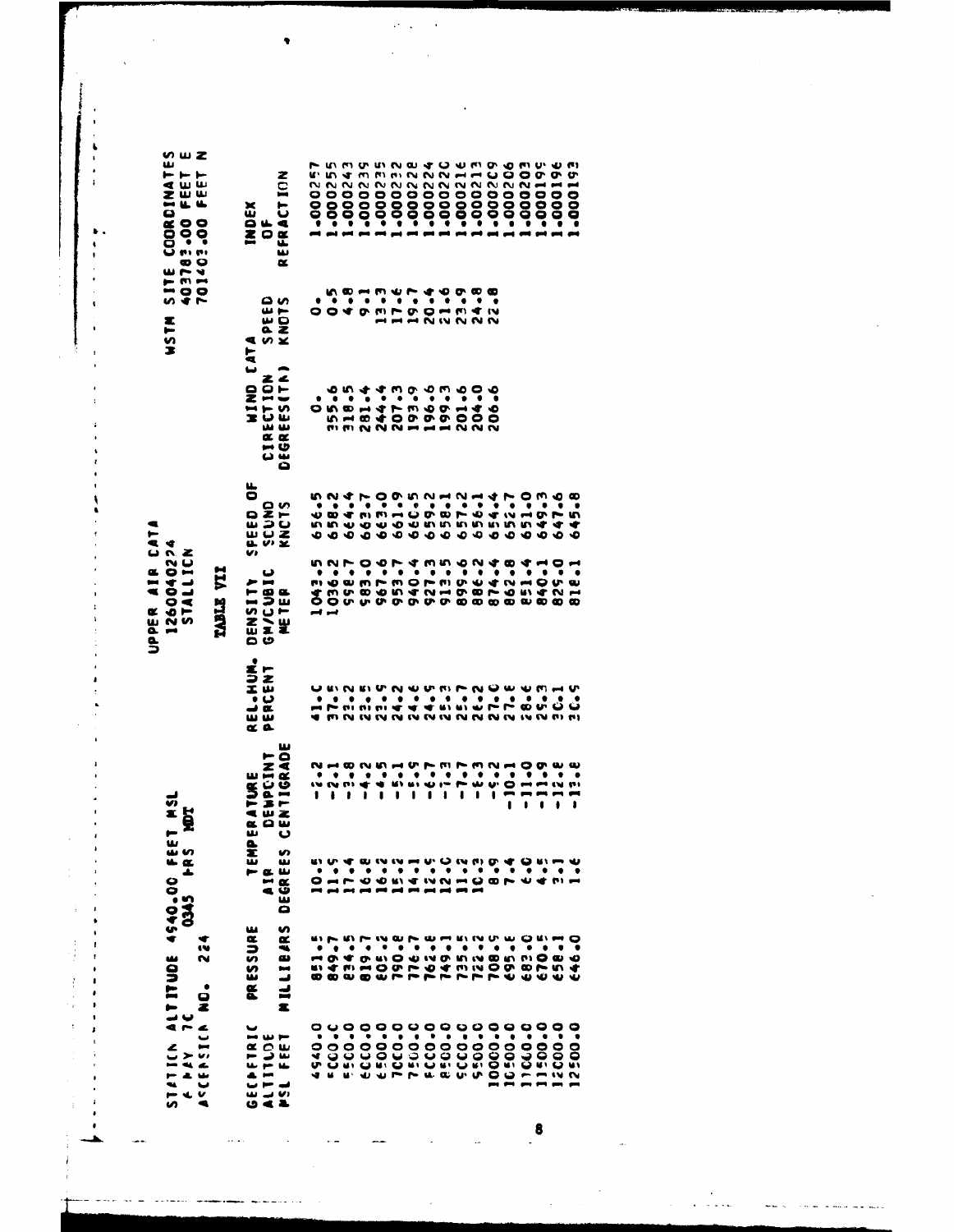UPPER AIR CATA

 $\cdot$  $\ddot{\cdot}$ 

 $\ddot{\cdot}$ 

 $\bullet$  .  $\frac{4}{1}$  $\ddot{\cdot}$ 

 $\ddot{\phantom{a}}$ 

 $\ddot{\phantom{0}}$ 

×

 $\frac{1}{2}$ 

Ĵ  $\frac{1}{2}$ j, ľ

 $\cdot$ 

 $\bullet$ 

▲

SITE COORDINATES<br>403783.00 FEET E<br>701403.00 FEET N **HISTM S** 1260040224 STALLICN TABLE VII STATICK ALTITUDE 4540.00 FEET MSL<br>ALTICK TITUDE 4540.00 FEET MSL 10145 **PRS POT** 224 ACCENCIA NO.

 $\sim$  .

-000209 -000243 522000\* -000228 1-000257  $-000255$ -000239 -000232  $-000224$ -000220  $-000216$ -000213 -000206 E02000--000199  $-000196$ 2900192 REFRACTION **INDEX**<br>Of  $0.97$ 12.47 20.44  $24.8$ <br> $22.8$ SPEED<br>KNOTS  $\dot{\bullet}$ **NIND CATA DEGREES(TN)** CIRECTION  $355.6$ <br>  $318.5$ <br>  $281.4$ 244.4<br>207.3<br>193.9 196.6 199.3 201.6 204.0 206-6  $\ddot{\circ}$ SPEED OF 658-1<br>657-2<br>656-1 652.7<br>651.0<br>649.3<br>647.6  $656.5$ <br> $658.2$ 644.4<br>663.99<br>6653.99<br>660.59 659.2 645-8 654.4 SCUND<br>KNCTS 583.0<br>967.6 1043.5 940.4 S27.3 913.5 899-6 874.4 953.7 862.8 829-0 558.7 886.2 **B51.4** 840-1 **B18.1** GM/CUBIC DENSITY NETER<sup>1</sup> REL.HUM. PERCENT DEGREES CENTIGRADE DEWPCINT  $-11.2$ <br>  $-12.2$  $-10.1$  $-13.8$  $-1.7$  $-8.3$  $-5.2$ TEMPERATURE  $\frac{47}{4} - \frac{47}{11}$ A<sub>1</sub>e MILLIBARS PRESSURE 851.5<br>849.7<br>834.5 805.2<br>790.8 749-1<br>735-5 483.40<br>670.5 162-E 08.9 **E95.E**  $658 - 1$ 176.7 2-22 646.0 940.0  $-0.03$ **ECCO.0** 5-0055 10000.0 11040-0 11500.0 2000-0 GECHETRIC 1003  $6.500 - 0$ **PCCO-0** 1:00-0 **FCCO.0 BECO.0 3-0335** 10:00.0 0-00521 **PSL FEET** ALTITUDE

 $\mathcal{A}^{\pm}$  .

8

 $\ddot{\phantom{a}}$  $\sim$   $\sim$   $\sim$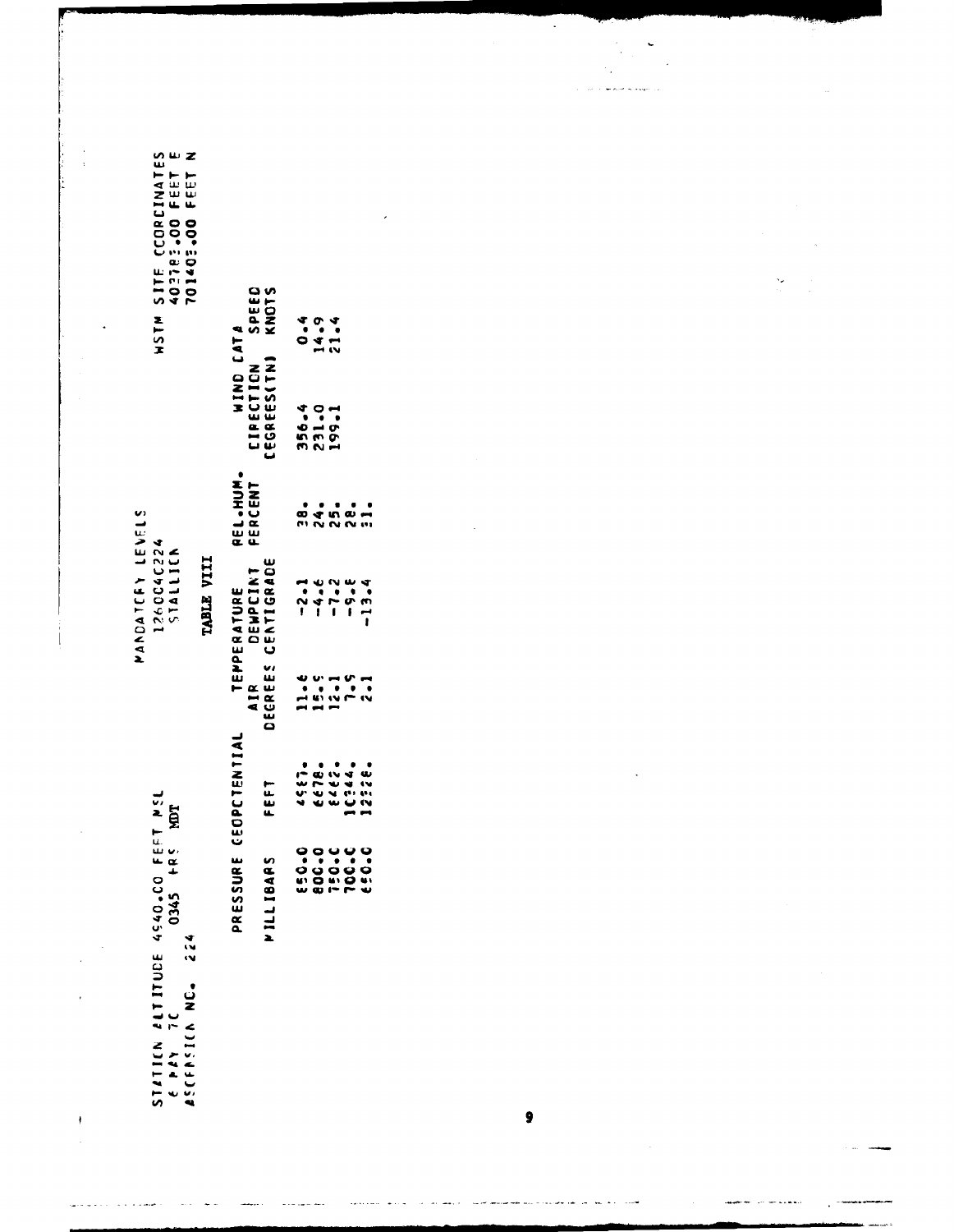STATICN ALTITUDE 4540.00 FEFT MSL<br>6 PAY 7C ASCENSION NC. 224

 $\bar{\gamma}$  $\ddot{\phantom{0}}$ 

 $\begin{array}{c} \bullet \\ \bullet \end{array}$ 

MANDATCFY LEVELS<br>126004C224<br>51ALLICN

**WSTM SITE CCORDINATES<br>40278:300 FEET E<br>40278:300 FEET N** 

J.

 $\overline{\phantom{a}}$ 

 $\ddot{\phantom{0}}$ 

TABLE VIII

|           | PRESSURE CEOPCTENTIAL                                                |                                                   | REL.HUM.<br>Percent |                                          |                       |
|-----------|----------------------------------------------------------------------|---------------------------------------------------|---------------------|------------------------------------------|-----------------------|
| PILLIBARS | FEFT                                                                 | TEPPERATURE<br>AIR DEWPCINT<br>DEGREES CENTIGRADE |                     | WIND CATA<br>CIPECTION S'<br>CEGREES(TN) | <b>SPEED</b><br>KNOTS |
|           |                                                                      |                                                   |                     |                                          |                       |
|           | $4801444$<br>$4814444$<br>$4814444$<br>$481444$<br>$48144$<br>$4814$ | $74794$<br>$74794$<br>$11794$                     |                     | 356.4<br>231.0<br>199.1                  | 0.494                 |
|           |                                                                      |                                                   |                     |                                          |                       |
|           |                                                                      |                                                   |                     |                                          |                       |
|           |                                                                      |                                                   |                     |                                          |                       |

9

 $\ddot{\phantom{0}}$ 

 $\ddot{\phantom{0}}$  $\ddot{\phantom{0}}$ 

à.

 $\frac{1}{2}$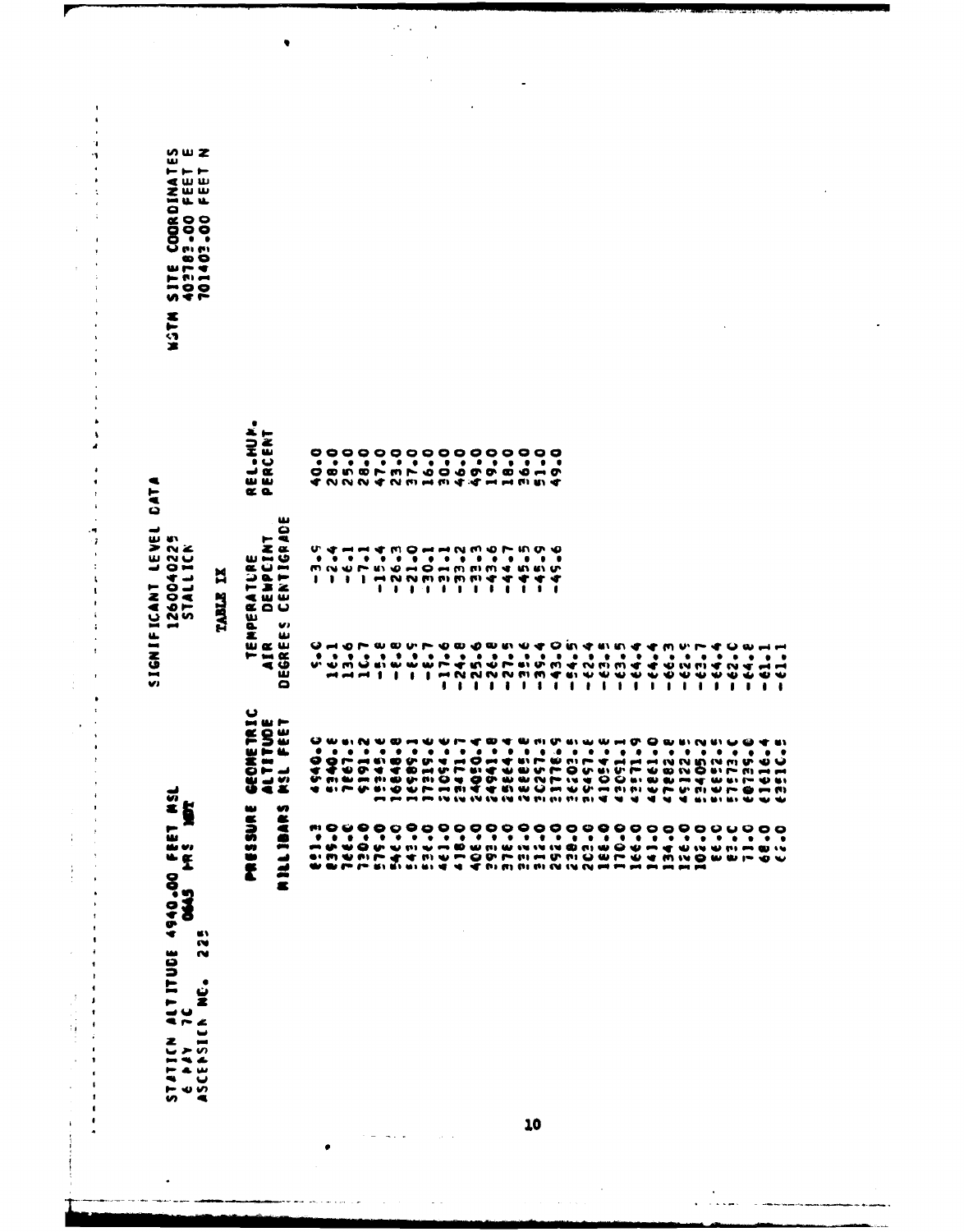| ⊢ ⊢ ⊢<br><b>マール</b><br>アルル<br><b>DIANE</b><br>00000<br>100000<br>13000<br>$\bullet$<br><b>WM</b><br>Egg<br>いすだ<br><b>NSTN</b><br><b>DATA</b> |            | ٠<br><b>IEL-HUP.</b><br>PERCENT<br>$\alpha$ a                                      | w                            | ٠                    | ٠                               | $\bullet$            | $\bullet$                                      | ٠                                   | °°°°°°°°°°°°°°°°<br>$\bullet$<br>O @ \$ @ Q Q Q Q Q Q & Q & Q<br><b>TONN THAT THAM A THAM A T</b>                                                                                                                                                                                                                                                                                                                                                                                                                                                                                                             | ۰                           | $\bullet$                   | $\bullet$                        | $\bullet$      | ۰                                                        | ٠      | $\bullet$                        | $\bullet$                                      | $\bullet$                      | ٠                                            |                                                                        |           |                             |                           |                |                                                                       |                                           |                                         |   |                                    |                                                                                                 |                                                                             |                  |
|----------------------------------------------------------------------------------------------------------------------------------------------|------------|------------------------------------------------------------------------------------|------------------------------|----------------------|---------------------------------|----------------------|------------------------------------------------|-------------------------------------|---------------------------------------------------------------------------------------------------------------------------------------------------------------------------------------------------------------------------------------------------------------------------------------------------------------------------------------------------------------------------------------------------------------------------------------------------------------------------------------------------------------------------------------------------------------------------------------------------------------|-----------------------------|-----------------------------|----------------------------------|----------------|----------------------------------------------------------|--------|----------------------------------|------------------------------------------------|--------------------------------|----------------------------------------------|------------------------------------------------------------------------|-----------|-----------------------------|---------------------------|----------------|-----------------------------------------------------------------------|-------------------------------------------|-----------------------------------------|---|------------------------------------|-------------------------------------------------------------------------------------------------|-----------------------------------------------------------------------------|------------------|
| LEVEL<br>10225<br>ICN<br><b>ALLIA</b><br>171125<br>ICANT<br>$\blacksquare$<br>IGNIF<br>V)                                                    | ¤<br>TABLE | ►<br>z a<br>ERATURE<br>Déwpcin<br>Centigr<br>NPE <sub></sub><br>TEI<br>AIR<br>SREI | ٥<br>œ,<br>U)<br>w<br>Ŵ<br>٥ | U.<br>$\bullet$<br>ı | m n m<br>,<br>$\bullet$<br>חשיש | うつ<br>٠<br>$\bullet$ | ⊷<br>$\bullet$<br>$\mathbf{r}$<br>$\mathbf{c}$ | ٠<br>$\bullet$<br><b>PE AL AL 1</b> | $\mathbf{u}$ , $\mathbf{v}$ and $\mathbf{v}$<br>$\begin{array}{c} \blacksquare \hspace{0.2cm} \blacksquare \hspace{0.2cm} \blacksquare \hspace{0.2cm} \blacksquare \hspace{0.2cm} \blacksquare \hspace{0.2cm} \blacksquare \hspace{0.2cm} \blacksquare \hspace{0.2cm} \blacksquare \hspace{0.2cm} \blacksquare \hspace{0.2cm} \blacksquare \hspace{0.2cm} \blacksquare \hspace{0.2cm} \blacksquare \hspace{0.2cm} \blacksquare \hspace{0.2cm} \blacksquare \hspace{0.2cm} \blacksquare \hspace{0.2cm} \blacksquare \hspace{0.2cm} \blacksquare \$<br>٠<br>۰<br><b><i><u>UI W W W </u></i></b><br>$\mathbf{I}$ | $\blacksquare$<br>$\bullet$ | $\bullet$<br>$\blacksquare$ | $\bullet$<br>$\bullet$<br>∼<br>ı | $\bullet$<br>ı | $1 \cdot 1 \cdot 1$<br>$\bullet$<br>ナツット<br>M N N W<br>, | ٠<br>, | ▾<br>$\bullet$<br>$\bullet$<br>- | ÷<br>$\mathbf{r}$<br>$\bullet$<br>$\mathbf{I}$ | ◆<br>$\bullet$<br>$\mathbf{1}$ | ÷<br>$\mathbf{I}$<br>$\bullet$<br>$m \neq n$ | $\bullet$<br>$\boldsymbol{m}$ in the $\boldsymbol{m}$<br>$\frac{1}{2}$ | $\bullet$ | ۰<br>m<br>Ψ<br>$\mathbf{I}$ | ٠<br>m er<br>w w          | $\bullet$<br>1 | ◆<br>m<br>$\cdot$<br>$\ddot{\bullet}$<br>₩<br>$\mathbf{I}$<br>$\cdot$ | n.<br>٠<br>w<br>$\bullet$<br>$\mathbf{I}$ | ۰<br><b>AJ</b><br>₩<br>$\mathbf{I}$     | 0 | 7.19<br>$\frac{4}{6}$<br>$\bullet$ | $\bullet$<br>٠<br>$\ddot{\bm{t}}$<br>-                                                          | ٠<br><b>UN</b><br>٠                                                         |                  |
| <b>ENET</b>                                                                                                                                  |            | GEOMETRIC<br>ALTITUDE<br>MSL FEET                                                  | m                            | မ<br>۰               | ٠                               | <b>WHIN</b><br>٠     | $\bullet$                                      | ۰                                   | <b>www</b><br>0011944855<br><b>4 6 7 6 6 9 Q F</b>                                                                                                                                                                                                                                                                                                                                                                                                                                                                                                                                                            | ٠                           | ₩<br>٠                      | ₩<br>$\bullet$                   | r<br>٠         | æ                                                        | ₩<br>٠ | ٠                                | $\bullet$                                      | ٠                              | ٠                                            | <b>A</b> Multi Comm<br>٠                                               | ٠         | $\bullet$                   | $w = 0$ $Q$ $w$<br>٠<br>◥ | ۰              | ۰<br><b>---</b>                                                       | ٠                                         | ש יש<br>٠<br>٠<br><b>NE MANUFACTURE</b> | ٠ | ن س<br>٠                           | ⇔<br>$\bullet$                                                                                  | ٠<br>ູ∿ ⊌<br>$\rightarrow$<br><b>U 61</b><br>$ \omega$<br>$\bm{v}$ $\bm{v}$ | . .<br>$\bullet$ |
| ►<br>ALTITUDE 4940.00 FEE<br>7C<br>0645 PRS<br>3<br>œ۱<br>N<br>N<br>ن<br>گا<br>5787<br>$\blacksquare$                                        |            | ىغا<br>Ş<br>ののとそ                                                                   | c<br>€<br><b>MILLIE</b>      |                      |                                 |                      |                                                |                                     |                                                                                                                                                                                                                                                                                                                                                                                                                                                                                                                                                                                                               |                             |                             |                                  |                |                                                          |        |                                  |                                                |                                |                                              |                                                                        |           |                             |                           |                |                                                                       |                                           |                                         |   |                                    | ーチングテンドリークションスミングにはいっかいしょうこうことが、こうしょうこうしょうこうこうこうこうまではどういうです。それはないのから、そのことをしていることが、そのことをしていることが、 |                                                                             | $\bullet$        |

 $\sim$  .  $\sim$  $\overline{a}$ 

 $\bullet$ 

مال المولود سال يجود المصاد

 $\tau_{\rm eff}$  .

 $\mathcal{A}^{\pm}$  .  $\bar{\beta}$ 

> $\mathbb{R}^2$  $\bar{z}$

> > $\overline{a}$

 $\overline{a}$ 

 $\bullet$ 

И

 $\overline{\phantom{a}}$  $\ddot{\phantom{1}}$ ٠,

÷.

 $\pmb{\mathsf{s}}$ À  $\bullet$  $\overline{\phantom{a}}$ 

٩  $\cdot$ ¢  $\ddot{\phantom{0}}$  $\pmb{\mathfrak{t}}$ j  $\mathbf{r}$  $\ddot{\cdot}$ 

 $\ddot{\phantom{a}}$ 

 $\frac{1}{2}$ 

计可用于

J,

 $\overline{\phantom{a}}$ 

 $\blacksquare$  $\hat{\boldsymbol{\beta}}$ 

10

in<br>Saadii

 $\sim$  $\frac{1}{2} \sum_{i=1}^{n} \frac{1}{2} \sum_{j=1}^{n} \frac{1}{2} \sum_{j=1}^{n} \frac{1}{2} \sum_{j=1}^{n} \frac{1}{2} \sum_{j=1}^{n} \frac{1}{2} \sum_{j=1}^{n} \frac{1}{2} \sum_{j=1}^{n} \frac{1}{2} \sum_{j=1}^{n} \frac{1}{2} \sum_{j=1}^{n} \frac{1}{2} \sum_{j=1}^{n} \frac{1}{2} \sum_{j=1}^{n} \frac{1}{2} \sum_{j=1}^{n} \frac{1}{2} \sum_{j=1}^{n$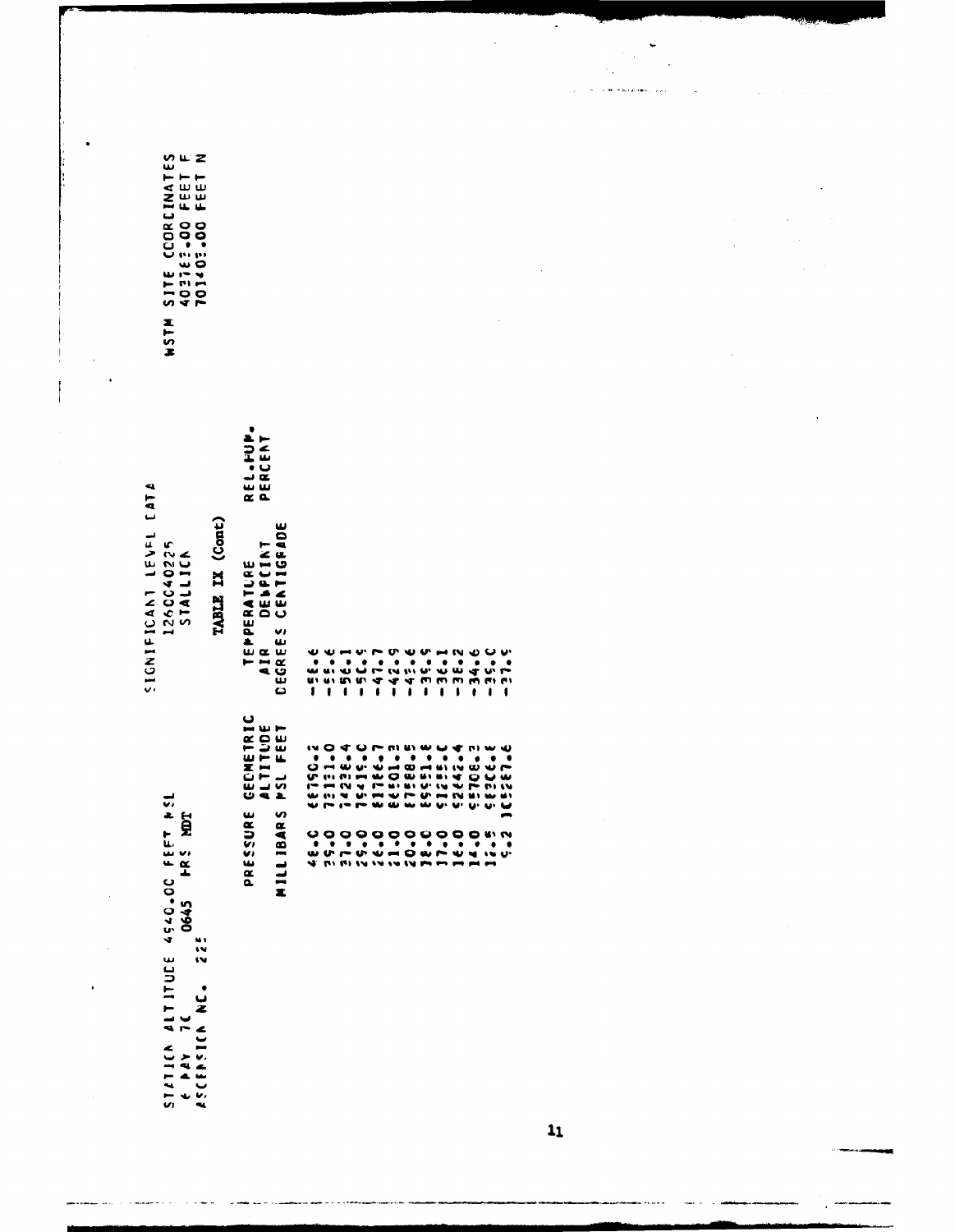|                     |                                                                  |                                            |      |                              | $\overline{\phantom{0}}$<br>$\cdot$<br>$\sim$ |                  |
|---------------------|------------------------------------------------------------------|--------------------------------------------|------|------------------------------|-----------------------------------------------|------------------|
|                     |                                                                  |                                            |      |                              | $\epsilon_{\rm in}$<br>$\gamma_{\rm{in}}$     |                  |
|                     |                                                                  |                                            |      |                              | <b>IL MOTOR CALIFRA L. SULL</b>               | $T_{\rm{max}}=1$ |
|                     |                                                                  |                                            |      |                              |                                               |                  |
|                     |                                                                  |                                            |      |                              |                                               |                  |
|                     |                                                                  |                                            |      |                              |                                               |                  |
|                     |                                                                  |                                            |      |                              |                                               |                  |
|                     |                                                                  |                                            |      |                              |                                               |                  |
|                     | CCORCINATES<br>E2.00 FEET F<br>O3.00 FEET N<br>ר<br>בפפר<br>בפפר |                                            |      |                              |                                               |                  |
|                     |                                                                  |                                            |      |                              |                                               |                  |
|                     | 101403.000                                                       |                                            |      |                              |                                               |                  |
|                     |                                                                  |                                            |      |                              |                                               |                  |
|                     | SITE                                                             |                                            |      |                              |                                               |                  |
|                     |                                                                  |                                            |      |                              |                                               |                  |
|                     |                                                                  |                                            |      |                              |                                               |                  |
|                     | <b>MISH</b>                                                      |                                            |      |                              |                                               |                  |
| $\bar{\phantom{a}}$ |                                                                  |                                            |      |                              |                                               |                  |
|                     |                                                                  |                                            |      |                              |                                               |                  |
|                     |                                                                  |                                            |      |                              |                                               |                  |
|                     |                                                                  |                                            |      |                              |                                               |                  |
|                     |                                                                  | REL.PUP.<br>PERCENT                        |      |                              |                                               |                  |
|                     |                                                                  |                                            |      |                              |                                               |                  |
|                     |                                                                  |                                            |      |                              |                                               |                  |
|                     | <b>CATA</b>                                                      |                                            |      |                              |                                               |                  |
|                     | TABLE IX (Cont)                                                  |                                            |      |                              |                                               |                  |
|                     | 15751<br>1260040225<br>STALLICA                                  | CENTIGRADE                                 |      |                              |                                               |                  |
|                     |                                                                  | DENPCINT                                   |      |                              |                                               |                  |
|                     |                                                                  | TEPPERATURE                                |      |                              |                                               |                  |
|                     | <b>SIGNIFICANT</b>                                               |                                            |      |                              |                                               |                  |
|                     |                                                                  |                                            |      |                              |                                               |                  |
|                     |                                                                  | DEGREES                                    |      |                              |                                               |                  |
|                     |                                                                  | AIR                                        | ss.e |                              |                                               |                  |
|                     |                                                                  |                                            | t    | $-34.6$<br>$-35.0$<br>$-3.5$ |                                               |                  |
|                     |                                                                  |                                            |      |                              |                                               |                  |
|                     |                                                                  | <b>GECMETRIC<br/>ALTITUDE<br/>MSL FEET</b> |      |                              |                                               |                  |
|                     |                                                                  |                                            |      |                              |                                               |                  |
|                     |                                                                  |                                            |      |                              |                                               |                  |
|                     |                                                                  |                                            |      |                              |                                               |                  |
|                     |                                                                  | S                                          |      |                              |                                               |                  |
|                     | <b>4540.00 FEET NSL</b><br>HRS MOT                               | PRESSURE                                   |      |                              |                                               |                  |
|                     |                                                                  | MILLIBAR                                   |      |                              |                                               |                  |
|                     |                                                                  |                                            |      |                              |                                               |                  |
|                     |                                                                  |                                            |      |                              |                                               |                  |
|                     |                                                                  |                                            |      |                              |                                               |                  |
|                     | 0645                                                             |                                            |      |                              |                                               |                  |
|                     | $\ddot{\ddot{\psi}}$                                             |                                            |      |                              |                                               |                  |
|                     | w                                                                |                                            |      |                              |                                               |                  |
|                     |                                                                  |                                            |      |                              |                                               |                  |
|                     |                                                                  |                                            |      |                              |                                               |                  |
|                     | ALTITUDE<br>7C<br>ASCENSICA NC.                                  |                                            |      |                              |                                               |                  |
|                     |                                                                  |                                            |      |                              |                                               |                  |
|                     | A A Y                                                            |                                            |      |                              |                                               |                  |
|                     | ST471CA<br>$\ddot{\phantom{0}}$                                  |                                            |      |                              |                                               |                  |
|                     |                                                                  |                                            |      |                              |                                               |                  |
|                     |                                                                  |                                            |      |                              | $\mathbf{1}_{1}$                              |                  |
|                     |                                                                  |                                            |      |                              |                                               |                  |

 $\bullet$ 

 $\overline{a}$ 

 $\hat{f}$  . The maximum of  $\hat{f}$  is

.....

أدامهم  $\sim$   $\lambda$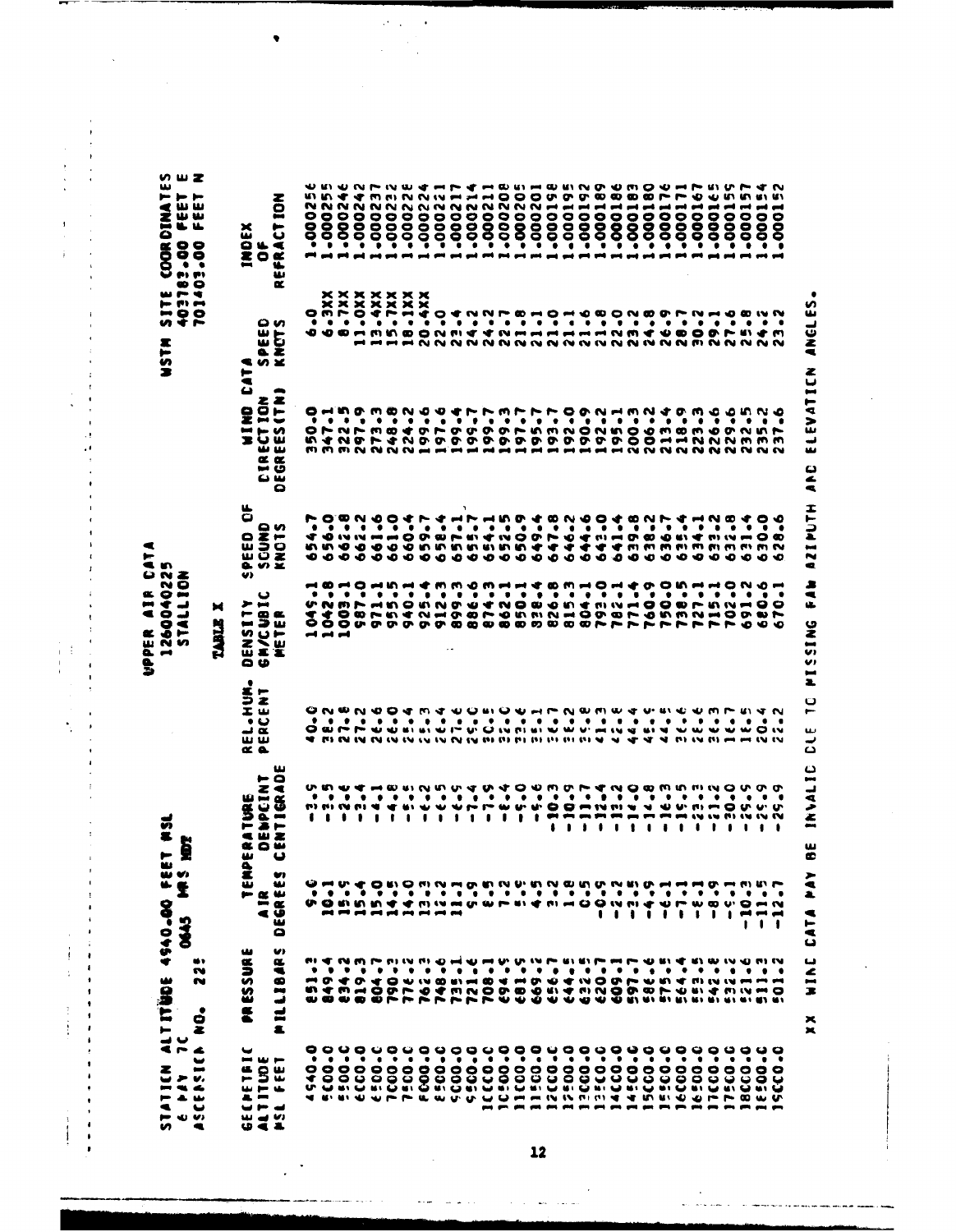UPPER AIR CATA<br>1260040225<br>STALLION

STATICN ALTITÜDE 4940.00 FEET MSL<br>6 PAY TC<br>ASCERSICR NO. 225

**WSTM SITE COORDINATES<br>403183.00 FEET E<br>21403.00.00 FEET N** 

 $\frac{1}{2}$  ,  $\frac{1}{2}$  ,  $\frac{1}{2}$  ,  $\frac{1}{2}$  ,  $\frac{1}{2}$  ,  $\frac{1}{2}$ 

l,  $\mathbf{I}$ 

 $\begin{array}{c} \n\cdot & \cdot & \cdot & \cdot \\
\cdot & \cdot & \cdot & \cdot \\
\cdot & \cdot & \cdot & \cdot\n\end{array}$ 

j,

> J  $\ddot{\phantom{a}}$

í,  $\bar{\rm t}$  $\ddot{\phantom{a}}$  $\cdot$  $\frac{1}{2}$  $\frac{1}{4}$  $\begin{array}{c}\n\cdot \\
\cdot \\
\cdot \\
\cdot\n\end{array}$ 

 $\frac{1}{2}$ 

 $\ddot{\cdot}$ 

J.  $\mathbf{I}$  $\overline{\phantom{a}}$  $\bar{A}$ 

 $\begin{array}{c} \begin{array}{c} \text{i} \\ \text{ii} \\ \text{iii} \end{array} \end{array}$ ÷,  $\blacksquare$ 

 $\blacksquare$  $\cdot$ 

 $\begin{array}{c}\n1 \\
1 \\
1\n\end{array}$ 

 $\begin{array}{c} 1 \\ 1 \\ 1 \end{array}$ 

 $\begin{array}{c} \bullet & \bullet \\ \bullet & \bullet \\ \bullet & \bullet \end{array}$ 

## TABLE X

| ₩ ⊢<br>۴É<br>m<br>\$<br>ш<br>巫<br>ىيا<br>Ħ<br>تقه<br>ē<br>- -<br>$\rightarrow$ $\sim$<br>ىيە<br>w<br>人<br>$\blacksquare$ | U)<br><b>PRESSURE</b><br><b>LIBAR</b><br>d<br>a.                                                                                                                                                                                                                                                                                                                                                                                                                                                                                                  | ÊRP<br>w<br>w<br><b>DEGRE</b><br>g<br>$\blacksquare$          | w<br>$\bar{a}$<br><b>ANDCINI</b><br><b>ATURE</b><br><b>ES</b><br><b>« o w</b><br>ပ<br>فغة | ∙<br><b>SHIP</b><br>►<br>$\overline{\mathbf{z}}$<br>ىك<br>•် မ<br>ے ب<br>யய<br>$\propto$ a                                                                    | မ<br>➤<br>$\blacksquare$<br>5<br>$\mathbf{r}$<br><b>CO</b><br>ш<br>'n<br>N/CI<br>좂<br>۰<br>Đ                                                     | ă<br><b>CUND</b><br>e<br>E<br>Ÿ,<br>ē.<br>×<br>U)           | Eat<br>$\bullet$<br><b>IECTION</b><br><b>ONIA</b><br>Œ.<br>$\alpha$<br>m<br>ن<br>မ<br>ىئا<br>۵ | မ ဟ<br>ية<br>يا<br>È<br>Ö.<br>Ž<br>< ∽ ≚               | EFRACT ION<br>INDEX<br>ŏ<br>α                                                                   |
|--------------------------------------------------------------------------------------------------------------------------|---------------------------------------------------------------------------------------------------------------------------------------------------------------------------------------------------------------------------------------------------------------------------------------------------------------------------------------------------------------------------------------------------------------------------------------------------------------------------------------------------------------------------------------------------|---------------------------------------------------------------|-------------------------------------------------------------------------------------------|---------------------------------------------------------------------------------------------------------------------------------------------------------------|--------------------------------------------------------------------------------------------------------------------------------------------------|-------------------------------------------------------------|------------------------------------------------------------------------------------------------|--------------------------------------------------------|-------------------------------------------------------------------------------------------------|
| ٠                                                                                                                        | e.<br>٠<br>m<br>m                                                                                                                                                                                                                                                                                                                                                                                                                                                                                                                                 | o<br>٠                                                        | ٠<br>ı                                                                                    | $\bullet$                                                                                                                                                     | ٠                                                                                                                                                |                                                             | о<br>٠                                                                                         | $\bullet$                                              | ∾<br>u٦<br>N<br>о<br>0<br>0<br>٠                                                                |
| .<br>۰<br><b>KI 61 41 40</b>                                                                                             | ▾<br>٠                                                                                                                                                                                                                                                                                                                                                                                                                                                                                                                                            | ۰<br>そばさびさんようなほできてきょう100ミミネットのことは                             | ሁ ፍ ጥ ብ<br>٠<br><b>19.99.19.19</b>                                                        | ON BN 804 M 4 D BN 0 B H F N B M B 4 D BN C B M F B 4 N<br>$\bullet$<br>O diri hi di di di di di hi di di ci ni di di di di ci a gi di di di di di di di O lu | $\bullet$<br>いいのト<br>558<br>$-1$ $-1$ $-1$                                                                                                       | <b>ئىلىشى</b><br>40<br>のかめ<br>∾∾                            | ۰<br><b>MMMNNNH</b>                                                                            | $rac{1}{3}x$<br>٠                                      | m<br>∾<br>$\bullet$<br>$\bar{8}$<br>$\bullet$<br>-------                                        |
| ۰                                                                                                                        | $\bullet$<br>$\bm{\sigma}$ or<br>十四                                                                                                                                                                                                                                                                                                                                                                                                                                                                                                               | $\bullet$                                                     | ٠<br>٠                                                                                    | ٠                                                                                                                                                             | ٠                                                                                                                                                | w                                                           | ٠                                                                                              | $\bullet$                                              | N N<br>0<br>$\overline{8}$<br>٠                                                                 |
| ٠                                                                                                                        | $\bullet$<br>$\frac{1}{2}$                                                                                                                                                                                                                                                                                                                                                                                                                                                                                                                        | ٠                                                             | ٠<br>1                                                                                    | ٠                                                                                                                                                             | ٠                                                                                                                                                | ∙<br>∙                                                      | $\bullet$                                                                                      | ٠                                                      | * *<br>0<br>8<br>٠                                                                              |
| ں<br>$\bullet$                                                                                                           | ٠<br>$\sigma$ +<br>0                                                                                                                                                                                                                                                                                                                                                                                                                                                                                                                              | $\bullet$                                                     | $\vec{\cdot}$<br>۰<br>1                                                                   | ٠                                                                                                                                                             | $\bullet$                                                                                                                                        | $\mathbf{w}$<br>∙<br>∙                                      | $\bullet$                                                                                      | <b>xxxxxxxx</b><br><b>xxxxxx</b><br>PDPPD<br>$\bullet$ | m<br>N<br>0<br>$\tilde{8}$<br>٠                                                                 |
| ۰<br>٠<br>C <sub>0</sub>                                                                                                 | $\bullet$<br>0<br>o                                                                                                                                                                                                                                                                                                                                                                                                                                                                                                                               |                                                               | ∞<br>٠<br>▾<br>t                                                                          | $\bullet$                                                                                                                                                     | $\bullet$                                                                                                                                        | ī<br>∾<br>۰                                                 | ٠                                                                                              | ٠                                                      | n,<br>N<br>0<br>$\overline{8}$<br>$\bullet$                                                     |
| $\bullet$<br>$rac{60}{600}$                                                                                              | $\bullet$                                                                                                                                                                                                                                                                                                                                                                                                                                                                                                                                         | $\bullet$ $\bullet$                                           | ٠<br>$\bullet$                                                                            | $\bullet$                                                                                                                                                     | $\bullet$                                                                                                                                        | $\rightarrow$ $\circ$                                       | $\bullet$                                                                                      | ٠                                                      | 0<br>$\tilde{g}$<br>٠                                                                           |
| မ ဓ<br>٠<br><b>UPPEWU</b>                                                                                                | $\mathcal{M} \oplus \mathcal{M} \oplus \mathcal{M} \oplus \mathcal{M} \oplus \mathcal{M} \oplus \mathcal{M} \oplus \mathcal{M} \oplus \mathcal{M} \oplus \mathcal{M} \oplus \mathcal{M} \oplus \mathcal{M} \oplus \mathcal{M} \oplus \mathcal{M} \oplus \mathcal{M} \oplus \mathcal{M} \oplus \mathcal{M} \oplus \mathcal{M} \oplus \mathcal{M} \oplus \mathcal{M} \oplus \mathcal{M} \oplus \mathcal{M} \oplus \mathcal{M} \oplus \mathcal{M} \oplus \mathcal{M} \oplus \mathcal{$<br><b>WW</b><br>P - 0 - 1 m N O D O D O D U + M N O D O P + U | $\bullet$                                                     | <b>UIN</b><br>٠<br>$\cdots$<br>0                                                          | ٠                                                                                                                                                             | $\bullet$<br>て ー さ り さ ぶ ぶ じ ぶ そ へ り ぷ う ぷ う ぷ … ぷ ー つ り<br>セ ト い そ へ し り の の の の の の の の の の へ し り し<br>い ワ ウ ウ の ひ の の の の の の の の の の ア ト ト ト | もちちちききちんみんみんみんどうどうごうじょういう ひっとうちょう こううんんんん みんこうじつ<br><u></u> | <b>MOMBNO</b><br>٠                                                                             | ٠                                                      | <b>NNNHHHOOOOOO</b><br>NNNNN<br>0<br>$\overline{8}$<br>∙                                        |
| ۰<br>$\bar{\bullet}$<br>5000                                                                                             | ٠<br>œ                                                                                                                                                                                                                                                                                                                                                                                                                                                                                                                                            | ٠                                                             | ₩<br>ı                                                                                    | $\bullet$                                                                                                                                                     | ٠                                                                                                                                                |                                                             | ⊕                                                                                              | 0<br>٠                                                 | $\bullet$<br>Š<br>●                                                                             |
|                                                                                                                          | ۰                                                                                                                                                                                                                                                                                                                                                                                                                                                                                                                                                 |                                                               | 1                                                                                         | $\bullet$                                                                                                                                                     | ٠                                                                                                                                                |                                                             |                                                                                                | $\bullet$                                              | $\bullet$<br>$\ddot{\mathbf{e}}$                                                                |
| $\frac{5}{2}$<br><b>v</b>                                                                                                | $\bullet$                                                                                                                                                                                                                                                                                                                                                                                                                                                                                                                                         |                                                               | 1                                                                                         | ٠                                                                                                                                                             |                                                                                                                                                  | ٦                                                           |                                                                                                |                                                        |                                                                                                 |
| 99999<br>$\bullet$<br>$\blacksquare$                                                                                     | $\bullet$                                                                                                                                                                                                                                                                                                                                                                                                                                                                                                                                         |                                                               | ハート<br>t                                                                                  | $\bullet$                                                                                                                                                     | $\bullet$ $\bullet$                                                                                                                              |                                                             |                                                                                                | $\bullet\quad\bullet\quad\bullet$                      | <b>NN</b><br>.0000                                                                              |
| $ -$                                                                                                                     | $\bullet$                                                                                                                                                                                                                                                                                                                                                                                                                                                                                                                                         |                                                               | ₩<br>ı                                                                                    | $\bullet$                                                                                                                                                     | $\bullet$                                                                                                                                        |                                                             |                                                                                                |                                                        |                                                                                                 |
| <b>800</b>                                                                                                               | $\bullet$                                                                                                                                                                                                                                                                                                                                                                                                                                                                                                                                         |                                                               | v.                                                                                        | $\bullet$                                                                                                                                                     | $\bullet$                                                                                                                                        |                                                             |                                                                                                | $\bullet$                                              | N<br>$-000$                                                                                     |
| . မ<br>۰<br>503<br>$\blacksquare$                                                                                        |                                                                                                                                                                                                                                                                                                                                                                                                                                                                                                                                                   |                                                               | $\mathbf{u}$<br>$\bullet$                                                                 |                                                                                                                                                               | $\bullet$ $\bullet$                                                                                                                              |                                                             | にいいいいいいい                                                                                       | $\bullet$ $\bullet$                                    | N<br>$-000$                                                                                     |
| ٠<br>CO<br><b>PERMITTER AND REAL PROPERTY</b><br>-------------                                                           | $\bullet$ $\bullet$<br><b>SHOW-DOOD DOOD DOOD AND</b>                                                                                                                                                                                                                                                                                                                                                                                                                                                                                             |                                                               | $\ddot{ }$<br>ŧ                                                                           | .                                                                                                                                                             |                                                                                                                                                  |                                                             | ۰.                                                                                             | * ~ ~ <del>~ * ~ ~ * * * * * * * * * *</del> * * * *   | 0001<br>$\bullet$                                                                               |
| $\bullet$<br>۰                                                                                                           | $\bullet$                                                                                                                                                                                                                                                                                                                                                                                                                                                                                                                                         |                                                               | <b>222</b><br>$\blacksquare$                                                              |                                                                                                                                                               | $\bullet$                                                                                                                                        |                                                             | $\bullet$                                                                                      | $\bullet$                                              | 10001<br>$\bullet$                                                                              |
| $\bullet$<br>۰                                                                                                           |                                                                                                                                                                                                                                                                                                                                                                                                                                                                                                                                                   | $\bullet$                                                     | t                                                                                         |                                                                                                                                                               | $\bullet$                                                                                                                                        |                                                             |                                                                                                | ٠                                                      | 7                                                                                               |
| $\ddot{\phantom{0}}$                                                                                                     | $\bullet\hspace{0.4mm}\bullet\hspace{0.4mm}\bullet\hspace{0.4mm}\bullet\hspace{0.4mm}$                                                                                                                                                                                                                                                                                                                                                                                                                                                            | ٠                                                             | <b>PERMITE</b><br>۱                                                                       |                                                                                                                                                               |                                                                                                                                                  |                                                             | 9 2 3 3 4 5 6 7 8<br>$\ddot{\bullet}$ $\ddot{\bullet}$ $\ddot{\bullet}$ $\bullet$              | $\bullet$                                              | ⊷<br>000<br>ī                                                                                   |
|                                                                                                                          |                                                                                                                                                                                                                                                                                                                                                                                                                                                                                                                                                   | ٠                                                             | $\blacksquare$<br>0                                                                       |                                                                                                                                                               | $\bullet$ $\bullet$                                                                                                                              |                                                             |                                                                                                | $\bullet$                                              | $\bullet$<br>$\overline{\phantom{a}}$<br>$\bullet$<br>$\tilde{8}$<br>ī                          |
| 99<br>$\bullet$                                                                                                          | $\bullet$                                                                                                                                                                                                                                                                                                                                                                                                                                                                                                                                         | ٠                                                             | $\bullet$<br>$\blacksquare$<br>ı                                                          |                                                                                                                                                               | $\ddot{\phantom{1}}$                                                                                                                             |                                                             | $\bullet$                                                                                      |                                                        | 0<br>$\overline{\phantom{a}}$<br>8<br>٠                                                         |
| ī                                                                                                                        | ٠                                                                                                                                                                                                                                                                                                                                                                                                                                                                                                                                                 | ٠                                                             | ◥<br>$\blacksquare$<br>ï                                                                  | $\bullet$                                                                                                                                                     | ۰                                                                                                                                                |                                                             | $\bullet$                                                                                      | $\cdots$                                               | œ<br>يس<br>800<br>٠                                                                             |
| ٠<br>$\bullet$                                                                                                           | $\bullet$ .                                                                                                                                                                                                                                                                                                                                                                                                                                                                                                                                       | $\bullet$<br>$\ddot{\phantom{a}}$                             | $\overline{\phantom{m}}$<br>8                                                             | $\bullet$                                                                                                                                                     | $\bullet$                                                                                                                                        |                                                             | $\bullet$<br>$\rightarrow$ $\rightarrow$                                                       |                                                        | ∼<br>$\blacksquare$<br>0<br>Š<br>$\bullet$<br>$\frac{1}{2}$ and $\frac{1}{2}$ and $\frac{1}{2}$ |
| 0<br>ī                                                                                                                   | ٠                                                                                                                                                                                                                                                                                                                                                                                                                                                                                                                                                 | ٠<br>$\mathbf{r}$                                             | יט שי<br>t                                                                                | $\bullet$                                                                                                                                                     | $\bullet$<br>$\overline{r}$                                                                                                                      | ∢<br>$\bullet$                                              | $\bullet$                                                                                      | $\bullet$                                              | ∼<br>œ<br>$\bullet$<br>$\tilde{g}$<br>٠                                                         |
| $\ddot{\bullet}$<br>$\bullet$<br>۰<br><b>u</b>                                                                           | $\bullet$                                                                                                                                                                                                                                                                                                                                                                                                                                                                                                                                         | ۰<br>$\ddot{\bullet}$                                         | 1                                                                                         | $\bullet$                                                                                                                                                     | $\bullet$                                                                                                                                        | $\bullet$                                                   | $\bullet$<br>m o                                                                               | $\bullet$                                              | $\blacksquare$<br>0<br>$\tilde{g}$<br>٠                                                         |
| $\bullet$<br>٠<br>۰<br>$\mathbf{c}$<br>P<br>$\rightarrow$                                                                | ٠                                                                                                                                                                                                                                                                                                                                                                                                                                                                                                                                                 | ٠<br>œ<br>ï                                                   | <b>TIME</b><br>ı                                                                          | $\bullet$                                                                                                                                                     | ٠                                                                                                                                                | ٠                                                           | ٠                                                                                              | ۰                                                      | 0.45<br>$\blacksquare$<br>0<br>$\tilde{8}$<br>٠<br><b>ent</b>                                   |
| မ<br>٠<br>0<br>នីទី<br>$\blacksquare$                                                                                    | ٠                                                                                                                                                                                                                                                                                                                                                                                                                                                                                                                                                 | ٠<br>u.<br>$\blacksquare$                                     | 0<br>ı                                                                                    | $\bullet$                                                                                                                                                     | ٠                                                                                                                                                | ۰                                                           | ۰٥<br>٠                                                                                        | $\bullet$                                              | $\blacksquare$<br>$\bullet$<br>$\tilde{8}$<br>Ō<br>$\blacksquare$                               |
| $\bullet$<br>ī<br>$\bullet$<br>$\blacksquare$                                                                            |                                                                                                                                                                                                                                                                                                                                                                                                                                                                                                                                                   | ٠<br>0<br>$\blacksquare$<br>ı                                 | ı                                                                                         | $\bullet$                                                                                                                                                     | $\bullet$                                                                                                                                        | $\bullet$                                                   | ٠                                                                                              | ٠                                                      | --<br>$\bullet$<br>$\bullet$<br>Õ<br>٠<br>$-1 - 1$                                              |
| ಀ<br>$\bullet$<br>0<br>۰<br><b>u</b><br><b>00 W UN</b><br><b>COM</b>                                                     | $\bullet$ $\bullet$<br>$\mathbf{C} \mathbf{V} \leftarrow \mathbf{C} \mathbf{V} \leftarrow \mathbf{C} \mathbf{V} \mathbf{V} \mathbf{V} \mathbf{V} \mathbf{V} \mathbf{V} \mathbf{V} \mathbf{V} \mathbf{V} \mathbf{V} \mathbf{V} \mathbf{V} \mathbf{V} \mathbf{V} \mathbf{V} \mathbf{V} \mathbf{V} \mathbf{V} \mathbf{V} \mathbf{V} \mathbf{V} \mathbf{V} \mathbf{V} \mathbf{V} \mathbf{V} \mathbf{V} \mathbf{V} \mathbf{V} \mathbf{V} \mathbf{V} \mathbf{$<br>$\bullet$ $\bullet$ $\bullet$ $\bullet$ $\bullet$<br><b>MY MY MY MY MY MY MY</b>      | $\bullet$<br>$\blacksquare$<br>$\blacksquare$<br>$\mathbf{I}$ | <b>U.V.U.</b><br><b>IN IN IN IN IN</b>                                                    | $\bullet$ $\bullet$                                                                                                                                           | $\bullet$<br>$Q Q R R Q Q Q$<br>222232                                                                                                           | ٠                                                           | ه ۲۵ ه<br>$\bullet$ $\bullet$<br>のいいト<br>NNMMM                                                 |                                                        | --------<br>u v<br>0<br>$\bar{8}$<br>٠                                                          |
| 0<br>ī<br>0<br>پ<br>٠<br>-                                                                                               |                                                                                                                                                                                                                                                                                                                                                                                                                                                                                                                                                   | $\bullet$<br>N<br>$\blacksquare$<br>1                         | ٠<br>٠                                                                                    |                                                                                                                                                               | $\bullet$                                                                                                                                        | ٠                                                           |                                                                                                | $\bullet\quadbullet$                                   | u١<br>œ<br>0<br>$\bullet$<br>Õ<br>٠<br>- 10                                                     |
|                                                                                                                          |                                                                                                                                                                                                                                                                                                                                                                                                                                                                                                                                                   |                                                               |                                                                                           |                                                                                                                                                               |                                                                                                                                                  |                                                             |                                                                                                |                                                        |                                                                                                 |

Ç.  $\ddot{\phantom{a}}$ 

 $\bullet$ 

XX NIA CATA PAY BE INVALIC CLE TO MISSING FAM AZIMUTH AND ELEVATICN ANGLES.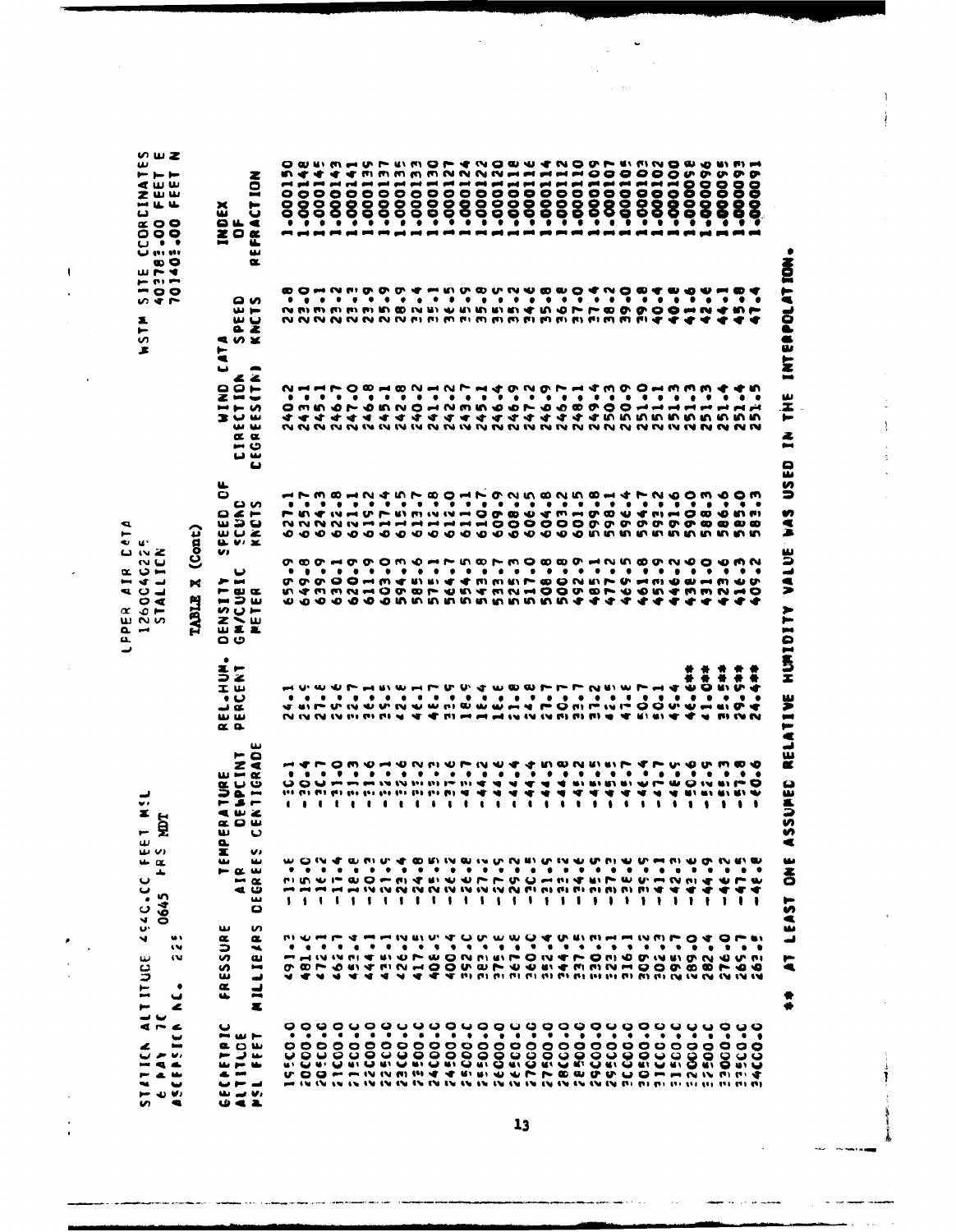| ں ب<br>$4 - 4$<br><b>AJICY</b><br>$\frac{1}{2}$<br>ن⊌ ن⊸⊨<br><b>Un</b>                                                                                                                                  | ITUCE<br>H                                                                                                                                                                                                                                                                                                                                                                                                                                                                                                                 | ان بن<br>نه مه<br>┻<br>ပ<br>3.0757<br>0645                                                           | ET M!<br>E                                                                                                                                                                                                                                                                                                                                                                                                                                             |                                                                                                                                                                                                                                                                                                                                                                                                                        | <b>NU</b><br>$\alpha$ $\omega$ $\blacksquare$<br>- 4 -<br>ີ ⊂ ⊿<br>$\circ$ $\triangleleft$<br>$\bullet$ $\bullet$<br>$\propto$<br>w<br>n w<br>۰<br>$\overline{\phantom{a}}$<br>$\mathbf{a}$ | ન્વ<br>⊢<br>יש ש<br>ロぃと                                                                |                                                                                               | $\overline{\bullet}$<br>∽<br>S<br>$\sim$ $\sim$<br>ä.<br>►<br>S<br>£ | のwZ<br>ىب<br>$\vdash\vdash\vdash$<br>∢ധധ<br>zŵw<br><u>.</u><br>د<br>$\alpha$ o o<br>0 O O<br>ပေစစ<br>۱۰، ۱۰۰ ب<br>œ O<br>10.74 |
|---------------------------------------------------------------------------------------------------------------------------------------------------------------------------------------------------------|----------------------------------------------------------------------------------------------------------------------------------------------------------------------------------------------------------------------------------------------------------------------------------------------------------------------------------------------------------------------------------------------------------------------------------------------------------------------------------------------------------------------------|------------------------------------------------------------------------------------------------------|--------------------------------------------------------------------------------------------------------------------------------------------------------------------------------------------------------------------------------------------------------------------------------------------------------------------------------------------------------------------------------------------------------------------------------------------------------|------------------------------------------------------------------------------------------------------------------------------------------------------------------------------------------------------------------------------------------------------------------------------------------------------------------------------------------------------------------------------------------------------------------------|---------------------------------------------------------------------------------------------------------------------------------------------------------------------------------------------|----------------------------------------------------------------------------------------|-----------------------------------------------------------------------------------------------|----------------------------------------------------------------------|--------------------------------------------------------------------------------------------------------------------------------|
| پ<br>$\blacksquare$<br>v,<br>4<br>w<br>ب<br>۰                                                                                                                                                           | <br>w<br>w<br>٠<br>پ<br>Ł                                                                                                                                                                                                                                                                                                                                                                                                                                                                                                  |                                                                                                      |                                                                                                                                                                                                                                                                                                                                                                                                                                                        |                                                                                                                                                                                                                                                                                                                                                                                                                        | TABLE X                                                                                                                                                                                     | (Cont)                                                                                 |                                                                                               |                                                                      |                                                                                                                                |
|                                                                                                                                                                                                         | $\alpha$                                                                                                                                                                                                                                                                                                                                                                                                                                                                                                                   |                                                                                                      |                                                                                                                                                                                                                                                                                                                                                                                                                                                        |                                                                                                                                                                                                                                                                                                                                                                                                                        |                                                                                                                                                                                             | u.<br>0                                                                                | پ                                                                                             | E                                                                    |                                                                                                                                |
| œ<br>⊨<br>u.<br>$\blacksquare$<br>4<br>山せえ                                                                                                                                                              | ىيا<br>ESSU<br>$\alpha$                                                                                                                                                                                                                                                                                                                                                                                                                                                                                                    | ×.<br>ىپ<br>$- \alpha$ $\omega$<br>$\tilde{\phantom{a}}$                                             | <b>TURE</b><br>SPEINT<br>ھ س ج<br><b>aow</b><br>w<br>௳                                                                                                                                                                                                                                                                                                                                                                                                 | ٠<br><b>EXPLAN</b><br>ت ب<br>யய<br>$\alpha$ a                                                                                                                                                                                                                                                                                                                                                                          | ၑ<br>س حر<br><b>LSE</b><br>とくに<br>üΣ<br>၀ ဖ                                                                                                                                                 | U)                                                                                     |                                                                                               | <b>9 V X</b>                                                         | INDEX<br>Of                                                                                                                    |
| ⊶ س<br>يز ۾<br>$\blacksquare$<br>ت سو ب<br>ری ہے تعا                                                                                                                                                    | S<br>$\alpha$<br>$\overline{\phantom{a}}$<br>u<br>U<br>$\mathbf{I}$<br>$\blacksquare$                                                                                                                                                                                                                                                                                                                                                                                                                                      | v.<br>ىپ<br>$\alpha$<br>ت م<br>ىئ<br>۰                                                               | ىئا<br>$\bullet$<br>⋖<br>IGR<br>$\overline{ }$<br>ပ                                                                                                                                                                                                                                                                                                                                                                                                    |                                                                                                                                                                                                                                                                                                                                                                                                                        | ш<br>塞                                                                                                                                                                                      | မ ဖ<br>FEED<br>SCUNI<br>KNCTS                                                          | $\bullet$<br>z z<br><b>MIND<br/>ECTION<br/>ECTION</b><br>$\alpha$ $\alpha$<br>ن س<br>ت ت<br>ں | ດ ທ<br><b>PEET</b>                                                   | <b>NO1</b><br>FRACT<br>w<br>œ.                                                                                                 |
| ٠<br>0                                                                                                                                                                                                  | ٠<br>$\overline{\phantom{a}}$<br>o.                                                                                                                                                                                                                                                                                                                                                                                                                                                                                        | $\bullet$<br>$\mathbf{1}$                                                                            | $\blacksquare$<br>٠<br>မ                                                                                                                                                                                                                                                                                                                                                                                                                               |                                                                                                                                                                                                                                                                                                                                                                                                                        |                                                                                                                                                                                             |                                                                                        |                                                                                               |                                                                      | n<br>÷<br>٠                                                                                                                    |
| $\bullet$                                                                                                                                                                                               | ٠                                                                                                                                                                                                                                                                                                                                                                                                                                                                                                                          | ٠<br>$\mathbf{I}$                                                                                    |                                                                                                                                                                                                                                                                                                                                                                                                                                                        |                                                                                                                                                                                                                                                                                                                                                                                                                        |                                                                                                                                                                                             |                                                                                        |                                                                                               |                                                                      | $\ddot{\circ}$<br>$\bullet$                                                                                                    |
| 0000<br><b>DOUQUOUQ</b><br>U O O - - - IV IV M II 4 4 5 6 6 0 7 F P 8 8 0 U O - - - N IV M M H &<br>in 1970 to to the UP to UP to UP to UP to UP to UP to UP to UP to UP to UP to us to us to us to UP. | m chung a m m m m m m d C m m m ch a m m m m m m m m ch a O w m<br>٠<br>0.0.94                                                                                                                                                                                                                                                                                                                                                                                                                                             | wowd wave can wave on which we have the above we<br>٠<br>ninum oo maa dhu bhrro o maid kiro cim an a | $\begin{array}{c} \mathbf{O} \mathbf{O} \mathbf{O} \mathbf{O} \mathbf{O} \mathbf{O} \mathbf{O} \mathbf{O} \mathbf{O} \mathbf{O} \mathbf{O} \mathbf{O} \mathbf{O} \mathbf{O} \mathbf{O} \mathbf{O} \mathbf{O} \mathbf{O} \mathbf{O} \mathbf{O} \mathbf{O} \mathbf{O} \mathbf{O} \mathbf{O} \mathbf{O} \mathbf{O} \mathbf{O} \mathbf{O} \mathbf{O} \mathbf{O} \mathbf{O} \mathbf{O} \mathbf{O} \mathbf{O} \mathbf{O} \mathbf$<br>193 193 193 193 193 193 | $\mathbf{A} \mathbf{A} \mathbf{B} \mathbf{A} \mathbf{A} \mathbf{A} \mathbf{A} \mathbf{A} \mathbf{A} \mathbf{A} \mathbf{A} \mathbf{A} \mathbf{A} \mathbf{A} \mathbf{A} \mathbf{A} \mathbf{A} \mathbf{A} \mathbf{A} \mathbf{A} \mathbf{A} \mathbf{A} \mathbf{A} \mathbf{A} \mathbf{A} \mathbf{A} \mathbf{A} \mathbf{A} \mathbf{A} \mathbf{A} \mathbf{A} \mathbf{A} \mathbf{A} \mathbf{A} \mathbf{A} \mathbf{A} \mathbf{$ | <b>ちゃうひひーうみききんよううきてきひときてや」とうきしまうりょうしゃくうつうりてききんとうこういうらてうらうかいかいかいかん</b><br><b>UOOO</b>                                                                                                        | てきるとしててきてきるようとうちょうしつもらうようしつもらう しょうとうとうしょうじょうしんりついいりついい やっとうき てんきょう しょうしょう しょうしょう こうきょう | OWWOL<br>すすすすす<br>~~~~~~~~~~~~~~~~~~~~~~~~~~~~~~~~~~~~~                                       | ~~~~~~~~~~~~~~~~~~~~~~~~~~~~~~~~                                     | 0000<br>٠<br>-------                                                                                                           |
| ۰                                                                                                                                                                                                       | ٠                                                                                                                                                                                                                                                                                                                                                                                                                                                                                                                          | $\bullet$<br>$\mathbf{1}$                                                                            |                                                                                                                                                                                                                                                                                                                                                                                                                                                        |                                                                                                                                                                                                                                                                                                                                                                                                                        |                                                                                                                                                                                             |                                                                                        |                                                                                               |                                                                      | ÷<br>$\ddot{\bullet}$<br>$\bar{8}$<br>$\bullet$                                                                                |
| ٠                                                                                                                                                                                                       | ٠<br>-41-41                                                                                                                                                                                                                                                                                                                                                                                                                                                                                                                | ٠<br>$\mathbf{1}$                                                                                    |                                                                                                                                                                                                                                                                                                                                                                                                                                                        |                                                                                                                                                                                                                                                                                                                                                                                                                        | $\bullet$                                                                                                                                                                                   |                                                                                        |                                                                                               |                                                                      | T<br>0001<br>◉                                                                                                                 |
| ٠<br>$\bullet$                                                                                                                                                                                          | ٠                                                                                                                                                                                                                                                                                                                                                                                                                                                                                                                          | $\bullet$<br>$\mathbf{r}$                                                                            |                                                                                                                                                                                                                                                                                                                                                                                                                                                        |                                                                                                                                                                                                                                                                                                                                                                                                                        |                                                                                                                                                                                             |                                                                                        |                                                                                               |                                                                      | f٣١<br>0001<br>∍                                                                                                               |
| ٠<br>$\bullet$                                                                                                                                                                                          | - 47                                                                                                                                                                                                                                                                                                                                                                                                                                                                                                                       | $\bullet$                                                                                            | w<br>$\mathbf{v}$                                                                                                                                                                                                                                                                                                                                                                                                                                      |                                                                                                                                                                                                                                                                                                                                                                                                                        |                                                                                                                                                                                             |                                                                                        |                                                                                               |                                                                      | .0001                                                                                                                          |
| ٠<br>$\bullet$                                                                                                                                                                                          | $\bullet$<br>$\mathbf{u} \times$<br>₩.                                                                                                                                                                                                                                                                                                                                                                                                                                                                                     | $\bullet$                                                                                            | w                                                                                                                                                                                                                                                                                                                                                                                                                                                      |                                                                                                                                                                                                                                                                                                                                                                                                                        |                                                                                                                                                                                             |                                                                                        |                                                                                               |                                                                      |                                                                                                                                |
| ٠                                                                                                                                                                                                       | $\bullet$                                                                                                                                                                                                                                                                                                                                                                                                                                                                                                                  | $\bullet$<br>$\cdots$                                                                                |                                                                                                                                                                                                                                                                                                                                                                                                                                                        |                                                                                                                                                                                                                                                                                                                                                                                                                        |                                                                                                                                                                                             |                                                                                        |                                                                                               |                                                                      |                                                                                                                                |
| ۰                                                                                                                                                                                                       | $\bullet$                                                                                                                                                                                                                                                                                                                                                                                                                                                                                                                  | ۰                                                                                                    | いいい トー<br>191.03.01.01.9                                                                                                                                                                                                                                                                                                                                                                                                                               |                                                                                                                                                                                                                                                                                                                                                                                                                        |                                                                                                                                                                                             |                                                                                        |                                                                                               |                                                                      | <b>MNN</b>                                                                                                                     |
| ٠                                                                                                                                                                                                       | $\bullet$                                                                                                                                                                                                                                                                                                                                                                                                                                                                                                                  | $\bullet$<br>$\sqrt{1}$                                                                              |                                                                                                                                                                                                                                                                                                                                                                                                                                                        |                                                                                                                                                                                                                                                                                                                                                                                                                        |                                                                                                                                                                                             |                                                                                        |                                                                                               |                                                                      |                                                                                                                                |
| ٠<br>0000                                                                                                                                                                                               |                                                                                                                                                                                                                                                                                                                                                                                                                                                                                                                            | $\mathbf{I}$                                                                                         | $\mathbf{u}_1$ at<br>$\bullet$                                                                                                                                                                                                                                                                                                                                                                                                                         |                                                                                                                                                                                                                                                                                                                                                                                                                        |                                                                                                                                                                                             |                                                                                        |                                                                                               |                                                                      | -00013<br>-00013<br>-00013<br>-00013                                                                                           |
| $\bullet$                                                                                                                                                                                               | $\bullet$                                                                                                                                                                                                                                                                                                                                                                                                                                                                                                                  | $\bullet\quad\bullet\quad\bullet$<br>$\blacksquare$                                                  | $\cdot$<br>$\bullet$                                                                                                                                                                                                                                                                                                                                                                                                                                   |                                                                                                                                                                                                                                                                                                                                                                                                                        |                                                                                                                                                                                             |                                                                                        |                                                                                               |                                                                      | N<br>.0001                                                                                                                     |
| $\bullet$                                                                                                                                                                                               | $\bullet$                                                                                                                                                                                                                                                                                                                                                                                                                                                                                                                  | $\mathbf{1}$                                                                                         | $\blacksquare$<br>٠<br>$\bullet$                                                                                                                                                                                                                                                                                                                                                                                                                       |                                                                                                                                                                                                                                                                                                                                                                                                                        |                                                                                                                                                                                             |                                                                                        |                                                                                               |                                                                      | N                                                                                                                              |
| $\bullet$                                                                                                                                                                                               | $\bullet$ . $\bullet$                                                                                                                                                                                                                                                                                                                                                                                                                                                                                                      | $\bullet\bullet$                                                                                     | ₩<br>w<br>$\blacksquare$                                                                                                                                                                                                                                                                                                                                                                                                                               |                                                                                                                                                                                                                                                                                                                                                                                                                        |                                                                                                                                                                                             |                                                                                        |                                                                                               |                                                                      |                                                                                                                                |
| $\bullet$                                                                                                                                                                                               |                                                                                                                                                                                                                                                                                                                                                                                                                                                                                                                            | $\cdot$                                                                                              | ▼<br>₩<br>$\bullet$                                                                                                                                                                                                                                                                                                                                                                                                                                    |                                                                                                                                                                                                                                                                                                                                                                                                                        |                                                                                                                                                                                             |                                                                                        |                                                                                               |                                                                      |                                                                                                                                |
| $\bullet$<br>$\begin{array}{c} \circ \circ \circ \circ \circ \circ \end{array}$                                                                                                                         | $\bullet$<br>HOOVQ NAMMANT MAUOOV<br>$\mathbf{v} \cdot \mathbf{v} \cdot \mathbf{v} \cdot \mathbf{v} \cdot \mathbf{v} \cdot \mathbf{v} \cdot \mathbf{v} \cdot \mathbf{v} \cdot \mathbf{v} \cdot \mathbf{v} \cdot \mathbf{v} \cdot \mathbf{v} \cdot \mathbf{v} \cdot \mathbf{v} \cdot \mathbf{v} \cdot \mathbf{v} \cdot \mathbf{v} \cdot \mathbf{v} \cdot \mathbf{v} \cdot \mathbf{v} \cdot \mathbf{v} \cdot \mathbf{v} \cdot \mathbf{v} \cdot \mathbf{v} \cdot \mathbf{v} \cdot \mathbf{v} \cdot \mathbf{v} \cdot \mathbf{$ | $\bullet$                                                                                            | ◥<br>₩<br>$\bullet$                                                                                                                                                                                                                                                                                                                                                                                                                                    |                                                                                                                                                                                                                                                                                                                                                                                                                        | <b>ORDOBBBBBBBBBB</b>                                                                                                                                                                       |                                                                                        |                                                                                               |                                                                      | 1000114<br>1000114<br>1000112<br>1000112<br>1000112                                                                            |
| ٠                                                                                                                                                                                                       |                                                                                                                                                                                                                                                                                                                                                                                                                                                                                                                            | $\mathbf{1}$                                                                                         | ◀<br>₩<br>٠                                                                                                                                                                                                                                                                                                                                                                                                                                            |                                                                                                                                                                                                                                                                                                                                                                                                                        |                                                                                                                                                                                             |                                                                                        |                                                                                               |                                                                      |                                                                                                                                |
| ۰<br>$\circ$                                                                                                                                                                                            | $\bullet\quad \bullet\quad \bullet$                                                                                                                                                                                                                                                                                                                                                                                                                                                                                        | .<br>111111                                                                                          | <b>AJ RI</b><br>⋖<br>$\bullet$                                                                                                                                                                                                                                                                                                                                                                                                                         |                                                                                                                                                                                                                                                                                                                                                                                                                        |                                                                                                                                                                                             |                                                                                        |                                                                                               |                                                                      |                                                                                                                                |
| ٠<br>$\bullet$                                                                                                                                                                                          |                                                                                                                                                                                                                                                                                                                                                                                                                                                                                                                            |                                                                                                      | ₩<br>$\blacksquare$                                                                                                                                                                                                                                                                                                                                                                                                                                    |                                                                                                                                                                                                                                                                                                                                                                                                                        | ◆                                                                                                                                                                                           |                                                                                        | $\frac{9}{4}$                                                                                 | $F: \mathfrak{m} \mathfrak{m} \rightarrow \mathfrak{m}$              | 0<br>0001<br>۰                                                                                                                 |
| $\bullet$<br>$\bullet$                                                                                                                                                                                  | $\bullet$                                                                                                                                                                                                                                                                                                                                                                                                                                                                                                                  | $\bullet\bullet$                                                                                     | w<br>₩<br>٠                                                                                                                                                                                                                                                                                                                                                                                                                                            |                                                                                                                                                                                                                                                                                                                                                                                                                        |                                                                                                                                                                                             |                                                                                        |                                                                                               |                                                                      | 0<br>11000<br>٠                                                                                                                |
| $\bullet$<br>$\bullet$                                                                                                                                                                                  | $\bullet$                                                                                                                                                                                                                                                                                                                                                                                                                                                                                                                  |                                                                                                      | <b>UIW</b><br>4<br>$\bullet$                                                                                                                                                                                                                                                                                                                                                                                                                           |                                                                                                                                                                                                                                                                                                                                                                                                                        | ***                                                                                                                                                                                         |                                                                                        |                                                                                               |                                                                      | ۰<br>Ò                                                                                                                         |
| ٠<br>၀ ပ                                                                                                                                                                                                | ٠                                                                                                                                                                                                                                                                                                                                                                                                                                                                                                                          | $\bullet$                                                                                            | w<br>ŧ                                                                                                                                                                                                                                                                                                                                                                                                                                                 |                                                                                                                                                                                                                                                                                                                                                                                                                        |                                                                                                                                                                                             |                                                                                        |                                                                                               |                                                                      | 99<br>$\ddot{\bullet}$<br>$\bar{8}$<br>٠                                                                                       |
| ٠                                                                                                                                                                                                       |                                                                                                                                                                                                                                                                                                                                                                                                                                                                                                                            | $\bullet$                                                                                            | r<br>$\bullet$                                                                                                                                                                                                                                                                                                                                                                                                                                         |                                                                                                                                                                                                                                                                                                                                                                                                                        | ◆                                                                                                                                                                                           |                                                                                        |                                                                                               |                                                                      | 0001<br>ī                                                                                                                      |
| ۰<br>$\circ$<br>8988                                                                                                                                                                                    | $\bullet$ $\bullet$                                                                                                                                                                                                                                                                                                                                                                                                                                                                                                        | $\bullet$<br>$\mathbf{r}$                                                                            | ₩<br>$\bullet$                                                                                                                                                                                                                                                                                                                                                                                                                                         | $\bullet$                                                                                                                                                                                                                                                                                                                                                                                                              | ▾                                                                                                                                                                                           |                                                                                        |                                                                                               | ٠                                                                    | 0<br>1000<br>Ō                                                                                                                 |
| ٠                                                                                                                                                                                                       |                                                                                                                                                                                                                                                                                                                                                                                                                                                                                                                            | ٠<br>-                                                                                               | 0<br>u,<br>$\bullet$                                                                                                                                                                                                                                                                                                                                                                                                                                   | $\ddot{\bm{\epsilon}}$<br>$\bullet$                                                                                                                                                                                                                                                                                                                                                                                    | ◆                                                                                                                                                                                           |                                                                                        |                                                                                               | ٠                                                                    | <b>U</b><br>0000<br>Ï<br>and and                                                                                               |
| $\bullet$<br>$\bullet$<br>$\tilde{S}$                                                                                                                                                                   | $\bullet$ $\bullet$                                                                                                                                                                                                                                                                                                                                                                                                                                                                                                        | ٠<br>٠                                                                                               | w<br>$\bullet$                                                                                                                                                                                                                                                                                                                                                                                                                                         | $\frac{4}{9}$<br>$\bullet$                                                                                                                                                                                                                                                                                                                                                                                             |                                                                                                                                                                                             |                                                                                        | 00111111111                                                                                   | ₩                                                                    | o۰<br>8<br>8<br>ō                                                                                                              |
| $\bullet$<br>$\bullet$                                                                                                                                                                                  | $\bullet$                                                                                                                                                                                                                                                                                                                                                                                                                                                                                                                  | ₩<br>ŧ                                                                                               | 輸り<br>輸入                                                                                                                                                                                                                                                                                                                                                                                                                                               | 1<br>u۱<br>$\bullet$                                                                                                                                                                                                                                                                                                                                                                                                   | ٠                                                                                                                                                                                           |                                                                                        |                                                                                               | - -<br>$\bullet$<br>◆                                                | o<br>8<br>Š<br>---                                                                                                             |
| $\circ$<br>မ မ                                                                                                                                                                                          | $\bullet$                                                                                                                                                                                                                                                                                                                                                                                                                                                                                                                  | ٠<br>r w<br>٠                                                                                        | r o<br>u۱                                                                                                                                                                                                                                                                                                                                                                                                                                              | $\ddot{\ast}$<br>v<br>$\bullet$                                                                                                                                                                                                                                                                                                                                                                                        |                                                                                                                                                                                             | יח הו<br>$\boldsymbol{\omega}$ $\boldsymbol{\omega}$<br>in in                          | ٠                                                                                             | $\bullet$                                                            | ∞<br>$\bar{\mathbf{S}}$<br>Š                                                                                                   |
| $\bullet$ $\bullet$<br>ט וט                                                                                                                                                                             | $\bullet$                                                                                                                                                                                                                                                                                                                                                                                                                                                                                                                  | ٠                                                                                                    | پ                                                                                                                                                                                                                                                                                                                                                                                                                                                      | 溝<br>÷<br>٠                                                                                                                                                                                                                                                                                                                                                                                                            |                                                                                                                                                                                             |                                                                                        | ٠                                                                                             | . .                                                                  | ø<br>O<br>0<br>ĕ.                                                                                                              |

 $\begin{array}{c} \rule{0pt}{2ex} \rule{0pt}{2ex} \rule{0pt}{2ex} \rule{0pt}{2ex} \rule{0pt}{2ex} \rule{0pt}{2ex} \rule{0pt}{2ex} \rule{0pt}{2ex} \rule{0pt}{2ex} \rule{0pt}{2ex} \rule{0pt}{2ex} \rule{0pt}{2ex} \rule{0pt}{2ex} \rule{0pt}{2ex} \rule{0pt}{2ex} \rule{0pt}{2ex} \rule{0pt}{2ex} \rule{0pt}{2ex} \rule{0pt}{2ex} \rule{0pt}{2ex} \rule{0pt}{2ex} \rule{0pt}{2ex} \rule{0pt}{2ex} \rule{0pt}{$ 

++ AT LEAST ONE ASSUMED RELATIVE HUMIDITY VALUE WAS USED IN THE INTERPOLATION.

 $\bar{1}$  $\begin{array}{c} \begin{array}{c} \begin{array}{c} \end{array} \\ \begin{array}{c} \end{array} \end{array} \end{array}$ 

j

 $\ddot{\phantom{0}}$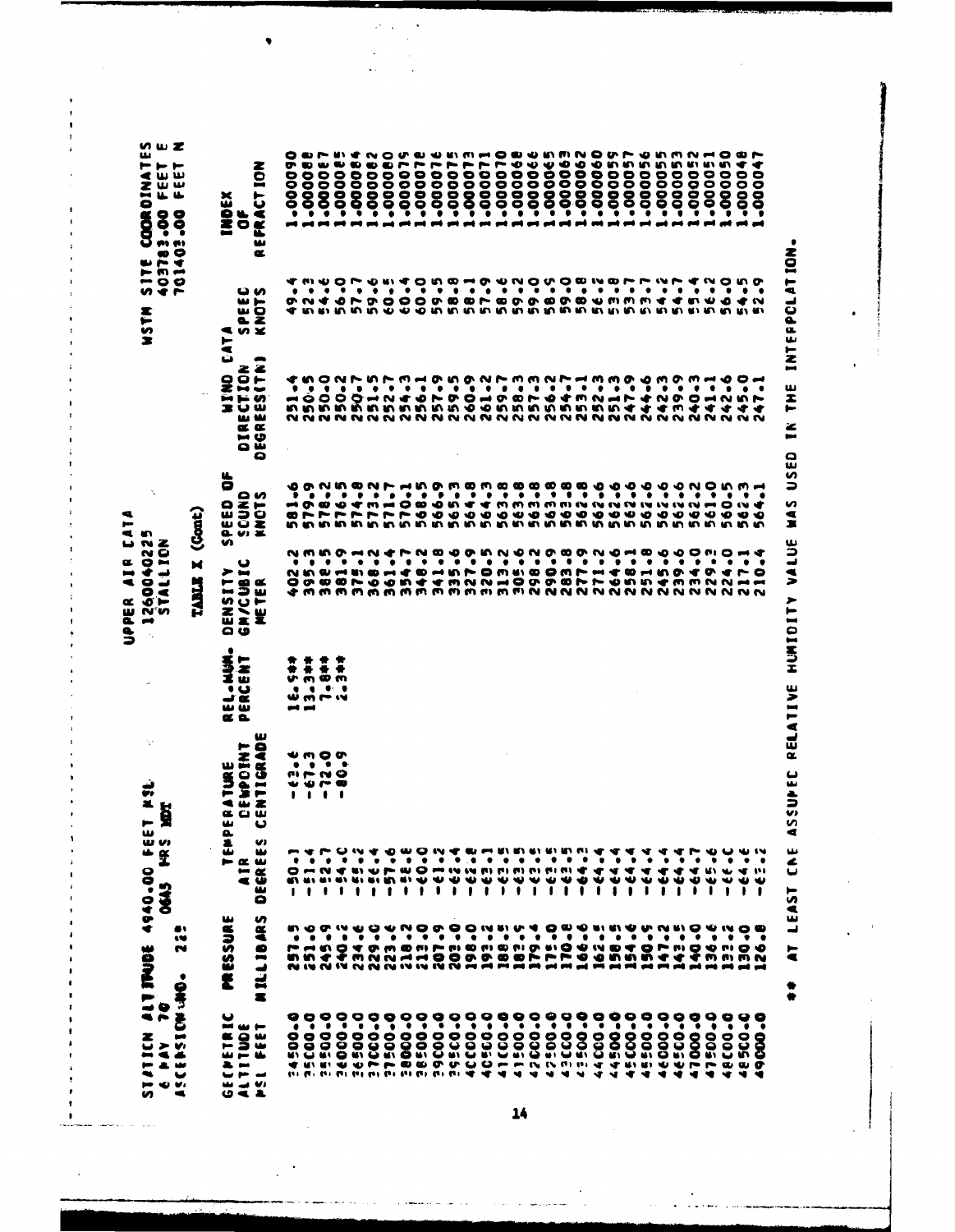SITE COORDINATES<br>403783.00 FEET E<br>701403.00 FEET N 060000-**.000088** 130000-**Sa0000-**-000064 290000-000000--000079 **910000-**910000--000075 510000--000070 -000066 190000- $-0000065$ E90000--000062 090000--000059  $-000057$ -000056  $-000055$ -000053 -000052 -000050 990000-.000051 110000-403783.00 FEET<br>701403.00 FEET REFRACT ION **INDEX**  $\bullet$ 0<br>000001<br>000001 58.6 59.0<br>59.9 5<br>5 6 7 8 7 9<br>5 8 7 9 7 9 7 **F.23** 54.2 54.7  $\frac{4}{5}$ 56-2 56-0  $54 - 5$ **SPEEC<br>KNOTS NSTM WIND CATA** DEGREES(TN) DIRECTION 0<br>000-1-5<br>000-1-5<br>00000<br>00000 251-4 54-3 53.33 139.9 40-3 42-6  $9 - 44.$  $142 - 3$  $1 - 1$  $9 - 5 + 1$ SPEED OF ものです。 しょうしょう しょうしょう しょうしょう しょうしょう しょうしょう しょうしょう しょうしょう しょうしょう こうしょう 570.1<br>568.5<br>566.9  $\begin{array}{l} 0.00000\\ 0.0000\\ 0.0000\\ 0.0000\\ 0.0000\\ 0.0000\\ \end{array}$ 564.8 564.3 163.8 562.6 9-29 62.6 61.0 62.3 565.3 62-6 62.2 60-5 SCUND<sup>-</sup><br>KNOTS 9-295 9-29 TABLE X (Cont) UPPER AIR CATA 1260040225 STALLION 402.2<br>395.3 381.9 375.1<br>368.2 341.8 335.46<br>327.9<br>320.5 313-2<br>305-6 264.6  $251 - 8$ 239.6 234-0 224.0 217.1 382-5 348.2 298.2 271.2 229.3 290.9 283.8 277.9 245.6 361.4 754.7 **GM/CUBIC** DENSITY METER REL.NUM.<br>PERCENT 13.3\*\*  $7.8 + 1$ 16.547 ÷, TEMPERATURE<br>IR DEWPOINT CENTIGRAD e Pay 10.<br>Statick stillings 4940.00 feet kst DEAS HRS HET DEGREES  $-57.6$  $-62 - 8$  $-63.5$  $-64.4$  $-64.4$  $52 - 7$  $2 - 5$  $-63.5$ 50-1  $51 - 4$  $-0.09 -0.2 -$ -33-**L-E3-1** -63.5  $-12.5$ -62.5 -64.3  $-64.4$  $-64.4$ - 64.4 -64.4  $-64.7$ -25.  $-29 - -64.$ AIR ï **MILLIBARS PRESSING** 22<sup>e</sup> 257.6<br>251.6<br>245. 229.0 218.00 20342<br>19842 188.5 170.8 166.6 240-2<br>2340-2 154.6 143.5 140.0 175.0 158.5 150.5  $36 - 6$ 223.E 162.5 30.0 147.2 2-2-2 **SIGNAMOSSASS GECPETRIC** 34500-0 **0°0005E** 5:00-0 0-00095 16500.0 37000-0 0-00515 0-00005 **BEOO-0** 9000-0 39500-0 1000-00 10300-0 41000-0 0-00517 42000.0 42200-0 0-00353 0-00557 44000-0 14500-0 15000-0 15500.0 16000-0 16500-0 47000.0 48000.0 18500-0 0-0051 ALTITUDE **PSL FEET** 

AT LEAST CNE ASSUPEC RELATIVE HUMIOITY VALUE WAS USED IN THE INTERPOLATION.  $\bullet$ 

1400000

52.9

47-1

564.1

210.4

-33-

126-8

19000-0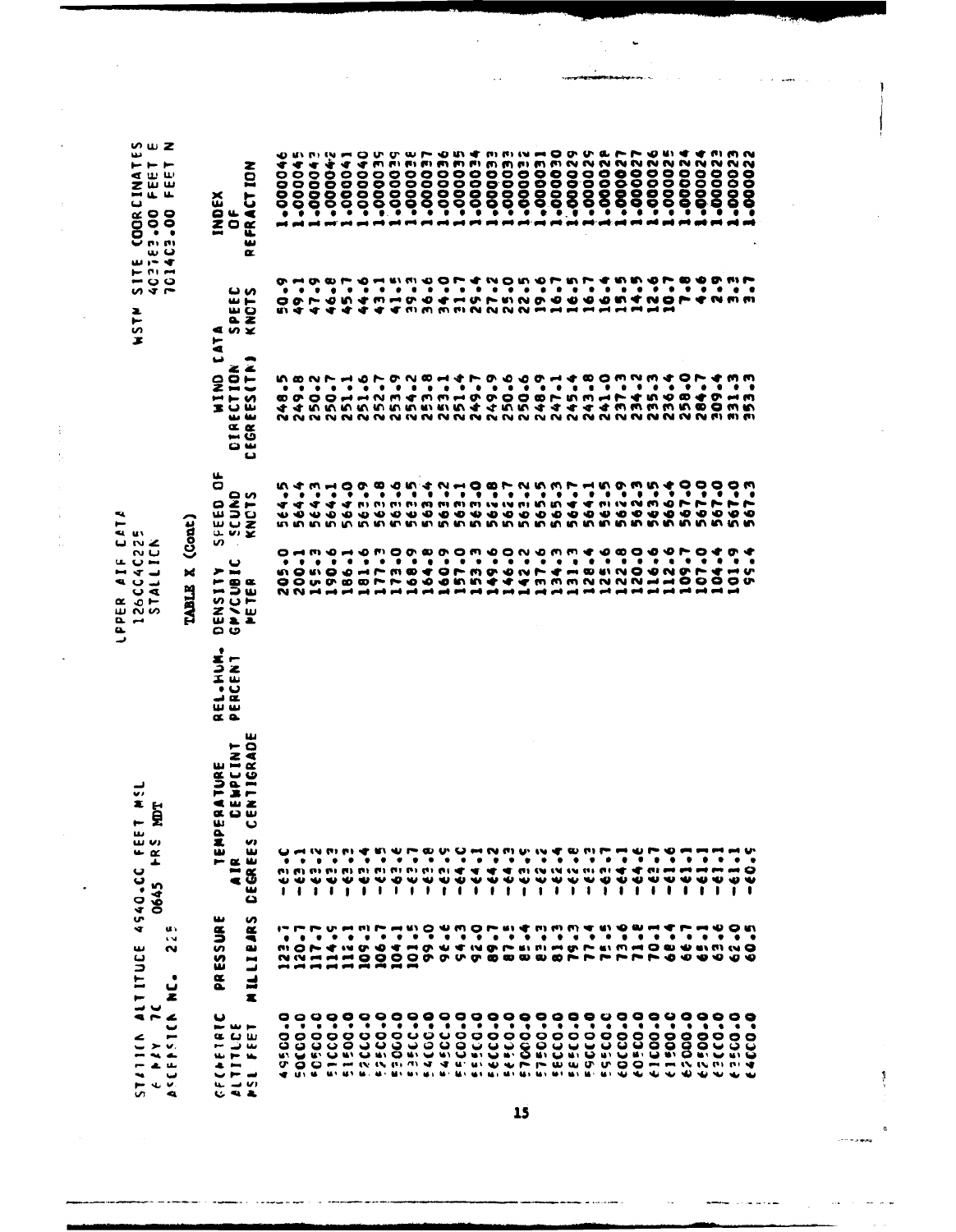$\bar{z}$  $\ddot{\phantom{a}}$ 

 $\frac{1}{2}$  $\frac{1}{2}$ 

 $\frac{1}{2}$  $\frac{1}{10}$ 

 $\ddot{\phantom{1}}$ 

 $\bar{\bar{z}}$ 

LPPER AIF CATA<br>1260C4C225<br>5TALLICK

| いwZ<br>ىدە<br>⊢ ⊢ ⊢<br><b>SER</b><br>⊶ ц.<br>u.<br>ں<br>000 - 00<br>000 - 000<br>0000 -<br>$\frac{1}{1}$ $\frac{1}{4}$<br>∽ر بین<br><b>SITE</b><br>z<br>5<br>x | EFRACT ION<br>INDEX<br>ŏ<br>$\alpha$<br><u>ພ ທ</u><br>$\frac{1}{2}$<br>ēΣ<br>n x<br>$\blacksquare$<br>$\overline{a}$<br>ی<br>-<br>ESCTION<br>ၟႍ<br>$\blacksquare$<br>x.<br>تنا تنا<br>$\alpha$<br>нō<br>س ن | יש ש<br>€<br>◀<br>÷<br>$\frac{1}{2}$<br>0000<br>0<br>ŏoo<br>◒<br>$\ddot{\phantom{1}}$<br>$\bar{\phantom{a}}$<br>٠<br>œ<br>œ<br>−<br>٠<br>٠<br>٠<br>o o<br>m er<br>ഗ ത<br>٠<br>٠<br>$\bullet$<br>$\bullet$<br>∞ o∿<br>44 |                | o<br>u<br><b>DIW</b><br>$-500$<br>¢<br>◀<br>m<br>$\dot{\mathbf{S}}$<br>$\mathbf{\tilde{e}}$<br>$\tilde{e}$<br>⊕<br>Γ,<br>∙<br>$\bullet$<br>$\bullet$<br>٠<br>7444<br>٠<br>$\bullet$<br>1<br>~~<br>$\vec{\cdot}$<br>٠<br>٠<br>۰<br>0<br>$\overline{\phantom{a}}$<br>$\rightarrow$ N<br>のめめ | თ<br>ື້<br>∙<br><b>BIBI</b><br>E)<br>m<br><b>00000-1000</b><br>00000-1000<br>0<br>0<br>0<br>Ò<br>۰<br>$\tilde{e}$<br><b>vr</b><br>$\frac{28}{10}$<br>o<br>$\blacksquare$<br>٠<br>m<br>◆<br>m | $\mathbf{u}$ and $\mathbf{v}$<br>⊷<br>(1, 1, 1)<br>$\bullet$<br>0<br>0<br>0<br><b>ตู จู จู รู รู จู จู จู</b><br>◆<br>ō<br>$\bullet$<br>$\bullet$<br>o<br>►<br>$\bullet$<br>۰<br>٠<br>۰<br>$\bullet$<br>$\bullet$<br>$m \leftrightarrow \infty$<br>$\bullet$<br>$\bullet$<br>ちちちちきょう チィ<br>n N | ۰<br>o a<br><b>DUIT</b><br>ው<br>$\sim$ $\sim$<br>-00002<br>-00002<br>N<br>N<br>N<br>ö<br>00000<br>Õ<br>$\tilde{g}$<br>$\ddot{w}$<br>$\bullet$<br>$\ddot{\cdot}$<br>m<br>$\mathbf{r}$<br>◆<br>$\ddot{\phantom{1}}$<br>$\bullet$<br>MMD O CHUNNO O O O O O M CNOMC<br>$\begin{array}{c} \textbf{f1} \textbf{f2} \textbf{f3} \textbf{f4} \textbf{f5} \textbf{f6} \textbf{f7} \textbf{f8} \textbf{f8} \textbf{f8} \textbf{f8} \textbf{f8} \textbf{f8} \textbf{f9} \textbf{f9} \textbf{f9} \textbf{f8} \textbf{f8} \textbf{f8} \textbf{f8} \textbf{f8} \textbf{f8} \textbf{f8} \textbf{f8} \textbf{f8} \textbf{f8} \textbf{f8} \textbf{f8} \textbf{f8} \textbf{f8} \textbf$<br>$\ddot{\bullet}$<br>$\bullet$<br>$\ddot{\bullet}$<br>∞<br>$\ddot{\phantom{a}}$<br>$\mathbf{I}$<br>m<br>ī<br>$\bullet$<br>$\bullet$<br>$\rightarrow$<br>m,<br>m<br>m<br>44<br>₹ ₹<br><b>MMMMM</b><br>÷ |
|----------------------------------------------------------------------------------------------------------------------------------------------------------------|-------------------------------------------------------------------------------------------------------------------------------------------------------------------------------------------------------------|-------------------------------------------------------------------------------------------------------------------------------------------------------------------------------------------------------------------------|----------------|-------------------------------------------------------------------------------------------------------------------------------------------------------------------------------------------------------------------------------------------------------------------------------------------|----------------------------------------------------------------------------------------------------------------------------------------------------------------------------------------------|------------------------------------------------------------------------------------------------------------------------------------------------------------------------------------------------------------------------------------------------------------------------------------------------|---------------------------------------------------------------------------------------------------------------------------------------------------------------------------------------------------------------------------------------------------------------------------------------------------------------------------------------------------------------------------------------------------------------------------------------------------------------------------------------------------------------------------------------------------------------------------------------------------------------------------------------------------------------------------------------------------------------------------------------------------------------------------------------------------------------------------------------------------------------------------------|
|                                                                                                                                                                | ݐ<br>u.<br>o<br>KNOL2<br>SCOMD<br>SCOMD                                                                                                                                                                     | いす<br>m<br>$\bullet$<br>٠<br>$\bullet$<br>◆<br>ママ<br><b>U D U D O</b>                                                                                                                                                   | $\bullet$<br>◆ | $\bullet$<br>⊶ 0<br>۰<br>`ø<br>$\bullet$<br>$\bullet$<br>◀                                                                                                                                                                                                                                |                                                                                                                                                                                              |                                                                                                                                                                                                                                                                                                | $\delta\mathcal{L}+\delta\mathcal{L}+\delta\mathcal{L}+\delta\mathcal{L}+\delta\mathcal{L}+\delta\mathcal{L}$<br><b>n</b> ំ<br>٦                                                                                                                                                                                                                                                                                                                                                                                                                                                                                                                                                                                                                                                                                                                                                |
| TABLE X (Cont)<br>$\sim$ 20 $\sim$<br>26CC4C22<br>STALLICM<br>26 CC4                                                                                           | n<br>ၑ<br>➤<br><b>INSIT<br/>/CUBI<br/>ETER</b><br>こう<br>æ.                                                                                                                                                  | $\alpha$ mpo<br>$\bullet$<br>٠<br>٠<br>n o n o<br>00 v<br>$\begin{array}{c} \mathbf{N} \mathbf{N} \mathbf{M} \mathbf{M} \mathbf{M} \mathbf{M} \mathbf{M} \end{array}$                                                   | ٠<br>o         | $\rightarrow \infty$<br>$\bullet$<br>$\bullet$<br>٠<br>∙<br>r<br>œ<br>$\bullet$<br>$\bullet$<br>∼                                                                                                                                                                                         | m O<br>٠<br>٠<br>$\bullet$<br>٠<br>$\bullet$<br>◆<br>$\bullet$<br>m<br>Ó<br>$\bullet$<br>∼<br>∙                                                                                              | $\bullet$<br>٠<br>$\bullet$<br>٠<br>٠<br>$\bullet$<br>うちょうろう<br>∼<br><b>in</b><br>$\rightarrow$<br>----<br>$\rightarrow$                                                                                                                                                                       | 0000000000000<br>$\begin{array}{ccc} \circ & \circ & \circ \end{array}$<br>$\bullet$<br>٠<br>۰<br>٠<br>٠<br>$\bullet$<br>÷<br><b>EIN</b><br>$\bullet$<br>œ<br>$N N -$<br>$\overline{\mathbf{v}}$<br>m<br>شم شم<br>$\rightarrow$<br>and .<br>$\blacksquare$                                                                                                                                                                                                                                                                                                                                                                                                                                                                                                                                                                                                                      |
|                                                                                                                                                                | ၀ ဖ<br>٠<br>ST<br>ILL<br>Ĵğ<br>س س<br>$\alpha$ a                                                                                                                                                            |                                                                                                                                                                                                                         |                |                                                                                                                                                                                                                                                                                           |                                                                                                                                                                                              |                                                                                                                                                                                                                                                                                                |                                                                                                                                                                                                                                                                                                                                                                                                                                                                                                                                                                                                                                                                                                                                                                                                                                                                                 |
| $\frac{1}{2}$<br>ă<br>$\ddot{\phantom{1}}$                                                                                                                     | ш<br><b>TIGRAD</b><br>⊢<br>IATURE<br>:Empcint<br>:Ntigrad<br><b>« o w</b><br>w<br>ပ                                                                                                                         |                                                                                                                                                                                                                         |                |                                                                                                                                                                                                                                                                                           |                                                                                                                                                                                              |                                                                                                                                                                                                                                                                                                |                                                                                                                                                                                                                                                                                                                                                                                                                                                                                                                                                                                                                                                                                                                                                                                                                                                                                 |
| w<br>w w<br>$-\frac{\alpha}{\pi}$<br>┻<br>4540.CC                                                                                                              | $\frac{\mathbf{a}}{\mathbf{z}}$<br>U)<br>EGREE<br>w<br>m a<br>$\ddot{=}$<br>۵                                                                                                                               | ₩<br>₩₩<br><b><i><u>IIII</u></i></b>                                                                                                                                                                                    |                | יח וח צו<br>÷<br>m<br>٠<br>$\bullet$<br>₩<br>$\bullet$<br>$\ddot{\phantom{0}}$<br>$\mathbf{r}$<br>$\mathbf{I}$                                                                                                                                                                            | r<br>٠<br>۰<br>$\bullet$<br>₩<br>$\mathbf{I}$<br>$\mathbf{L}$<br>$\mathbf{1}$                                                                                                                | ۰<br>٠<br>.<br>₩<br><u>.</u><br>$\mathbf{I}$                                                                                                                                                                                                                                                   | <b><i><u><b>OUROMNMUNE</b></u></i></b><br>₩<br>٠<br>$\bullet$<br>$\bullet$<br>٠<br><b>WERE</b><br>守<br>$\mathbf{v} \mathbf{i} \mathbf{v} \mathbf{j} \mathbf{v} \mathbf{k} \mathbf{v} \mathbf{v} \mathbf{v} \mathbf{v} \mathbf{v} \mathbf{v} \mathbf{v} \mathbf{v} \mathbf{v} \mathbf{v} \mathbf{v} \mathbf{v} \mathbf{v} \mathbf{v} \mathbf{v} \mathbf{v} \mathbf{v} \mathbf{v} \mathbf{v} \mathbf{v} \mathbf{v} \mathbf{v} \mathbf{v} \mathbf{v} \mathbf{v} \mathbf{v} \mathbf{v} \mathbf{v} \mathbf{v} \mathbf{v} \mathbf{v} \$<br>♥<br>₩<br>w<br>∾ ∾<br>w<br>$\mathbf{1}$<br>$\mathbf{I}$<br>$\bullet$<br>ŧ<br>$\mathbf{1}$<br>$\mathbf{I}$                                                                                                                                                                                                                                  |
| u.<br>ALTITUDE 4<br>7C<br>$\sim$<br>$\sim$<br>ئ                                                                                                                | <b>ILLIBARS</b><br>SURE<br>PRES:                                                                                                                                                                            | $\bullet$<br>$\bullet$<br>$\mathbf{u} \cdot \mathbf{y} \rightarrow \mathbf{C} \cdot \mathbf{n}$                                                                                                                         | ٠              | $\bullet$<br>$\bullet$<br>¢                                                                                                                                                                                                                                                               | $\bullet$<br>$\bullet$<br>$\ddot{\phantom{0}}$<br>$\bullet$                                                                                                                                  | $\bullet$<br>٠<br>$\bullet$<br>۰<br>٠                                                                                                                                                                                                                                                          | そうすうそうてんそうしょうのうきゅうきょう<br>$\bullet$<br>$\ddot{\bullet}$<br>$\bullet$<br>٠<br>$\bullet$<br>٠<br>$\bullet$<br>4 man 4 4 man 6 m m<br><b>GP 61 M H</b><br>ないはははいいいのやっそりもききゅうイイイイイトららううらも                                                                                                                                                                                                                                                                                                                                                                                                                                                                                                                                                                                                                                                                                            |
| z<br>$\tilde{\phantom{a}}$<br>NAV<br>ENSTI<br>1111A<br>پ                                                                                                       | Z.<br>မ<br>$\sim$ W $\sim$<br>ن ن<br>نا ت<br>Œ<br>⊷<br>ىغا<br>$\overline{111}$<br>$\mathbf{u}_i$<br>$\ddot{\phantom{a}}$<br>e e                                                                             | 00<br>$\bullet$<br>$\bullet$<br>၀ ၀<br>မ မ<br>پ دی                                                                                                                                                                      |                | <b>KIQKIQKI</b>                                                                                                                                                                                                                                                                           |                                                                                                                                                                                              | 0000000000                                                                                                                                                                                                                                                                                     | $\begin{array}{c} 0 & 0 & 0 & 0 & 0 & 0 \\ 0 & 0 & 0 & 0 & 0 & 0 \\ 0 & 0 & 0 & 0 & 0 & 0 \\ 0 & 0 & 0 & 0 & 0 & 0 \\ 0 & 0 & 0 & 0 & 0 & 0 \\ 0 & 0 & 0 & 0 & 0 & 0 \\ 0 & 0 & 0 & 0 & 0 & 0 & 0 \\ 0 & 0 & 0 & 0 & 0 & 0 & 0 \\ 0 & 0 & 0 & 0 & 0 & 0 & 0 \\ 0 & 0 & 0 & 0 & 0 & 0 & 0 & 0 \\ 0 & 0 & 0 & 0 & 0 & 0 &$<br><u> 33599353889</u><br>$\bullet\bullet$<br><b>PER US ME MAT ME MAT</b><br>MES NOT MES NOT MES MES MES MES NOT MES MES MES MUI<br><b>WWWWWWW</b>                                                                                                                                                                                                                                                                                                                                                                                                     |

 $\ddot{\phantom{a}}$ 

 $\ddot{\phantom{a}}$ 

 $\cdot$ 

 $\frac{1}{2}$ 

 $\ddot{\phantom{1}}$ 

 $\frac{1}{2}$ 

×

.<br>The second

كالمحاكم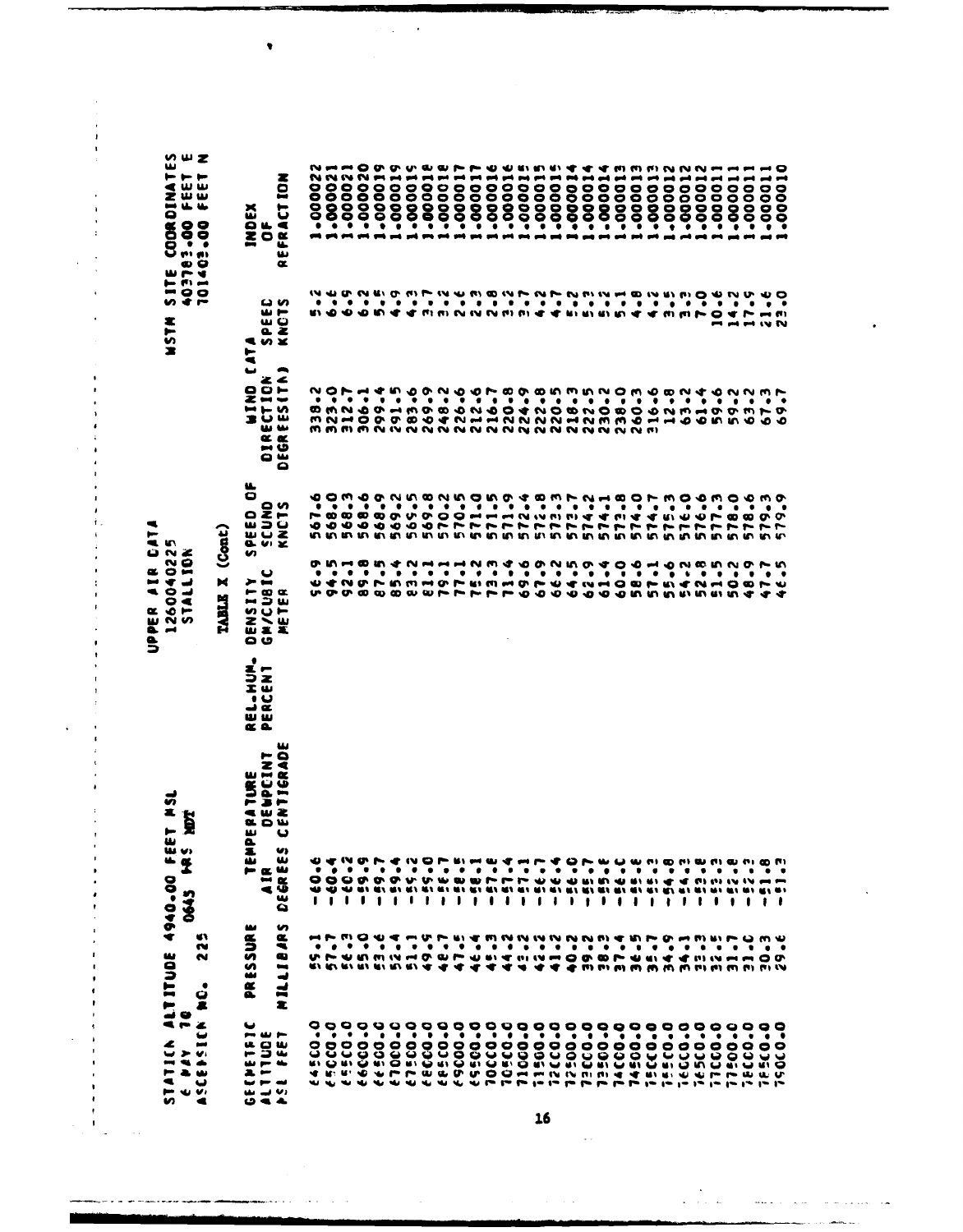UPPER AIR CAT

 $\mathbf{r}$ 

 $\overline{a}$ 

 $\overline{1}$  $\overline{a}$  $\lambda$ 

**NSTM SITE COORDINATES**<br>403783400 FEET E<br>701403400 FEET N **INDEX**<br>Of SPEED<br>KNOTS **WIND CAIN** DIRECTION<br>DEGRÉES(TA) SPEED OF SCUND<br>KNCTS  $\blacksquare$ TABLE X (Cont) 1260040225 STALLION GM/CUBIC<br>Meter DENSITY REL.HUM.<br>PERCENT DEGREES CENTIGRADE **DEWPCINT** TEMPERATURE D645 HRS HOT AIR<sup>-</sup> NILLIBARS PRESSURE **225** ASCEPSICH NO. GEENETRIC<br>ALTITUDE PSE FEET

1.000011<br>1.000011<br>1.000011<br>1.0000115<br>1.000015<br>1.000015 1-000022<br>1-000021 1.000020<br>1.000020 1.000018 -000019 -000019  $-000015$ +10000-+10000- $-000014$ -00000--000013 -000013 -000012 -000010 -000012 -000012  $-000011$  $-000011$  $-000011$ .000011 REFRACTION 16.0246<br>123.146<br>12565 59.2 67.3 **ないよう しょうしょう こうしょうしょう こうしょうしょう こうりょう こうしょう こうしょう こうしょう こうしょうしょう** 574.7 579.3 ててい しょうしょう しょうしょう しょうしょうしょう しょうしょう 62.040 58.6 **E1-1**<br>79-1 64.5 57.1 るとおき こうり てっこうしょう しょうしゅうしょう しょうしょう しょうしょう しょうしょう しょう こうき ちょう œ -<br>-<br>-<br>- $\frac{1}{2} + \frac{1}{2}$  $-60.6$  $-20.9$ <br> $-20.9$ <br> $-1$  $-7.69.1$  $\frac{1}{2}$ <br> $\frac{1}{2}$ <br> $\frac{1}{2}$ <br> $\frac{1}{2}$ <br> $\frac{1}{2}$  $-57.6$  $-56.1$  $7.86 - 0.00$  $\frac{1}{2}$ <br>  $\frac{1}{2}$ <br>  $\frac{1}{2}$ <br>  $\frac{1}{2}$ <br>  $\frac{1}{2}$  $-51.8$  $-55.8$  $-56.0$  $-25 - 8$ FE.T  $-23 - 2$  $\frac{a}{b}$  $\frac{1}{2}$ n)<br>O  $-57.1$ 前期  $\ddot{\phantom{a}}$  $\overline{1}$ 2222244  $34.9$  $34 - 1$  $\begin{array}{c} 10.76 \\ 0.76 \\ 0.15 \\ 0.01 \end{array}$ 30.3<br>E-02 31.C  $6.0359$ 10500-0<br>110000-0 11500.0 0°00151 0-03559 66000-0 100533 67500.0 6-00059 0.0330 10000-0 **BCCO.0** 0-00593 0-00555 12500-0 0-03371 74500.0 0-0733 15500-0 **Tecco.0** ie5c0.0 0-03311 0-0333 0-0705! 17500-0 **JE5CO.0** 

J.

16

 $\sim 10^{-1}$  ks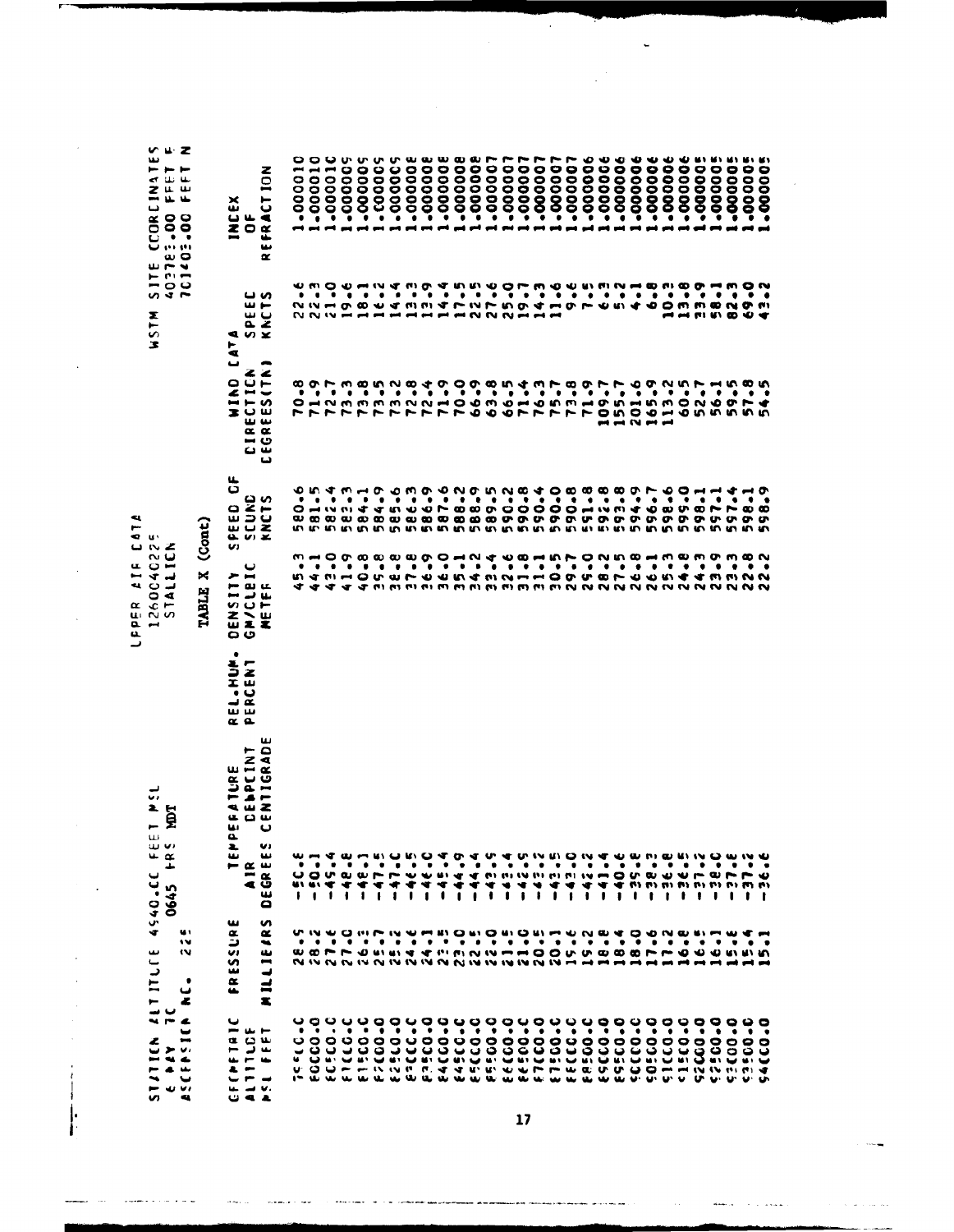Z OZTEZ 00 FEET F<br>402782.00 FFET F<br>701403.00 FEFT N **V**  $-000008$ 10000001 SITE CCORCINATE  $-000010$ -000007 -000005  $-000010$ .00001C -000005 -000005  $-00005$  $-000005$  $-000006$ **900000-** $-00000E$ -000007 -00000--000007  $-000006$  $-000006$  $-000006$  $-000006$  $-00000c$  $-000006$  $-000006$ -000005 -000005 -000005  $.00000...$ REFRACTION **INCEX**<br>OF 82.0<br>69.0<br>43.2 SPEED<br>KNCTS **HISTM AIAI OAIN CEGREES(TN)** CIRECTICN 60 64 64 64 64 64 66<br>06 66 66 66 66 66 66 66<br>06 66 66 66 66 66 66 66 201.6 とりててていこう しょうしょう しょうしょう しょうしょうしょう しょうしょう しょうしょうしょう しょうしょうしょう 113.2 60.5  $52 - 7$ 56.18<br>59.18<br>554.5 SPEED OF c via contra compaña de la campa de la campa de la campa de la campa de la campa de la campa de la campa de la<br>minimipa de la campa de la campa de la campa de la campa de la campa de la campa de la campa de la campa de la<br> 580.6 582-4<br>583-53<br>584-59<br>584-59 597-1<br>598-1<br>598-1<br>598-9 599.0 598.6 598-1 **SCUND**<br>KNCTS LEPER AIF CATA TABLE X (Cont) 1260040225<br>STALLICN  $5.3$ COMMON<br>COMMON<br>COMMON<br>COMMON **GA/CLEIC**<br>METER DENSITY REL.HUM. PERCENT DENPEINT MILLIE/RS DEGREES CENTIGRAD TEMPERATURE STATICN ALTITUDE 4540.CC FEET MSL 0645 FRS MDT  $-2.01 - 1$  $-44.4$  $-42 - 2$ 22222222242424  $-46.0$  $\begin{array}{cccccccc} 1 & 1 & 1 & 1 & 1 \\ 1 & 1 & 1 & 1 & 1 \end{array}$  $-41.4$  $-40.6$ - 38.3  $\frac{1}{2}$  é  $\frac{1}{2}$  $-38 - C$  $3 - 7 - 5$ <br>3 - 7 5 - $\frac{2}{3}$  $96.8$  $\frac{2}{3}$  $36.6$  $-45.4$  $-44.9$  $\frac{\alpha}{4}$ ï Ĭ. T ï FRESSURE 225  $6.1$  $5.1$  $\frac{1}{2}$ ASCEPSICA AC.  $\frac{1}{2}$ **CFCAFTRIC** 0.003553 0.00-53 0000113 **FOCCO.0 BACCO-0** 3-00313 0-0315 **Seeco-C SCECO.C** FICCO.C E15CO-C **FFC00-0** 5-00545 86600.0 ECCO-O **FREGO.C** 6-00353 **ESSCO.0 CCCCO-C** 5-03505 **SICCO-0** 0-00025 6-00525 0-00055 3-00565 54660.0 FSL FFET ALTITUDE  $5947$ 

 $\ddot{\phantom{0}}$ 

 $\hat{\boldsymbol{\beta}}$ 

ŀ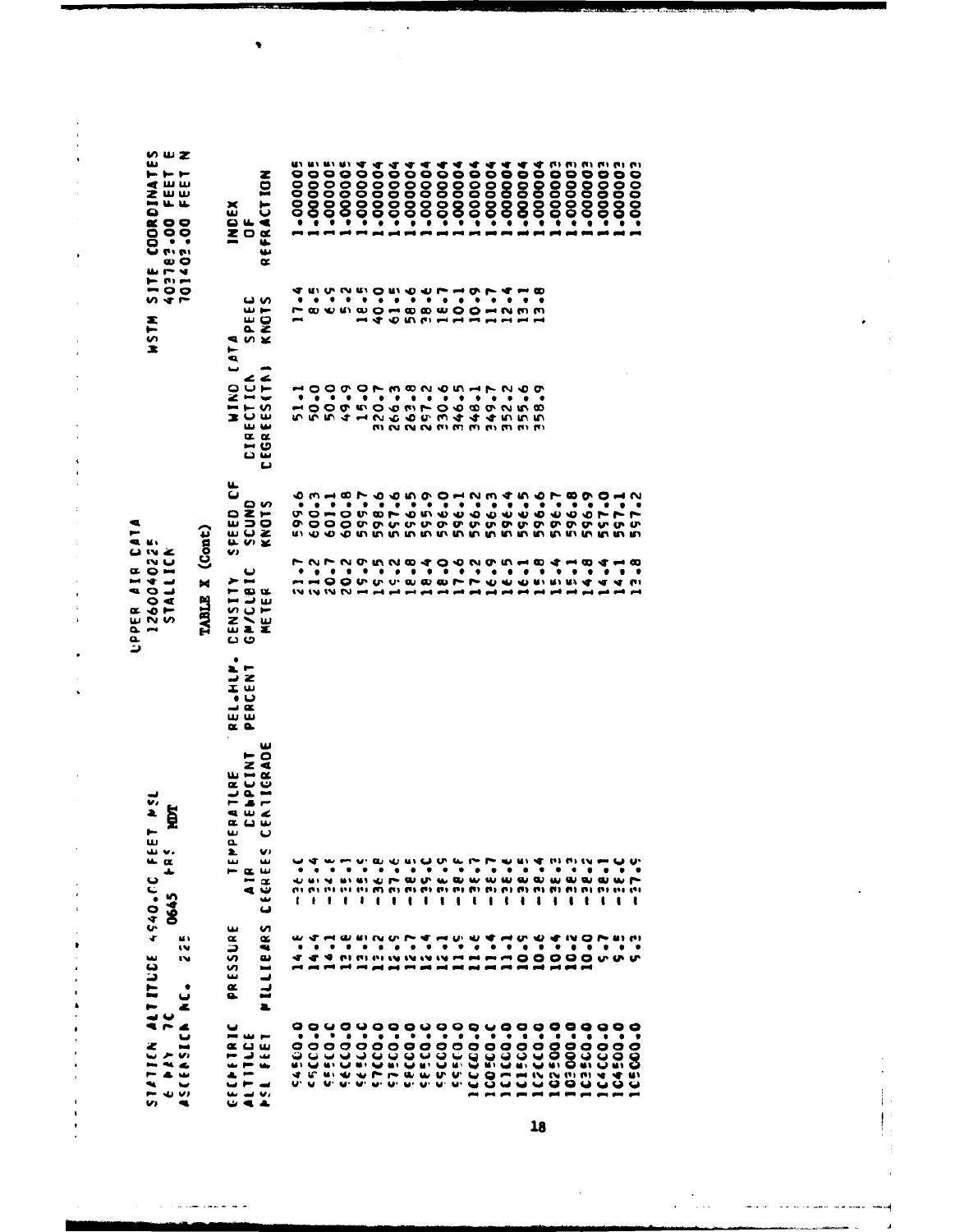q TABLE X (Cont) UPPER AIR CAT 1260040225<br>STALLICN STATICK ALTITUDE 4540.CC FEET PSL<br>6 PAY 7C **TOM** 0645 FRS  $\frac{2}{3}$ ASCENSICA NC.  $6.11$ 

 $\frac{1}{2}$ 

l,

.

 $\ddot{\phantom{a}}$ 

 $\frac{1}{4}$ 

 $\ddot{\phantom{1}}$  $\ddot{\phantom{a}}$  $\ddot{\phantom{a}}$ 

.

ł,  $\ddot{\phantom{0}}$ 

 $\bar{\phantom{a}}$ 

 $\ddot{\phantom{0}}$  $\ddot{\cdot}$ 

 $\pmb{\cdot}$ 

**SITE COORDINATES<br>403183.00 FEET E<br>101403.00 FEET N** 

**MISH** 

1.000005 1.000005 -000005 -000003 **E00000\* E00000\***  $-000005$ -000004  $-000004$  $-000004$ -000004 -000004 -000004 -000002 -000000--000004 -000004 -000004 -000004 -000004 1.000004 REFRACTION **INDEX**  $\overline{0}$  $\overline{\mathbf{e}}$ . 10-1  $1.7$  $4 - 8$ <br>  $0 - 7$ <br>  $0 - 7$ <br>  $0 - 7$ <br>  $0 - 7$ SPEED<br>KNOTS WIND LATA **CEGREES(TA) CIRECTICA** 11000011<br>00000110<br>00000110<br>0000110 263.8<br>297.2 2<br>5556-0<br>5556-0<br>555  $266 - 3$ 330.6 348.1 749.7 346.5 SPEED CF 600-3 487445601<br>0000746566<br>00007565666<br>0000756666 596.3<br>596.4<br>596.5 596.00012<br>596.00012<br>5996.00012<br>5996.00012 596.2 596.6 599.6 SCUND **KNOTS**  $\frac{8}{12}$ GM/CLBIC **DENSITY** METER REL.MLM. PERCENT CECREES CENTICRADE **CENPCINT** TEMPERATLRE E-32- $7.36 + 25 = 7$  $\begin{array}{l} 0.776 \\ 0.040 \\ 0.040 \\ 1.11 \end{array}$  $5.35 -$ 1-38-E  $\frac{1}{2}$ <br> $\frac{1}{2}$ <br> $\frac{1}{2}$ <br> $\frac{1}{2}$ <br> $\frac{1}{2}$ <br> $\frac{1}{2}$  $-35.3$  $-28.6$  $-38.4$ L.32- $-36.4$ A<sub>1</sub>R PILLIERRS PRESSURE  $11.3$ <br> $11.3$  $10 - 6$  $14.6$ 11.5  $100000$ 0.00033  $64500.0$ CECHETRIC 02500.0 3.03333 0.0733 3-07535 0.00015 0.00035 6-00-03 0-03731 0-007131 0-00313 0-072211 0-00050 0.03553 0-033771 04500.0 3-00535 **CO5CO.C** ALTITUDE **FSL FEET** 

 $\bar{z}$ 

05000-0

-000002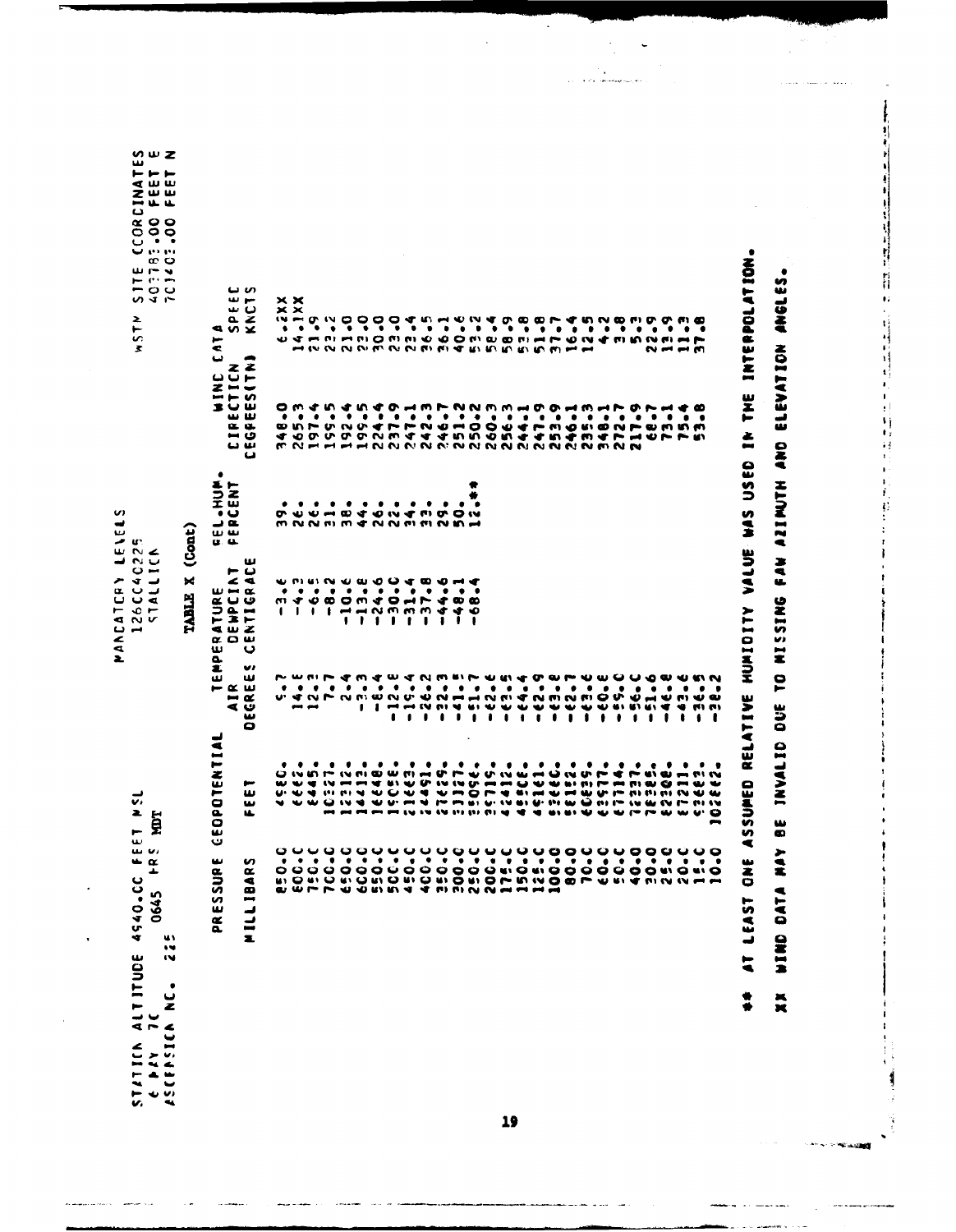| ALT ITUDE<br>w<br>٠<br>ٮ<br>z<br>CEASICA<br>STATICA<br>ζ<br>w.<br>$\ddot{\phantom{a}}$ | $\begin{array}{c} 4.6 \\ 4.8 \\ 1.4 \end{array}$<br>4540-CC<br>0645<br>u١<br>$\bullet$                        | ET PS<br>ğ                                                                                                                                                                                  |                                 | 201119712<br>1911117<br>$\overline{\phantom{a}}$                              | U.                                |                                                       | M WZ<br>ىدا<br>$\vdash\vdash\vdash\vdash$<br><b>CINA</b><br>FEE:<br>FEE:<br>880<br>≆ ∙ ن<br>יי יו ש<br>စ ပ<br>$\mathbf{u} \sim \mathbf{v}$<br>نشاء سو<br>$-00$<br>いさい<br>2<br>$\overline{5}$<br>z. |
|----------------------------------------------------------------------------------------|---------------------------------------------------------------------------------------------------------------|---------------------------------------------------------------------------------------------------------------------------------------------------------------------------------------------|---------------------------------|-------------------------------------------------------------------------------|-----------------------------------|-------------------------------------------------------|----------------------------------------------------------------------------------------------------------------------------------------------------------------------------------------------------|
|                                                                                        |                                                                                                               |                                                                                                                                                                                             |                                 | TABLE X (Cont)                                                                |                                   |                                                       |                                                                                                                                                                                                    |
|                                                                                        | ت<br>ىد<br>SSUR<br>w<br>$\tilde{\mathbf{a}}$                                                                  | EOPOTENTIAL                                                                                                                                                                                 | 2.<br>ш<br>$- \alpha$           | ת ש<br>ш<br>م                                                                 | ٠<br>NUTENT<br>ے ب<br>யய<br>u. a. |                                                       | $\bullet$<br>٣<br>⋖<br>ٮ                                                                                                                                                                           |
|                                                                                        | n<br>$\alpha$<br>MILLIBA                                                                                      | ,<br>ш<br>$\pmb{\omega}$<br>Ш                                                                                                                                                               | U)<br>ш<br>AIR<br>DECREE        | ىئ<br>$- 0$<br>ITURE<br>ENPCIAT<br>(TIGRAD<br>z<br>& O W<br>ں                 |                                   | WIND (<br>ى س<br>$\alpha$ $\alpha$<br>ن س<br>س ب<br>ى | မ ဟ<br>ىپ<br>۳<br>$\mathbf{\omega}$<br>ىك<br>$rac{6}{x}$<br>-                                                                                                                                      |
|                                                                                        |                                                                                                               | o<br>w                                                                                                                                                                                      |                                 |                                                                               |                                   |                                                       |                                                                                                                                                                                                    |
|                                                                                        |                                                                                                               |                                                                                                                                                                                             |                                 |                                                                               |                                   |                                                       | ××<br>$\times$ $\times$<br>w                                                                                                                                                                       |
|                                                                                        |                                                                                                               | $\ddot{}$                                                                                                                                                                                   |                                 | $\mathbf{I}$                                                                  |                                   |                                                       |                                                                                                                                                                                                    |
|                                                                                        |                                                                                                               |                                                                                                                                                                                             |                                 |                                                                               | ٠                                 |                                                       |                                                                                                                                                                                                    |
|                                                                                        |                                                                                                               | w<br>                                                                                                                                                                                       |                                 |                                                                               | ٠                                 |                                                       |                                                                                                                                                                                                    |
|                                                                                        |                                                                                                               |                                                                                                                                                                                             |                                 | 1                                                                             | ٠                                 |                                                       |                                                                                                                                                                                                    |
|                                                                                        |                                                                                                               |                                                                                                                                                                                             |                                 | $\mathbf{r}$                                                                  | ۰                                 |                                                       |                                                                                                                                                                                                    |
|                                                                                        |                                                                                                               |                                                                                                                                                                                             |                                 | $\cdot$                                                                       | ٠                                 |                                                       |                                                                                                                                                                                                    |
|                                                                                        |                                                                                                               | ٠<br><b>U</b><br>$   -$                                                                                                                                                                     |                                 | - 1                                                                           | ٠                                 |                                                       |                                                                                                                                                                                                    |
|                                                                                        |                                                                                                               | <b>SASA DA A A CA 4</b><br>$\sim$                                                                                                                                                           |                                 | $\mathbf{r}$                                                                  | ٠                                 |                                                       |                                                                                                                                                                                                    |
|                                                                                        | ย์ อิติอิตั้งที่อิติอิติอัติอิตั้งหน้อดีตั้งที่จักเงิน ค.ศ<br>ผมคุณอิติการ์ จักรณ์ พระบาทสมเด็จที่จักเงิน ค.ศ | <b>WEDIT WALK WALK HOW TO A</b><br>ັັ<br>A S S S A A D L L A L L L R R S S S S S S S S S L L                                                                                                |                                 | <b>2000 A H D P N D O O A P A O O</b><br>$1 + m$ $\sim$ $m$ $m$ $m$ $q$<br>ı. | ٠<br>m N N m m d N N m m N M H    | <b>MNHHHHNNNNNNNNNNNNNNNMNN</b>                       | JAHNMMP DO MANO O MO MO MANO MANO MANO                                                                                                                                                             |
|                                                                                        |                                                                                                               | w<br><b>P P IP IP IP IP A</b>                                                                                                                                                               |                                 | ī                                                                             | ٠                                 |                                                       |                                                                                                                                                                                                    |
|                                                                                        |                                                                                                               |                                                                                                                                                                                             |                                 | $\blacklozenge$                                                               | ٠                                 |                                                       |                                                                                                                                                                                                    |
|                                                                                        |                                                                                                               | 122222                                                                                                                                                                                      |                                 | ۰                                                                             | ÷<br>ø                            |                                                       |                                                                                                                                                                                                    |
|                                                                                        |                                                                                                               |                                                                                                                                                                                             |                                 |                                                                               |                                   |                                                       |                                                                                                                                                                                                    |
|                                                                                        |                                                                                                               | ٠                                                                                                                                                                                           |                                 |                                                                               |                                   |                                                       |                                                                                                                                                                                                    |
|                                                                                        |                                                                                                               | ٠                                                                                                                                                                                           |                                 |                                                                               |                                   |                                                       |                                                                                                                                                                                                    |
|                                                                                        |                                                                                                               | 39<br>$\frac{2}{3}$<br>۰                                                                                                                                                                    |                                 |                                                                               |                                   |                                                       |                                                                                                                                                                                                    |
|                                                                                        |                                                                                                               | $\bullet$                                                                                                                                                                                   |                                 |                                                                               |                                   |                                                       |                                                                                                                                                                                                    |
|                                                                                        |                                                                                                               | ٠<br>u,                                                                                                                                                                                     |                                 |                                                                               |                                   |                                                       |                                                                                                                                                                                                    |
|                                                                                        |                                                                                                               |                                                                                                                                                                                             |                                 |                                                                               |                                   |                                                       |                                                                                                                                                                                                    |
|                                                                                        |                                                                                                               | ٠                                                                                                                                                                                           |                                 |                                                                               |                                   |                                                       |                                                                                                                                                                                                    |
|                                                                                        |                                                                                                               |                                                                                                                                                                                             |                                 |                                                                               |                                   |                                                       |                                                                                                                                                                                                    |
|                                                                                        |                                                                                                               |                                                                                                                                                                                             |                                 |                                                                               |                                   |                                                       |                                                                                                                                                                                                    |
|                                                                                        |                                                                                                               | ٠<br>ミミマーキョきの<br><b>MENT</b><br><b>LW GM</b>                                                                                                                                                |                                 |                                                                               |                                   |                                                       |                                                                                                                                                                                                    |
|                                                                                        |                                                                                                               | m                                                                                                                                                                                           | ₩<br>$\mathbf{I}$               |                                                                               |                                   |                                                       |                                                                                                                                                                                                    |
|                                                                                        |                                                                                                               | $   -$<br>$\blacksquare$<br>w<br><b><i><u>IN IT IN IN</u></i></b><br>$\bf{u}\cdot\bf{v}\cdot\bf{v} \cdot \bf{u} \sim \bf{v}\cdot\bf{v} \cdot \bf{v} \cdot \bf{v} \cdot \bf{v} \cdot \bf{v}$ | מ ש מ<br>च च संस्थ<br>$\bullet$ |                                                                               |                                   |                                                       | $\sim$ $  \sim$                                                                                                                                                                                    |
|                                                                                        |                                                                                                               | $\mathbf{w}$ $\mathbf{w}$<br>ىە ب                                                                                                                                                           | $\cdot$                         |                                                                               |                                   |                                                       |                                                                                                                                                                                                    |
|                                                                                        |                                                                                                               | . .<br>⊷                                                                                                                                                                                    | t                               |                                                                               |                                   |                                                       |                                                                                                                                                                                                    |

MANCATCRY LEVELS 126CC40225<br>STALLICK ++ AT LEAST ONE ASSUMED RELATIVE MUMIDITY VALUE WAS USED IN THE INTERPOLATION. **SSIDNE WIRD DATA HATA PE TRYALID DUE TO MISSING FAN AS ARE HATA AND ELEVATION ANGLES.**  i<br>Serengan Li  $\sim$   $\sim$ 

19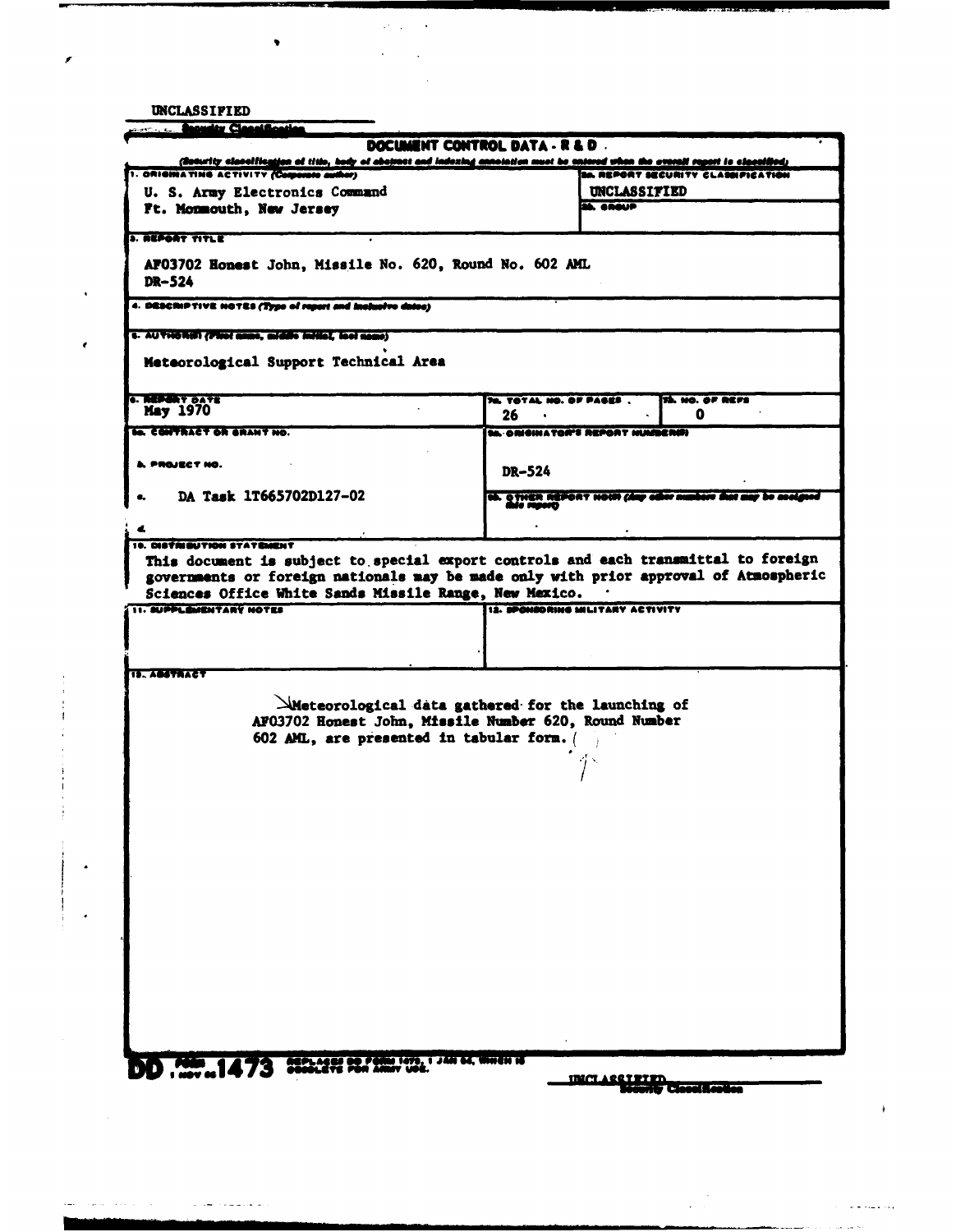UNCLASSIFIED

وستوسط كالمرابي المرابيب والمتعاد

,

 $\pmb{\epsilon}$ 

 $\bullet$ 

| <b>Street, Canadian Classification</b>                                                   |                                                                                                                                                                                |
|------------------------------------------------------------------------------------------|--------------------------------------------------------------------------------------------------------------------------------------------------------------------------------|
|                                                                                          | DOCUMENT CONTROL DATA - R & D.                                                                                                                                                 |
| 1. ORIGINATING ACTIVITY (Camarate author)                                                | (Soturity classific <u>ation of title, body of aboymet and indexing annotation must be entered whon the everall report is classified;</u><br>SA REPORT SECURITY CLASSIFICATION |
|                                                                                          | <b>UNCLASSITIED</b>                                                                                                                                                            |
| U. S. Army Electronics Command                                                           | SA, CROUP                                                                                                                                                                      |
| Ft. Monmouth, New Jersey                                                                 |                                                                                                                                                                                |
| <b>3. REPORT TITLE</b>                                                                   |                                                                                                                                                                                |
|                                                                                          |                                                                                                                                                                                |
| AF03702 Honest John, Missile No. 620, Round No. 602 AML<br>DR-524                        |                                                                                                                                                                                |
| 4. DESCRIPTIVE NOTES (Type of report and inclusive dates)                                |                                                                                                                                                                                |
| s. AUTHORON (Floot mane, middle initial, lact name)                                      |                                                                                                                                                                                |
| Meteorological Support Technical Area                                                    |                                                                                                                                                                                |
| <b>6. REPERT DATE</b><br><b>May 1970</b>                                                 | <b>TA, NO. OF REFS</b><br><b>76. TOTAL NO. OF PAGES.</b><br>26<br>Q<br>$\bullet$                                                                                               |
| <b>In CONTRACT OR SRANT NO.</b>                                                          | ta ORIGINATOR'S REPORT HUMBERED                                                                                                                                                |
|                                                                                          |                                                                                                                                                                                |
| A. PROJECT NO.                                                                           | DR-524                                                                                                                                                                         |
| DA Task 1T665702D127-02                                                                  | th. O THER REPORT HOUR (day other numbers that a                                                                                                                               |
|                                                                                          |                                                                                                                                                                                |
| 10. DISTRIBUTION STATEMENT                                                               |                                                                                                                                                                                |
| Sciences Office White Sands Missile Range, New Mexico.<br><b>11. BUPPLEMENTARY NOTES</b> | governments or foreign nationals may be made only with prior approval of Atmospheric<br>IS. SPOMSORING MILITARY ACTIVITY                                                       |
|                                                                                          |                                                                                                                                                                                |
|                                                                                          |                                                                                                                                                                                |
|                                                                                          |                                                                                                                                                                                |
| <b>12. ABSTRACT</b>                                                                      |                                                                                                                                                                                |
|                                                                                          |                                                                                                                                                                                |
|                                                                                          | $\Delta$ Meteorological data gathered for the launching of                                                                                                                     |
|                                                                                          | AF03702 Honest John, Missile Number 620, Round Number                                                                                                                          |
| 602 AML, are presented in tabular form.                                                  |                                                                                                                                                                                |
|                                                                                          |                                                                                                                                                                                |
|                                                                                          |                                                                                                                                                                                |
|                                                                                          |                                                                                                                                                                                |
|                                                                                          |                                                                                                                                                                                |
|                                                                                          |                                                                                                                                                                                |
|                                                                                          |                                                                                                                                                                                |
|                                                                                          |                                                                                                                                                                                |
|                                                                                          |                                                                                                                                                                                |
|                                                                                          |                                                                                                                                                                                |
|                                                                                          |                                                                                                                                                                                |
|                                                                                          |                                                                                                                                                                                |
|                                                                                          |                                                                                                                                                                                |
|                                                                                          |                                                                                                                                                                                |
|                                                                                          |                                                                                                                                                                                |
|                                                                                          |                                                                                                                                                                                |
|                                                                                          |                                                                                                                                                                                |
|                                                                                          |                                                                                                                                                                                |
|                                                                                          |                                                                                                                                                                                |
|                                                                                          |                                                                                                                                                                                |
| DD . 200  1473 200 000 22. 200 000. 1 240 00. Week of                                    |                                                                                                                                                                                |
|                                                                                          | <u>INCLASSITITIN</u>                                                                                                                                                           |
|                                                                                          | nity to cool from the                                                                                                                                                          |
|                                                                                          |                                                                                                                                                                                |

 $\sim$ 

الأولاد المتعارف المراجي

 $\sim$   $\sim$ 

 $\ddot{\phantom{a}}$ 

 $\Delta\sigma$  and  $\sigma$  and

 $\sim 10$